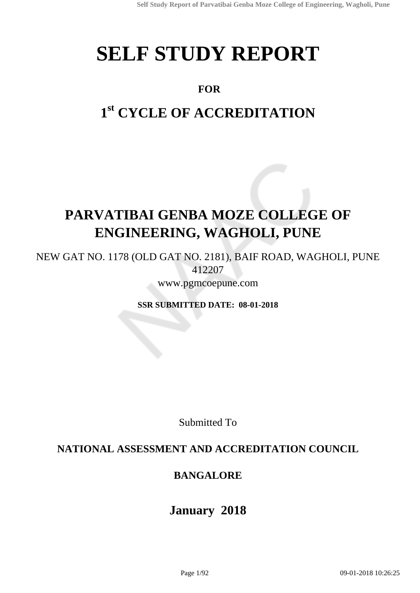# **SELF STUDY REPORT**

# **FOR**

# **1 st CYCLE OF ACCREDITATION**

# **PARVATIBAI GENBA MOZE COLLEGE OF ENGINEERING, WAGHOLI, PUNE**

NEW GAT NO. 1178 (OLD GAT NO. 2181), BAIF ROAD, WAGHOLI, PUNE 412207

www.pgmcoepune.com

**SSR SUBMITTED DATE: 08-01-2018**

Submitted To

## **NATIONAL ASSESSMENT AND ACCREDITATION COUNCIL**

## **BANGALORE**

# **January 2018**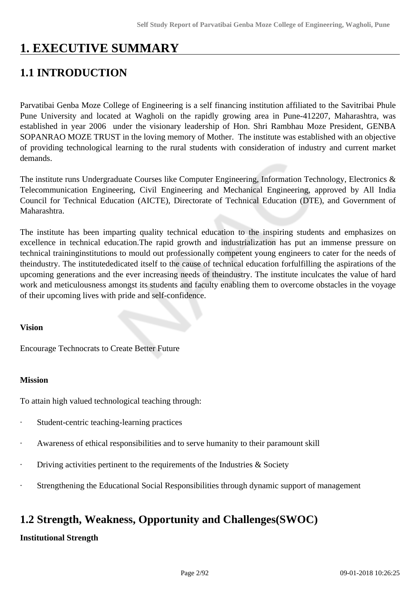# **1. EXECUTIVE SUMMARY**

# **1.1 INTRODUCTION**

Parvatibai Genba Moze College of Engineering is a self financing institution affiliated to the Savitribai Phule Pune University and located at Wagholi on the rapidly growing area in Pune-412207, Maharashtra, was established in year 2006 under the visionary leadership of Hon. Shri Rambhau Moze President, GENBA SOPANRAO MOZE TRUST in the loving memory of Mother. The institute was established with an objective of providing technological learning to the rural students with consideration of industry and current market demands.

The institute runs Undergraduate Courses like Computer Engineering, Information Technology, Electronics & Telecommunication Engineering, Civil Engineering and Mechanical Engineering, approved by All India Council for Technical Education (AICTE), Directorate of Technical Education (DTE), and Government of Maharashtra.

The institute has been imparting quality technical education to the inspiring students and emphasizes on excellence in technical education.The rapid growth and industrialization has put an immense pressure on technical traininginstitutions to mould out professionally competent young engineers to cater for the needs of theindustry. The institutededicated itself to the cause of technical education forfulfilling the aspirations of the upcoming generations and the ever increasing needs of theindustry. The institute inculcates the value of hard work and meticulousness amongst its students and faculty enabling them to overcome obstacles in the voyage of their upcoming lives with pride and self-confidence.

#### **Vision**

Encourage Technocrats to Create Better Future

#### **Mission**

To attain high valued technological teaching through:

- Student-centric teaching-learning practices
- Awareness of ethical responsibilities and to serve humanity to their paramount skill
- Driving activities pertinent to the requirements of the Industries  $\&$  Society
- Strengthening the Educational Social Responsibilities through dynamic support of management

# **1.2 Strength, Weakness, Opportunity and Challenges(SWOC)**

#### **Institutional Strength**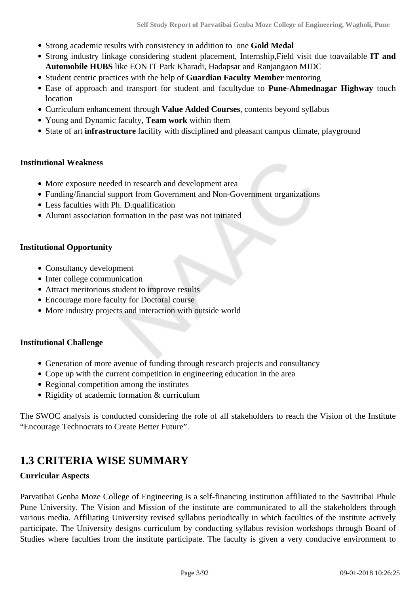- Strong academic results with consistency in addition to one **Gold Medal**
- Strong industry linkage considering student placement, Internship,Field visit due toavailable **IT and Automobile HUBS** like EON IT Park Kharadi, Hadapsar and Ranjangaon MIDC
- Student centric practices with the help of **Guardian Faculty Member** mentoring
- Ease of approach and transport for student and facultydue to **Pune-Ahmednagar Highway** touch location
- Curriculum enhancement through **Value Added Courses**, contents beyond syllabus
- Young and Dynamic faculty, **Team work** within them
- State of art **infrastructure** facility with disciplined and pleasant campus climate, playground

#### **Institutional Weakness**

- More exposure needed in research and development area
- Funding/financial support from Government and Non-Government organizations
- Less faculties with Ph. D.qualification
- Alumni association formation in the past was not initiated

#### **Institutional Opportunity**

- Consultancy development
- Inter college communication
- Attract meritorious student to improve results
- Encourage more faculty for Doctoral course
- More industry projects and interaction with outside world

#### **Institutional Challenge**

- Generation of more avenue of funding through research projects and consultancy
- Cope up with the current competition in engineering education in the area
- Regional competition among the institutes
- Rigidity of academic formation & curriculum

The SWOC analysis is conducted considering the role of all stakeholders to reach the Vision of the Institute "Encourage Technocrats to Create Better Future".

## **1.3 CRITERIA WISE SUMMARY**

#### **Curricular Aspects**

Parvatibai Genba Moze College of Engineering is a self-financing institution affiliated to the Savitribai Phule Pune University. The Vision and Mission of the institute are communicated to all the stakeholders through various media. Affiliating University revised syllabus periodically in which faculties of the institute actively participate. The University designs curriculum by conducting syllabus revision workshops through Board of Studies where faculties from the institute participate. The faculty is given a very conducive environment to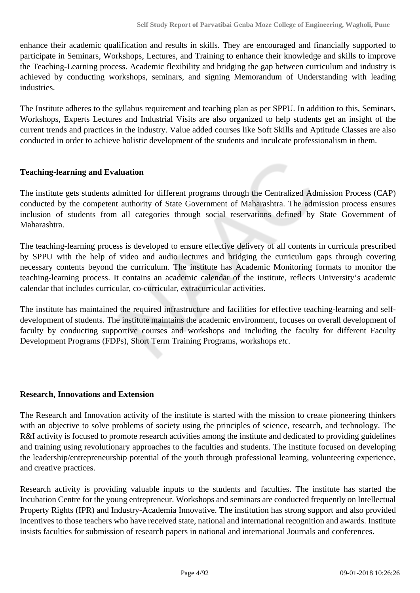enhance their academic qualification and results in skills. They are encouraged and financially supported to participate in Seminars, Workshops, Lectures, and Training to enhance their knowledge and skills to improve the Teaching-Learning process. Academic flexibility and bridging the gap between curriculum and industry is achieved by conducting workshops, seminars, and signing Memorandum of Understanding with leading industries.

The Institute adheres to the syllabus requirement and teaching plan as per SPPU. In addition to this, Seminars, Workshops, Experts Lectures and Industrial Visits are also organized to help students get an insight of the current trends and practices in the industry. Value added courses like Soft Skills and Aptitude Classes are also conducted in order to achieve holistic development of the students and inculcate professionalism in them.

#### **Teaching-learning and Evaluation**

The institute gets students admitted for different programs through the Centralized Admission Process (CAP) conducted by the competent authority of State Government of Maharashtra. The admission process ensures inclusion of students from all categories through social reservations defined by State Government of Maharashtra.

The teaching-learning process is developed to ensure effective delivery of all contents in curricula prescribed by SPPU with the help of video and audio lectures and bridging the curriculum gaps through covering necessary contents beyond the curriculum. The institute has Academic Monitoring formats to monitor the teaching-learning process. It contains an academic calendar of the institute, reflects University's academic calendar that includes curricular, co-curricular, extracurricular activities.

The institute has maintained the required infrastructure and facilities for effective teaching-learning and selfdevelopment of students. The institute maintains the academic environment, focuses on overall development of faculty by conducting supportive courses and workshops and including the faculty for different Faculty Development Programs (FDPs), Short Term Training Programs, workshops *etc.*

#### **Research, Innovations and Extension**

The Research and Innovation activity of the institute is started with the mission to create pioneering thinkers with an objective to solve problems of society using the principles of science, research, and technology. The R&I activity is focused to promote research activities among the institute and dedicated to providing guidelines and training using revolutionary approaches to the faculties and students. The institute focused on developing the leadership/entrepreneurship potential of the youth through professional learning, volunteering experience, and creative practices.

Research activity is providing valuable inputs to the students and faculties. The institute has started the Incubation Centre for the young entrepreneur. Workshops and seminars are conducted frequently on Intellectual Property Rights (IPR) and Industry-Academia Innovative. The institution has strong support and also provided incentives to those teachers who have received state, national and international recognition and awards. Institute insists faculties for submission of research papers in national and international Journals and conferences.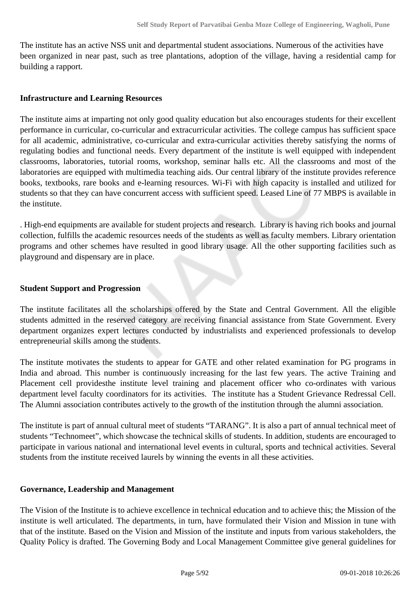The institute has an active NSS unit and departmental student associations. Numerous of the activities have been organized in near past, such as tree plantations, adoption of the village, having a residential camp for building a rapport.

#### **Infrastructure and Learning Resources**

The institute aims at imparting not only good quality education but also encourages students for their excellent performance in curricular, co-curricular and extracurricular activities. The college campus has sufficient space for all academic, administrative, co-curricular and extra-curricular activities thereby satisfying the norms of regulating bodies and functional needs. Every department of the institute is well equipped with independent classrooms, laboratories, tutorial rooms, workshop, seminar halls etc. All the classrooms and most of the laboratories are equipped with multimedia teaching aids. Our central library of the institute provides reference books, textbooks, rare books and e-learning resources. Wi-Fi with high capacity is installed and utilized for students so that they can have concurrent access with sufficient speed. Leased Line of 77 MBPS is available in the institute.

. High-end equipments are available for student projects and research. Library is having rich books and journal collection, fulfills the academic resources needs of the students as well as faculty members. Library orientation programs and other schemes have resulted in good library usage. All the other supporting facilities such as playground and dispensary are in place.

#### **Student Support and Progression**

The institute facilitates all the scholarships offered by the State and Central Government. All the eligible students admitted in the reserved category are receiving financial assistance from State Government. Every department organizes expert lectures conducted by industrialists and experienced professionals to develop entrepreneurial skills among the students.

The institute motivates the students to appear for GATE and other related examination for PG programs in India and abroad. This number is continuously increasing for the last few years. The active Training and Placement cell providesthe institute level training and placement officer who co-ordinates with various department level faculty coordinators for its activities. The institute has a Student Grievance Redressal Cell. The Alumni association contributes actively to the growth of the institution through the alumni association.

The institute is part of annual cultural meet of students "TARANG". It is also a part of annual technical meet of students "Technomeet", which showcase the technical skills of students. In addition, students are encouraged to participate in various national and international level events in cultural, sports and technical activities. Several students from the institute received laurels by winning the events in all these activities.

#### **Governance, Leadership and Management**

The Vision of the Institute is to achieve excellence in technical education and to achieve this; the Mission of the institute is well articulated. The departments, in turn, have formulated their Vision and Mission in tune with that of the institute. Based on the Vision and Mission of the institute and inputs from various stakeholders, the Quality Policy is drafted. The Governing Body and Local Management Committee give general guidelines for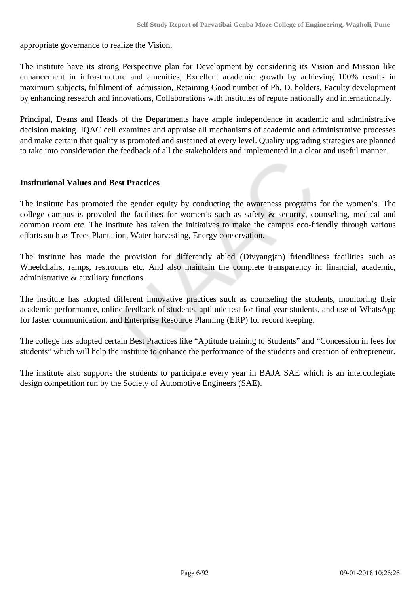appropriate governance to realize the Vision.

The institute have its strong Perspective plan for Development by considering its Vision and Mission like enhancement in infrastructure and amenities, Excellent academic growth by achieving 100% results in maximum subjects, fulfilment of admission, Retaining Good number of Ph. D. holders, Faculty development by enhancing research and innovations, Collaborations with institutes of repute nationally and internationally.

Principal, Deans and Heads of the Departments have ample independence in academic and administrative decision making. IQAC cell examines and appraise all mechanisms of academic and administrative processes and make certain that quality is promoted and sustained at every level. Quality upgrading strategies are planned to take into consideration the feedback of all the stakeholders and implemented in a clear and useful manner.

#### **Institutional Values and Best Practices**

The institute has promoted the gender equity by conducting the awareness programs for the women's. The college campus is provided the facilities for women's such as safety & security, counseling, medical and common room etc. The institute has taken the initiatives to make the campus eco-friendly through various efforts such as Trees Plantation, Water harvesting, Energy conservation.

The institute has made the provision for differently abled (Divyangjan) friendliness facilities such as Wheelchairs, ramps, restrooms etc. And also maintain the complete transparency in financial, academic, administrative & auxiliary functions.

The institute has adopted different innovative practices such as counseling the students, monitoring their academic performance, online feedback of students, aptitude test for final year students, and use of WhatsApp for faster communication, and Enterprise Resource Planning (ERP) for record keeping.

The college has adopted certain Best Practices like "Aptitude training to Students" and "Concession in fees for students" which will help the institute to enhance the performance of the students and creation of entrepreneur.

The institute also supports the students to participate every year in BAJA SAE which is an intercollegiate design competition run by the Society of Automotive Engineers (SAE).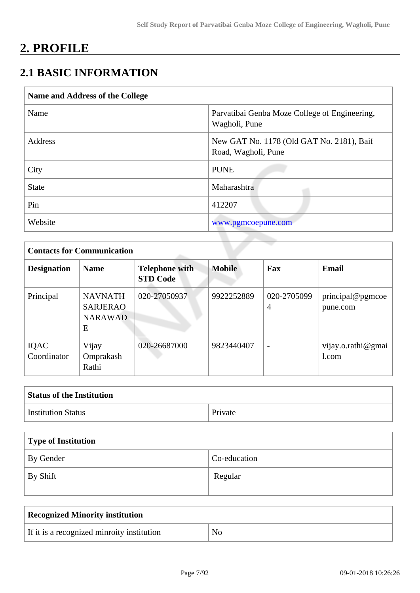# **2. PROFILE**

# **2.1 BASIC INFORMATION**

| Name and Address of the College |                                                                  |
|---------------------------------|------------------------------------------------------------------|
| Name                            | Parvatibai Genba Moze College of Engineering,<br>Wagholi, Pune   |
| Address                         | New GAT No. 1178 (Old GAT No. 2181), Baif<br>Road, Wagholi, Pune |
| City                            | <b>PUNE</b>                                                      |
| <b>State</b>                    | Maharashtra                                                      |
| Pin                             | 412207                                                           |
| Website                         | www.pgmcoepune.com                                               |

|                     | <b>Contacts for Communication</b>                        |                                          |               |                               |                              |  |  |  |  |
|---------------------|----------------------------------------------------------|------------------------------------------|---------------|-------------------------------|------------------------------|--|--|--|--|
| <b>Designation</b>  | <b>Name</b>                                              | <b>Telephone with</b><br><b>STD Code</b> | <b>Mobile</b> | Fax                           | <b>Email</b>                 |  |  |  |  |
| Principal           | <b>NAVNATH</b><br><b>SARJERAO</b><br><b>NARAWAD</b><br>E | 020-27050937                             | 9922252889    | 020-2705099<br>$\overline{4}$ | principal@pgmcoe<br>pune.com |  |  |  |  |
| IQAC<br>Coordinator | Vijay<br>Omprakash<br>Rathi                              | 020-26687000                             | 9823440407    | $\overline{\phantom{a}}$      | vijay.o.rathi@gmai<br>1.com  |  |  |  |  |

| <b>Status of the Institution</b> |         |
|----------------------------------|---------|
| <b>Institution Status</b>        | Private |

| Type of Institution |              |  |  |  |
|---------------------|--------------|--|--|--|
| <b>By Gender</b>    | Co-education |  |  |  |
| $\perp$ By Shift    | Regular      |  |  |  |

| <b>Recognized Minority institution</b>     |                |  |  |  |
|--------------------------------------------|----------------|--|--|--|
| If it is a recognized minroity institution | $\overline{N}$ |  |  |  |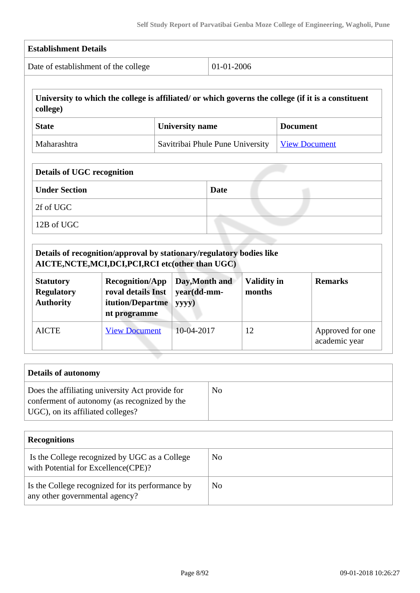| <b>Establishment Details</b>                                           |                                                                                                                                                                                                                 |                                        |             |                              |                      |                                   |
|------------------------------------------------------------------------|-----------------------------------------------------------------------------------------------------------------------------------------------------------------------------------------------------------------|----------------------------------------|-------------|------------------------------|----------------------|-----------------------------------|
| 01-01-2006<br>Date of establishment of the college                     |                                                                                                                                                                                                                 |                                        |             |                              |                      |                                   |
| college)                                                               | University to which the college is affiliated/ or which governs the college (if it is a constituent                                                                                                             |                                        |             |                              |                      |                                   |
| <b>State</b>                                                           |                                                                                                                                                                                                                 | <b>University name</b>                 |             |                              | <b>Document</b>      |                                   |
| Maharashtra                                                            |                                                                                                                                                                                                                 | Savitribai Phule Pune University       |             |                              | <b>View Document</b> |                                   |
| <b>Details of UGC recognition</b><br><b>Under Section</b><br>2f of UGC |                                                                                                                                                                                                                 |                                        | <b>Date</b> |                              |                      |                                   |
| 12B of UGC                                                             |                                                                                                                                                                                                                 |                                        |             |                              |                      |                                   |
| <b>Statutory</b><br><b>Regulatory</b><br><b>Authority</b>              | Details of recognition/approval by stationary/regulatory bodies like<br>AICTE, NCTE, MCI, DCI, PCI, RCI etc(other than UGC)<br><b>Recognition/App</b><br>roval details Inst<br>itution/Departme<br>nt programme | Day, Month and<br>year(dd-mm-<br>yyyy) |             | <b>Validity in</b><br>months |                      | <b>Remarks</b>                    |
| <b>AICTE</b>                                                           | <b>View Document</b>                                                                                                                                                                                            | 10-04-2017                             |             | 12                           |                      | Approved for one<br>academic year |

| Details of autonomy                                                                                                                  |    |
|--------------------------------------------------------------------------------------------------------------------------------------|----|
| Does the affiliating university Act provide for<br>conferment of autonomy (as recognized by the<br>UGC), on its affiliated colleges? | No |

| <b>Recognitions</b>                                                                  |    |  |  |  |  |
|--------------------------------------------------------------------------------------|----|--|--|--|--|
| Is the College recognized by UGC as a College<br>with Potential for Excellence(CPE)? | No |  |  |  |  |
| Is the College recognized for its performance by<br>any other governmental agency?   | No |  |  |  |  |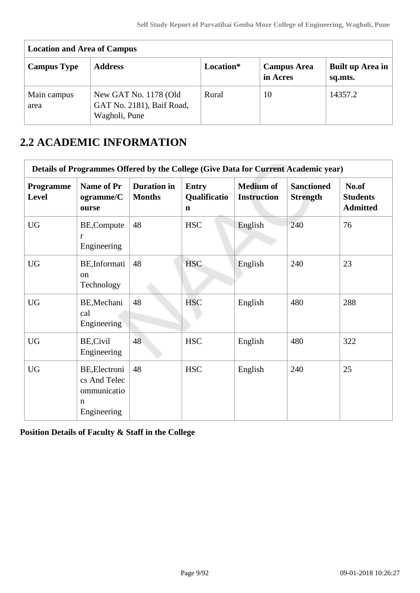| <b>Location and Area of Campus</b> |                                                                     |           |                                |                             |  |  |  |  |
|------------------------------------|---------------------------------------------------------------------|-----------|--------------------------------|-----------------------------|--|--|--|--|
| <b>Campus Type</b>                 | <b>Address</b>                                                      | Location* | <b>Campus Area</b><br>in Acres | Built up Area in<br>sq.mts. |  |  |  |  |
| Main campus<br>area                | New GAT No. 1178 (Old<br>GAT No. 2181), Baif Road,<br>Wagholi, Pune | Rural     | 10                             | 14357.2                     |  |  |  |  |

# **2.2 ACADEMIC INFORMATION**

| Details of Programmes Offered by the College (Give Data for Current Academic year) |                                                                  |                                     |                                             |                                        |                                      |                                             |  |  |
|------------------------------------------------------------------------------------|------------------------------------------------------------------|-------------------------------------|---------------------------------------------|----------------------------------------|--------------------------------------|---------------------------------------------|--|--|
| <b>Programme</b><br>Level                                                          | <b>Name of Pr</b><br>ogramme/C<br>ourse                          | <b>Duration</b> in<br><b>Months</b> | <b>Entry</b><br>Qualificatio<br>$\mathbf n$ | <b>Medium of</b><br><b>Instruction</b> | <b>Sanctioned</b><br><b>Strength</b> | No.of<br><b>Students</b><br><b>Admitted</b> |  |  |
| <b>UG</b>                                                                          | BE, Compute<br>r<br>Engineering                                  | 48                                  | <b>HSC</b>                                  | English                                | 240                                  | 76                                          |  |  |
| <b>UG</b>                                                                          | BE, Informati<br><sub>on</sub><br>Technology                     | 48                                  | <b>HSC</b>                                  | English                                | 240                                  | 23                                          |  |  |
| <b>UG</b>                                                                          | BE, Mechani<br>cal<br>Engineering                                | 48                                  | <b>HSC</b>                                  | English                                | 480                                  | 288                                         |  |  |
| <b>UG</b>                                                                          | <b>BE, Civil</b><br>Engineering                                  | 48                                  | <b>HSC</b>                                  | English                                | 480                                  | 322                                         |  |  |
| <b>UG</b>                                                                          | BE, Electroni<br>cs And Telec<br>ommunicatio<br>n<br>Engineering | 48                                  | <b>HSC</b>                                  | English                                | 240                                  | 25                                          |  |  |

**Position Details of Faculty & Staff in the College**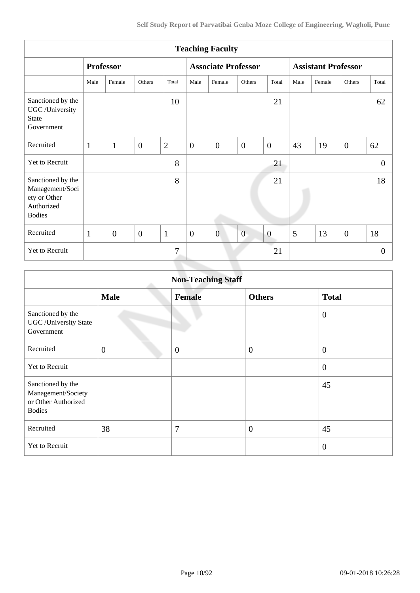| <b>Teaching Faculty</b>                                                             |                  |                |                |                |                            |                |                |                            |      |        |                |          |
|-------------------------------------------------------------------------------------|------------------|----------------|----------------|----------------|----------------------------|----------------|----------------|----------------------------|------|--------|----------------|----------|
|                                                                                     | <b>Professor</b> |                |                |                | <b>Associate Professor</b> |                |                | <b>Assistant Professor</b> |      |        |                |          |
|                                                                                     | Male             | Female         | Others         | Total          | Male                       | Female         | Others         | Total                      | Male | Female | Others         | Total    |
| Sanctioned by the<br>UGC /University<br><b>State</b><br>Government                  |                  |                |                | 10             |                            |                |                | 21                         |      |        |                | 62       |
| Recruited                                                                           | $\mathbf{1}$     | $\mathbf{1}$   | $\overline{0}$ | $\overline{2}$ | $\boldsymbol{0}$           | $\overline{0}$ | $\overline{0}$ | $\mathbf{0}$               | 43   | 19     | $\overline{0}$ | 62       |
| <b>Yet to Recruit</b>                                                               |                  |                |                | 8              |                            |                |                | 21                         |      |        |                | $\theta$ |
| Sanctioned by the<br>Management/Soci<br>ety or Other<br>Authorized<br><b>Bodies</b> |                  |                |                | 8              |                            |                |                | 21                         |      |        |                | 18       |
| Recruited                                                                           | $\mathbf{1}$     | $\overline{0}$ | $\overline{0}$ | $\mathbf{1}$   | $\overline{0}$             | $\overline{0}$ | $\overline{0}$ | $\boldsymbol{0}$           | 5    | 13     | $\overline{0}$ | 18       |
| Yet to Recruit                                                                      |                  |                |                | 7              |                            |                |                | 21                         |      |        |                | $\theta$ |
|                                                                                     |                  |                |                |                |                            |                |                |                            |      |        |                |          |

| <b>Non-Teaching Staff</b>                                                       |                |                |                  |                |  |  |  |
|---------------------------------------------------------------------------------|----------------|----------------|------------------|----------------|--|--|--|
|                                                                                 | <b>Male</b>    | <b>Female</b>  | <b>Others</b>    | <b>Total</b>   |  |  |  |
| Sanctioned by the<br><b>UGC</b> / University State<br>Government                |                |                |                  | $\overline{0}$ |  |  |  |
| Recruited                                                                       | $\overline{0}$ | $\overline{0}$ | $\boldsymbol{0}$ | $\mathbf{0}$   |  |  |  |
| Yet to Recruit                                                                  |                |                |                  | $\mathbf{0}$   |  |  |  |
| Sanctioned by the<br>Management/Society<br>or Other Authorized<br><b>Bodies</b> |                |                |                  | 45             |  |  |  |
| Recruited                                                                       | 38             | $\overline{7}$ | $\overline{0}$   | 45             |  |  |  |
| Yet to Recruit                                                                  |                |                |                  | $\overline{0}$ |  |  |  |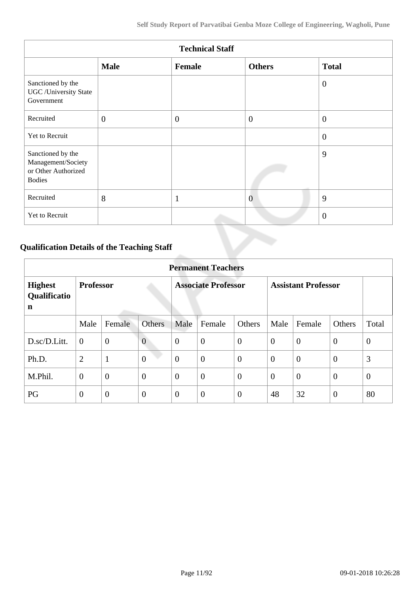| <b>Technical Staff</b>                                                          |              |              |                |                |  |  |  |
|---------------------------------------------------------------------------------|--------------|--------------|----------------|----------------|--|--|--|
|                                                                                 | <b>Male</b>  | Female       | <b>Others</b>  | <b>Total</b>   |  |  |  |
| Sanctioned by the<br><b>UGC</b> /University State<br>Government                 |              |              |                | $\overline{0}$ |  |  |  |
| Recruited                                                                       | $\mathbf{0}$ | $\theta$     | $\overline{0}$ | $\overline{0}$ |  |  |  |
| Yet to Recruit                                                                  |              |              |                | $\overline{0}$ |  |  |  |
| Sanctioned by the<br>Management/Society<br>or Other Authorized<br><b>Bodies</b> |              |              |                | 9              |  |  |  |
| Recruited                                                                       | 8            | $\mathbf{1}$ | $\overline{0}$ | 9              |  |  |  |
| Yet to Recruit                                                                  |              |              |                | $\overline{0}$ |  |  |  |

# **Qualification Details of the Teaching Staff**

|                                     | <b>Permanent Teachers</b> |                |                            |                |                            |                |                |                |                |                |
|-------------------------------------|---------------------------|----------------|----------------------------|----------------|----------------------------|----------------|----------------|----------------|----------------|----------------|
| <b>Highest</b><br>Qualificatio<br>n | <b>Professor</b>          |                | <b>Associate Professor</b> |                | <b>Assistant Professor</b> |                |                |                |                |                |
|                                     | Male                      | Female         | <b>Others</b>              | Male           | Female                     | Others         | Male           | Female         | Others         | Total          |
| D.sc/D.Litt.                        | $\overline{0}$            | $\mathbf{0}$   | $\overline{0}$             | $\theta$       | $\overline{0}$             | $\theta$       | $\overline{0}$ | $\theta$       | $\overline{0}$ | $\overline{0}$ |
| Ph.D.                               | $\overline{2}$            | $\mathbf{1}$   | $\overline{0}$             | $\overline{0}$ | $\boldsymbol{0}$           | $\overline{0}$ | $\overline{0}$ | $\overline{0}$ | $\overline{0}$ | 3              |
| M.Phil.                             | $\overline{0}$            | $\overline{0}$ | $\overline{0}$             | $\theta$       | $\overline{0}$             | $\overline{0}$ | $\overline{0}$ | $\overline{0}$ | $\overline{0}$ | $\theta$       |
| PG                                  | $\theta$                  | $\overline{0}$ | $\theta$                   | $\overline{0}$ | $\overline{0}$             | $\overline{0}$ | 48             | 32             | $\overline{0}$ | 80             |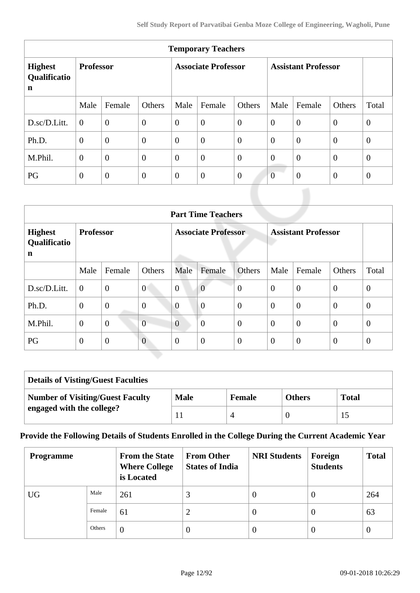| <b>Temporary Teachers</b>                     |                  |                  |                            |                |                            |                |                |                |                |                |
|-----------------------------------------------|------------------|------------------|----------------------------|----------------|----------------------------|----------------|----------------|----------------|----------------|----------------|
| <b>Highest</b><br>Qualificatio<br>$\mathbf n$ | <b>Professor</b> |                  | <b>Associate Professor</b> |                | <b>Assistant Professor</b> |                |                |                |                |                |
|                                               | Male             | Female           | Others                     | Male           | Female                     | Others         | Male           | Female         | Others         | Total          |
| D.sc/D.Litt.                                  | $\theta$         | $\overline{0}$   | $\boldsymbol{0}$           | $\overline{0}$ | $\overline{0}$             | $\overline{0}$ | $\overline{0}$ | $\overline{0}$ | $\overline{0}$ | $\overline{0}$ |
| Ph.D.                                         | $\overline{0}$   | $\overline{0}$   | $\overline{0}$             | $\theta$       | $\overline{0}$             | $\overline{0}$ | $\overline{0}$ | $\overline{0}$ | $\theta$       | $\overline{0}$ |
| M.Phil.                                       | $\overline{0}$   | $\overline{0}$   | $\overline{0}$             | $\overline{0}$ | $\overline{0}$             | $\overline{0}$ | $\overline{0}$ | $\overline{0}$ | $\overline{0}$ | $\overline{0}$ |
| PG                                            | $\theta$         | $\boldsymbol{0}$ | $\mathbf{0}$               | $\overline{0}$ | $\overline{0}$             | $\overline{0}$ | $\overline{0}$ | $\theta$       | $\theta$       | $\theta$       |

|                                                         | <b>Part Time Teachers</b> |                |                            |                |                |                            |                |                |                |                |
|---------------------------------------------------------|---------------------------|----------------|----------------------------|----------------|----------------|----------------------------|----------------|----------------|----------------|----------------|
| <b>Highest</b><br><b>Professor</b><br>Qualificatio<br>n |                           |                | <b>Associate Professor</b> |                |                | <b>Assistant Professor</b> |                |                |                |                |
|                                                         | Male                      | Female         | Others                     | Male           | Female         | <b>Others</b>              | Male           | Female         | Others         | Total          |
| D.sc/D.Litt.                                            | $\boldsymbol{0}$          | $\mathbf{0}$   | $\overline{0}$             | $\overline{0}$ | $\overline{0}$ | $\overline{0}$             | $\overline{0}$ | $\overline{0}$ | $\theta$       | $\overline{0}$ |
| Ph.D.                                                   | $\overline{0}$            | $\overline{0}$ | $\overline{0}$             | $\overline{0}$ | $\overline{0}$ | $\overline{0}$             | $\theta$       | $\overline{0}$ | $\overline{0}$ | $\theta$       |
| M.Phil.                                                 | $\theta$                  | $\overline{0}$ | $\overline{0}$             | $\overline{0}$ | $\overline{0}$ | $\overline{0}$             | $\theta$       | $\overline{0}$ | $\overline{0}$ | $\theta$       |
| PG                                                      | $\overline{0}$            | $\overline{0}$ | $\overline{0}$             | $\theta$       | $\overline{0}$ | $\overline{0}$             | $\overline{0}$ | $\overline{0}$ | $\theta$       | $\theta$       |

| <b>Details of Visting/Guest Faculties</b> |             |               |               |              |  |  |
|-------------------------------------------|-------------|---------------|---------------|--------------|--|--|
| <b>Number of Visiting/Guest Faculty</b>   | <b>Male</b> | <b>Female</b> | <b>Others</b> | <b>Total</b> |  |  |
| engaged with the college?                 |             |               |               |              |  |  |

#### **Provide the Following Details of Students Enrolled in the College During the Current Academic Year**

| <b>Programme</b> |        | <b>From the State</b><br><b>Where College</b><br>is Located | <b>From Other</b><br><b>States of India</b> | <b>NRI Students</b> | Foreign<br><b>Students</b> | <b>Total</b> |
|------------------|--------|-------------------------------------------------------------|---------------------------------------------|---------------------|----------------------------|--------------|
| <b>UG</b>        | Male   | 261                                                         | 3                                           | v                   | $\theta$                   | 264          |
|                  | Female | 61                                                          | 2                                           | $\theta$            | $\theta$                   | 63           |
|                  | Others | $\theta$                                                    | 0                                           | $\theta$            | $\theta$                   | $\theta$     |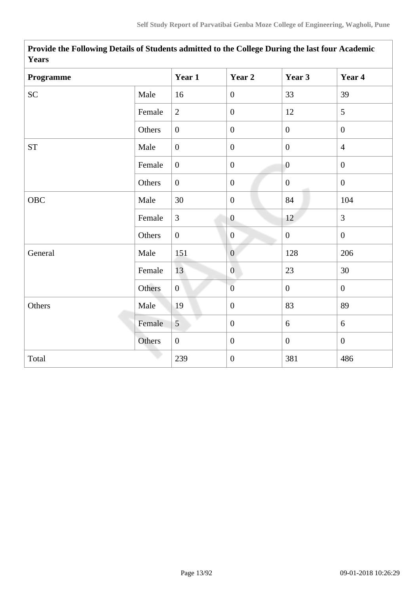| I CAL 5            |        |                  |                  |                  |                  |
|--------------------|--------|------------------|------------------|------------------|------------------|
| Programme          |        | Year 1           | Year 2           | Year 3           | Year 4           |
| SC                 | Male   | 16               | $\boldsymbol{0}$ | 33               | 39               |
|                    | Female | $\overline{2}$   | $\boldsymbol{0}$ | 12               | 5                |
|                    | Others | $\boldsymbol{0}$ | $\boldsymbol{0}$ | $\boldsymbol{0}$ | $\boldsymbol{0}$ |
| ${\cal S}{\cal T}$ | Male   | $\boldsymbol{0}$ | $\boldsymbol{0}$ | $\mathbf{0}$     | $\overline{4}$   |
|                    | Female | $\overline{0}$   | $\boldsymbol{0}$ | $\overline{0}$   | $\boldsymbol{0}$ |
|                    | Others | $\overline{0}$   | $\boldsymbol{0}$ | $\mathbf{0}$     | $\mathbf{0}$     |
| OBC                | Male   | 30               | $\boldsymbol{0}$ | 84               | 104              |
|                    | Female | $\overline{3}$   | $\boldsymbol{0}$ | 12               | $\overline{3}$   |
|                    | Others | $\boldsymbol{0}$ | $\mathbf{0}$     | $\boldsymbol{0}$ | $\mathbf{0}$     |
| General            | Male   | 151              | $\boldsymbol{0}$ | 128              | 206              |
|                    | Female | 13               | $\overline{0}$   | 23               | 30               |
|                    | Others | $\overline{0}$   | $\overline{0}$   | $\mathbf{0}$     | $\overline{0}$   |
| Others             | Male   | 19               | $\boldsymbol{0}$ | 83               | 89               |
|                    | Female | 5 <sup>5</sup>   | $\boldsymbol{0}$ | $\boldsymbol{6}$ | 6                |
|                    | Others | $\boldsymbol{0}$ | $\boldsymbol{0}$ | $\overline{0}$   | $\mathbf{0}$     |
| Total              |        | 239              | $\boldsymbol{0}$ | 381              | 486              |

 **Provide the Following Details of Students admitted to the College During the last four Academic Years**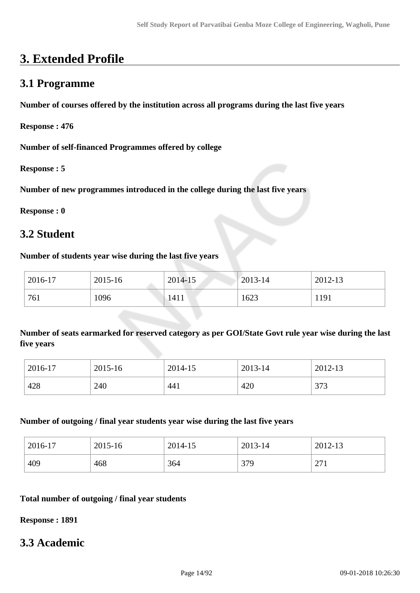# **3. Extended Profile**

### **3.1 Programme**

**Number of courses offered by the institution across all programs during the last five years**

**Response : 476**

**Number of self-financed Programmes offered by college**

**Response : 5**

**Number of new programmes introduced in the college during the last five years**

**Response : 0**

### **3.2 Student**

#### **Number of students year wise during the last five years**

| 2016-17 | 2015-16 | 2014-15 | $2013 - 14$ | 2012-13 |
|---------|---------|---------|-------------|---------|
| 761     | 1096    | 1411    | 1623        | 1191    |

**Number of seats earmarked for reserved category as per GOI/State Govt rule year wise during the last five years**

| 2016-17 | 2015-16 | 2014-15 | 2013-14 | 2012-13      |
|---------|---------|---------|---------|--------------|
| 428     | 240     | 441     | 420     | 272<br>3 I J |

#### **Number of outgoing / final year students year wise during the last five years**

| 2016-17 | 2015-16 | 2014-15 | 2013-14 | 2012-13                               |
|---------|---------|---------|---------|---------------------------------------|
| 409     | 468     | 364     | 379     | $\mathcal{L}$<br>$\sim$ $\sim$ $\sim$ |

#### **Total number of outgoing / final year students**

**Response : 1891**

## **3.3 Academic**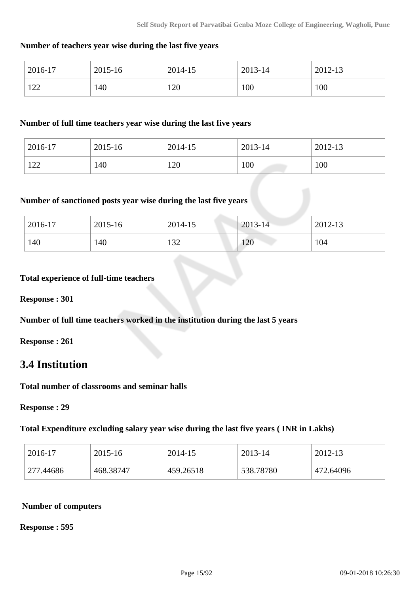#### **Number of teachers year wise during the last five years**

| 2016-17     | 2015-16 | 2014-15 | 2013-14 | 2012-13 |
|-------------|---------|---------|---------|---------|
| 1 ລລ<br>1/2 | 140     | 120     | 100     | 100     |

#### **Number of full time teachers year wise during the last five years**

| 2016-17                | 2015-16 | 2014-15 | 2013-14 | 2012-13 |
|------------------------|---------|---------|---------|---------|
| 1 $\cap$ $\cap$<br>1/2 | 140     | 120     | 100     | 100     |

#### **Number of sanctioned posts year wise during the last five years**

| 2016-17 | 2015-16 | 2014-15      | $2013 - 14$ | 2012-13 |
|---------|---------|--------------|-------------|---------|
| 140     | 140     | 122<br>1 J 4 | 120         | 104     |

#### **Total experience of full-time teachers**

**Response : 301**

**Number of full time teachers worked in the institution during the last 5 years**

**Response : 261**

## **3.4 Institution**

**Total number of classrooms and seminar halls**

**Response : 29**

#### **Total Expenditure excluding salary year wise during the last five years ( INR in Lakhs)**

| 2016-17   | 2015-16   | 2014-15   | 2013-14   | 2012-13   |
|-----------|-----------|-----------|-----------|-----------|
| 277.44686 | 468.38747 | 459.26518 | 538.78780 | 472.64096 |

#### **Number of computers**

**Response : 595**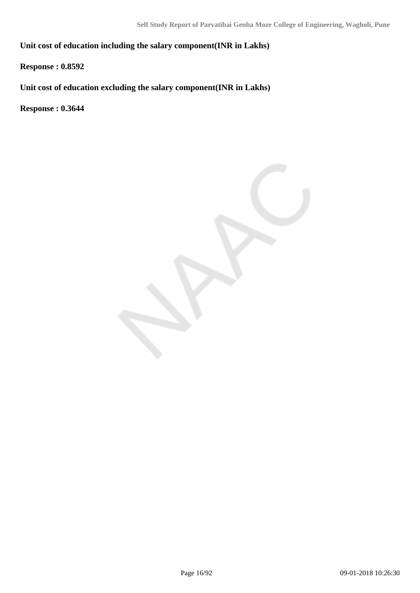**Unit cost of education including the salary component(INR in Lakhs)**

**Response : 0.8592**

**Unit cost of education excluding the salary component(INR in Lakhs)**

**Response : 0.3644**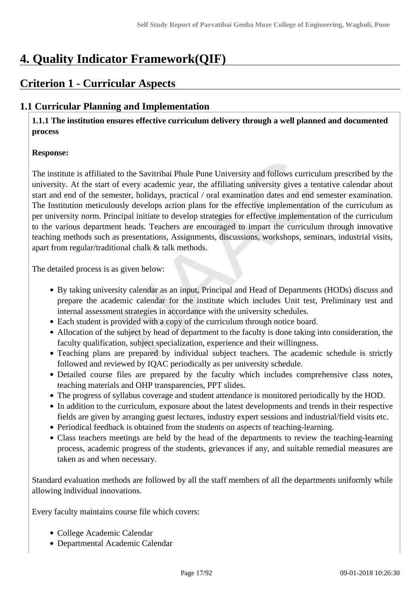# **4. Quality Indicator Framework(QIF)**

# **Criterion 1 - Curricular Aspects**

### **1.1 Curricular Planning and Implementation**

 **1.1.1 The institution ensures effective curriculum delivery through a well planned and documented process** 

#### **Response:**

The institute is affiliated to the Savitribai Phule Pune University and follows curriculum prescribed by the university. At the start of every academic year, the affiliating university gives a tentative calendar about start and end of the semester, holidays, practical / oral examination dates and end semester examination. The Institution meticulously develops action plans for the effective implementation of the curriculum as per university norm. Principal initiate to develop strategies for effective implementation of the curriculum to the various department heads. Teachers are encouraged to impart the curriculum through innovative teaching methods such as presentations, Assignments, discussions, workshops, seminars, industrial visits, apart from regular/traditional chalk & talk methods.

The detailed process is as given below:

- By taking university calendar as an input, Principal and Head of Departments (HODs) discuss and prepare the academic calendar for the institute which includes Unit test, Preliminary test and internal assessment strategies in accordance with the university schedules.
- Each student is provided with a copy of the curriculum through notice board.
- Allocation of the subject by head of department to the faculty is done taking into consideration, the faculty qualification, subject specialization, experience and their willingness.
- Teaching plans are prepared by individual subject teachers. The academic schedule is strictly followed and reviewed by IQAC periodically as per university schedule.
- Detailed course files are prepared by the faculty which includes comprehensive class notes, teaching materials and OHP transparencies, PPT slides.
- The progress of syllabus coverage and student attendance is monitored periodically by the HOD.
- In addition to the curriculum, exposure about the latest developments and trends in their respective fields are given by arranging guest lectures, industry expert sessions and industrial/field visits etc.
- Periodical feedback is obtained from the students on aspects of teaching-learning.
- Class teachers meetings are held by the head of the departments to review the teaching-learning process, academic progress of the students, grievances if any, and suitable remedial measures are taken as and when necessary.

Standard evaluation methods are followed by all the staff members of all the departments uniformly while allowing individual innovations.

Every faculty maintains course file which covers:

- College Academic Calendar
- Departmental Academic Calendar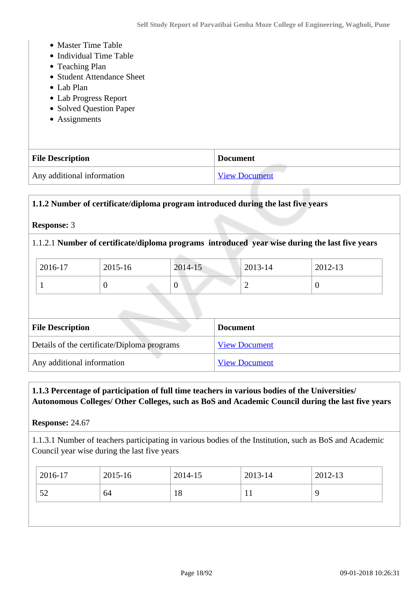- Master Time Table
- Individual Time Table
- Teaching Plan
- Student Attendance Sheet
- Lab Plan
- Lab Progress Report
- Solved Question Paper
- Assignments

| <b>File Description</b>    | <b>Document</b>      |
|----------------------------|----------------------|
| Any additional information | <b>View Document</b> |

#### **1.1.2 Number of certificate/diploma program introduced during the last five years**

#### **Response:** 3

#### 1.1.2.1 **Number of certificate/diploma programs introduced year wise during the last five years**

| 2016-17 | 2015-16 | 2014-15 | 2013-14 | 2012-13 |
|---------|---------|---------|---------|---------|
|         | ◡       | ν       | -       |         |

| <b>File Description</b>                     | <b>Document</b>      |
|---------------------------------------------|----------------------|
| Details of the certificate/Diploma programs | <b>View Document</b> |
| Any additional information                  | <b>View Document</b> |

#### **1.1.3 Percentage of participation of full time teachers in various bodies of the Universities/ Autonomous Colleges/ Other Colleges, such as BoS and Academic Council during the last five years**

**Response:** 24.67

1.1.3.1 Number of teachers participating in various bodies of the Institution, such as BoS and Academic Council year wise during the last five years

| 2016-17  | 2015-16<br>2014-15 | 2013-14 | 2012-13 |  |
|----------|--------------------|---------|---------|--|
| 52<br>64 | 18                 |         |         |  |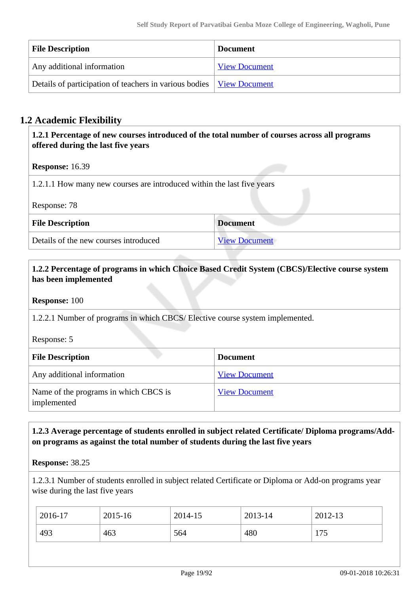| <b>File Description</b>                                                     | <b>Document</b>      |
|-----------------------------------------------------------------------------|----------------------|
| Any additional information                                                  | <b>View Document</b> |
| Details of participation of teachers in various bodies <u>View Document</u> |                      |

### **1.2 Academic Flexibility**

 **1.2.1 Percentage of new courses introduced of the total number of courses across all programs offered during the last five years**

**Response:** 16.39

1.2.1.1 How many new courses are introduced within the last five years

Response: 78

| <b>File Description</b>               | <b>Document</b>      |
|---------------------------------------|----------------------|
| Details of the new courses introduced | <b>View Document</b> |

#### **1.2.2 Percentage of programs in which Choice Based Credit System (CBCS)/Elective course system has been implemented**

**Response:** 100

1.2.2.1 Number of programs in which CBCS/ Elective course system implemented.

Response: 5

| <b>File Description</b>                              | <b>Document</b>      |
|------------------------------------------------------|----------------------|
| Any additional information                           | <b>View Document</b> |
| Name of the programs in which CBCS is<br>implemented | <b>View Document</b> |

#### **1.2.3 Average percentage of students enrolled in subject related Certificate/ Diploma programs/Addon programs as against the total number of students during the last five years**

**Response:** 38.25

1.2.3.1 Number of students enrolled in subject related Certificate or Diploma or Add-on programs year wise during the last five years

| 2016-17 | 2015-16 | 2014-15 | 2013-14 | 2012-13 |
|---------|---------|---------|---------|---------|
| 493     | 463     | 564     | 480     | 75      |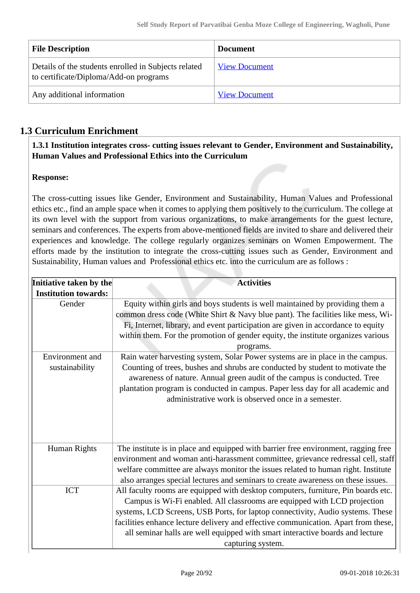| <b>File Description</b>                                                                        | <b>Document</b>      |
|------------------------------------------------------------------------------------------------|----------------------|
| Details of the students enrolled in Subjects related<br>to certificate/Diploma/Add-on programs | <b>View Document</b> |
| Any additional information                                                                     | <b>View Document</b> |

### **1.3 Curriculum Enrichment**

 **1.3.1 Institution integrates cross- cutting issues relevant to Gender, Environment and Sustainability, Human Values and Professional Ethics into the Curriculum**

#### **Response:**

The cross-cutting issues like Gender, Environment and Sustainability, Human Values and Professional ethics etc., find an ample space when it comes to applying them positively to the curriculum. The college at its own level with the support from various organizations, to make arrangements for the guest lecture, seminars and conferences. The experts from above-mentioned fields are invited to share and delivered their experiences and knowledge. The college regularly organizes seminars on Women Empowerment. The efforts made by the institution to integrate the cross-cutting issues such as Gender, Environment and Sustainability, Human values and Professional ethics etc. into the curriculum are as follows :

| Initiative taken by the     | <b>Activities</b>                                                                                                                                                                                                                                                                                                                                    |
|-----------------------------|------------------------------------------------------------------------------------------------------------------------------------------------------------------------------------------------------------------------------------------------------------------------------------------------------------------------------------------------------|
| <b>Institution towards:</b> |                                                                                                                                                                                                                                                                                                                                                      |
| Gender                      | Equity within girls and boys students is well maintained by providing them a<br>common dress code (White Shirt & Navy blue pant). The facilities like mess, Wi-<br>Fi, Internet, library, and event participation are given in accordance to equity<br>within them. For the promotion of gender equity, the institute organizes various<br>programs. |
| Environment and             | Rain water harvesting system, Solar Power systems are in place in the campus.                                                                                                                                                                                                                                                                        |
| sustainability              | Counting of trees, bushes and shrubs are conducted by student to motivate the<br>awareness of nature. Annual green audit of the campus is conducted. Tree<br>plantation program is conducted in campus. Paper less day for all academic and<br>administrative work is observed once in a semester.                                                   |
| Human Rights                | The institute is in place and equipped with barrier free environment, ragging free                                                                                                                                                                                                                                                                   |
|                             | environment and woman anti-harassment committee, grievance redressal cell, staff<br>welfare committee are always monitor the issues related to human right. Institute<br>also arranges special lectures and seminars to create awareness on these issues.                                                                                            |
| <b>ICT</b>                  | All faculty rooms are equipped with desktop computers, furniture, Pin boards etc.<br>Campus is Wi-Fi enabled. All classrooms are equipped with LCD projection                                                                                                                                                                                        |
|                             | systems, LCD Screens, USB Ports, for laptop connectivity, Audio systems. These                                                                                                                                                                                                                                                                       |
|                             | facilities enhance lecture delivery and effective communication. Apart from these,                                                                                                                                                                                                                                                                   |
|                             | all seminar halls are well equipped with smart interactive boards and lecture                                                                                                                                                                                                                                                                        |
|                             | capturing system.                                                                                                                                                                                                                                                                                                                                    |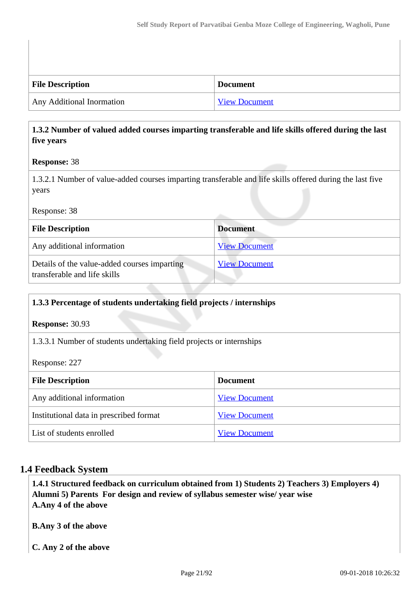| <b>File Description</b>   | <b>Document</b> |
|---------------------------|-----------------|
| Any Additional Inormation | View Document   |

#### **1.3.2 Number of valued added courses imparting transferable and life skills offered during the last five years**

#### **Response:** 38

1.3.2.1 Number of value-added courses imparting transferable and life skills offered during the last five years

#### Response: 38

| <b>File Description</b>                                                      | <b>Document</b>      |
|------------------------------------------------------------------------------|----------------------|
| Any additional information                                                   | <b>View Document</b> |
| Details of the value-added courses imparting<br>transferable and life skills | <b>View Document</b> |

# **1.3.3 Percentage of students undertaking field projects / internships**

**Response:** 30.93

1.3.3.1 Number of students undertaking field projects or internships

Response: 227

| <b>File Description</b>                 | <b>Document</b>      |
|-----------------------------------------|----------------------|
| Any additional information              | <b>View Document</b> |
| Institutional data in prescribed format | <b>View Document</b> |
| List of students enrolled               | <b>View Document</b> |

#### **1.4 Feedback System**

 **1.4.1 Structured feedback on curriculum obtained from 1) Students 2) Teachers 3) Employers 4) Alumni 5) Parents For design and review of syllabus semester wise/ year wise A.Any 4 of the above**

**B.Any 3 of the above**

**C. Any 2 of the above**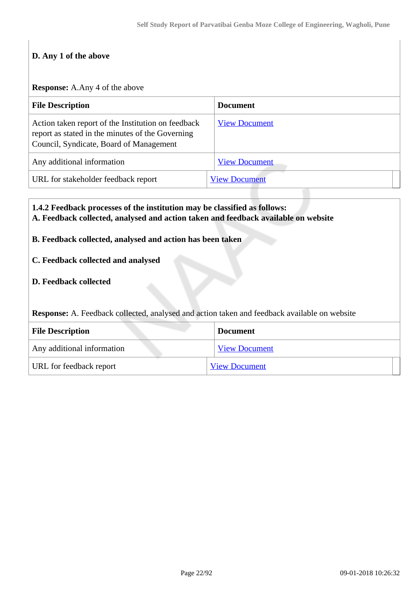#### **D. Any 1 of the above**

#### **Response:** A.Any 4 of the above

| <b>File Description</b>                                                                                                                           | <b>Document</b>      |
|---------------------------------------------------------------------------------------------------------------------------------------------------|----------------------|
| Action taken report of the Institution on feedback<br>report as stated in the minutes of the Governing<br>Council, Syndicate, Board of Management | <b>View Document</b> |
| Any additional information                                                                                                                        | <b>View Document</b> |
| URL for stakeholder feedback report                                                                                                               | <b>View Document</b> |

#### **1.4.2 Feedback processes of the institution may be classified as follows: A. Feedback collected, analysed and action taken and feedback available on website**

#### **B. Feedback collected, analysed and action has been taken**

#### **C. Feedback collected and analysed**

#### **D. Feedback collected**

**Response:** A. Feedback collected, analysed and action taken and feedback available on website

| <b>File Description</b>    | <b>Document</b>      |
|----------------------------|----------------------|
| Any additional information | <b>View Document</b> |
| URL for feedback report    | <b>View Document</b> |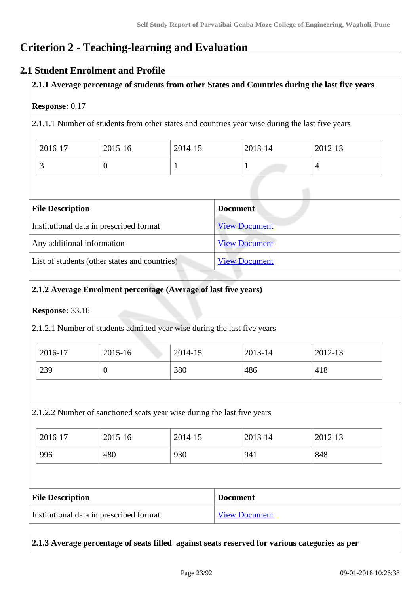# **Criterion 2 - Teaching-learning and Evaluation**

#### **2.1 Student Enrolment and Profile**

**2.1.1 Average percentage of students from other States and Countries during the last five years**

#### **Response:** 0.17

2.1.1.1 Number of students from other states and countries year wise during the last five years

| 2016-17                  | 2015-16 | 2014-15 | 2013-14 | 2012-13 |
|--------------------------|---------|---------|---------|---------|
| $\overline{\phantom{0}}$ |         |         |         |         |

| <b>File Description</b>                       | <b>Document</b>      |
|-----------------------------------------------|----------------------|
| Institutional data in prescribed format       | <b>View Document</b> |
| Any additional information                    | <b>View Document</b> |
| List of students (other states and countries) | <b>View Document</b> |

#### **2.1.2 Average Enrolment percentage (Average of last five years)**

#### **Response:** 33.16

2.1.2.1 Number of students admitted year wise during the last five years

| 2016-17 | 2015-16 | 2014-15 | 2013-14 | 2012-13 |
|---------|---------|---------|---------|---------|
| 239     | U       | 380     | 486     | 418     |

#### 2.1.2.2 Number of sanctioned seats year wise during the last five years

| 2016-17 | 2015-16 | 2014-15 | 2013-14 | 2012-13 |
|---------|---------|---------|---------|---------|
| 996     | 480     | 930     | 941     | 848     |

| <b>File Description</b>                 | <b>Document</b>      |
|-----------------------------------------|----------------------|
| Institutional data in prescribed format | <b>View Document</b> |

**2.1.3 Average percentage of seats filled against seats reserved for various categories as per**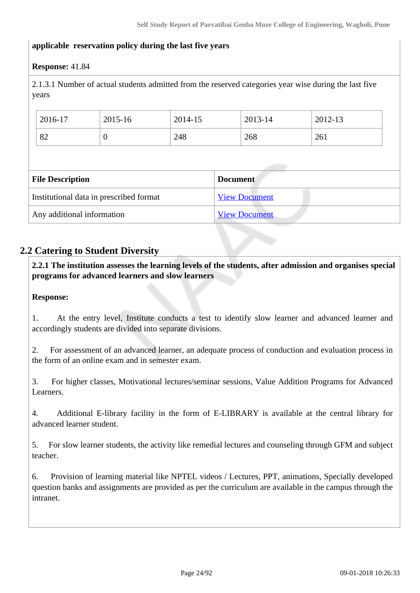#### **applicable reservation policy during the last five years**

#### **Response:** 41.84

2.1.3.1 Number of actual students admitted from the reserved categories year wise during the last five years

| 2016-17                 | 2015-16                                 | 2014-15 | 2013-14              | 2012-13 |
|-------------------------|-----------------------------------------|---------|----------------------|---------|
| 82                      | $\theta$                                | 248     | 268                  | 261     |
|                         |                                         |         |                      |         |
|                         |                                         |         |                      |         |
|                         |                                         |         |                      |         |
| <b>File Description</b> |                                         |         | <b>Document</b>      |         |
|                         | Institutional data in prescribed format |         | <b>View Document</b> |         |

#### **2.2 Catering to Student Diversity**

 **2.2.1 The institution assesses the learning levels of the students, after admission and organises special programs for advanced learners and slow learners**

#### **Response:**

1. At the entry level, Institute conducts a test to identify slow learner and advanced learner and accordingly students are divided into separate divisions.

2. For assessment of an advanced learner, an adequate process of conduction and evaluation process in the form of an online exam and in semester exam.

3. For higher classes, Motivational lectures/seminar sessions, Value Addition Programs for Advanced Learners.

4. Additional E-library facility in the form of E-LIBRARY is available at the central library for advanced learner student.

5. For slow learner students, the activity like remedial lectures and counseling through GFM and subject teacher.

6. Provision of learning material like NPTEL videos / Lectures, PPT, animations, Specially developed question banks and assignments are provided as per the curriculum are available in the campus through the intranet.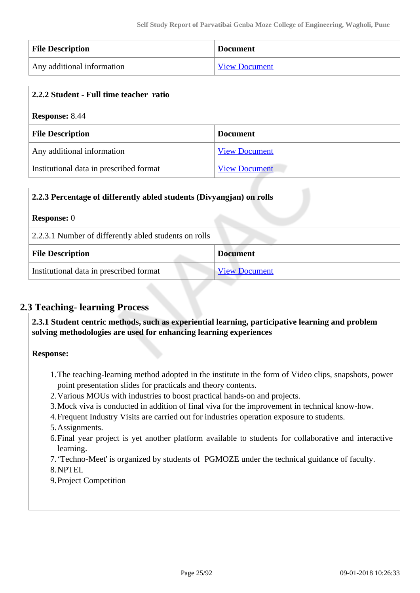| <b>File Description</b>    | <b>Document</b>      |
|----------------------------|----------------------|
| Any additional information | <b>View Document</b> |

| 2.2.2 Student - Full time teacher ratio |                      |  |
|-----------------------------------------|----------------------|--|
| <b>Response: 8.44</b>                   |                      |  |
| <b>File Description</b>                 | <b>Document</b>      |  |
| Any additional information              | <b>View Document</b> |  |
| Institutional data in prescribed format | <b>View Document</b> |  |

| 2.2.3 Percentage of differently abled students (Divyangjan) on rolls |                      |  |
|----------------------------------------------------------------------|----------------------|--|
| <b>Response:</b> 0                                                   |                      |  |
| 2.2.3.1 Number of differently abled students on rolls                |                      |  |
| <b>File Description</b>                                              | <b>Document</b>      |  |
| Institutional data in prescribed format                              | <b>View Document</b> |  |

#### **2.3 Teaching- learning Process**

 **2.3.1 Student centric methods, such as experiential learning, participative learning and problem solving methodologies are used for enhancing learning experiences**

**Response:** 

- 1.The teaching-learning method adopted in the institute in the form of Video clips, snapshots, power point presentation slides for practicals and theory contents.
- 2.Various MOUs with industries to boost practical hands-on and projects.
- 3.Mock viva is conducted in addition of final viva for the improvement in technical know-how.
- 4.Frequent Industry Visits are carried out for industries operation exposure to students.
- 5.Assignments.
- 6.Final year project is yet another platform available to students for collaborative and interactive learning.

7.'Techno-Meet' is organized by students of PGMOZE under the technical guidance of faculty. 8.NPTEL

9.Project Competition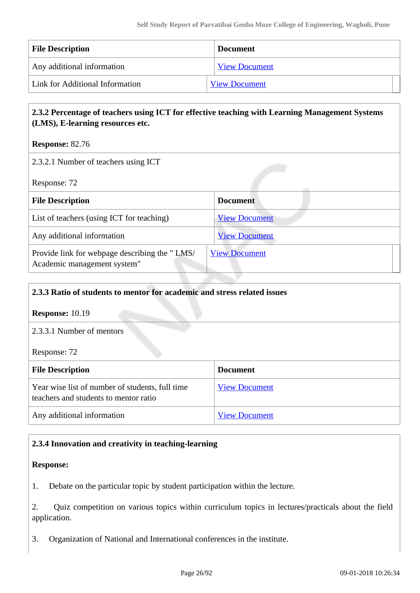| <b>File Description</b>         | <b>Document</b>      |
|---------------------------------|----------------------|
| Any additional information      | <b>View Document</b> |
| Link for Additional Information | <b>View Document</b> |

#### **2.3.2 Percentage of teachers using ICT for effective teaching with Learning Management Systems (LMS), E-learning resources etc.**

**Response:** 82.76

2.3.2.1 Number of teachers using ICT

Response: 72

| <b>File Description</b>                                                      | <b>Document</b>      |
|------------------------------------------------------------------------------|----------------------|
| List of teachers (using ICT for teaching)                                    | <b>View Document</b> |
| Any additional information                                                   | <b>View Document</b> |
| Provide link for webpage describing the "LMS/<br>Academic management system" | <b>View Document</b> |

#### **2.3.3 Ratio of students to mentor for academic and stress related issues**

**Response:** 10.19

2.3.3.1 Number of mentors

Response: 72

| <b>File Description</b>                                                                  | <b>Document</b>      |
|------------------------------------------------------------------------------------------|----------------------|
| Year wise list of number of students, full time<br>teachers and students to mentor ratio | <b>View Document</b> |
| Any additional information                                                               | <b>View Document</b> |

#### **2.3.4 Innovation and creativity in teaching-learning**

#### **Response:**

1. Debate on the particular topic by student participation within the lecture.

2. Quiz competition on various topics within curriculum topics in lectures/practicals about the field application.

3. Organization of National and International conferences in the institute.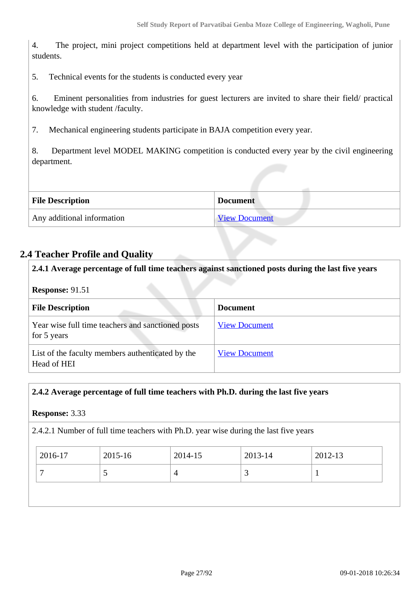4. The project, mini project competitions held at department level with the participation of junior students.

5. Technical events for the students is conducted every year

6. Eminent personalities from industries for guest lecturers are invited to share their field/ practical knowledge with student /faculty.

7. Mechanical engineering students participate in BAJA competition every year.

8. Department level MODEL MAKING competition is conducted every year by the civil engineering department.

| <b>File Description</b>    | <b>Document</b>      |
|----------------------------|----------------------|
| Any additional information | <b>View Document</b> |

#### **2.4 Teacher Profile and Quality**

| 2.4.1 Average percentage of full time teachers against sanctioned posts during the last five years<br><b>Response: 91.51</b> |                      |  |
|------------------------------------------------------------------------------------------------------------------------------|----------------------|--|
| <b>File Description</b>                                                                                                      | <b>Document</b>      |  |
| Year wise full time teachers and sanctioned posts<br>for 5 years                                                             | <b>View Document</b> |  |
| List of the faculty members authenticated by the<br>Head of HEI                                                              | <b>View Document</b> |  |

#### **2.4.2 Average percentage of full time teachers with Ph.D. during the last five years**

**Response:** 3.33

2.4.2.1 Number of full time teachers with Ph.D. year wise during the last five years

| $\frac{1}{2016}$ -17 | $2015 - 16$ | 2014-15 | 2013-14 | 2012-13 |
|----------------------|-------------|---------|---------|---------|
| -                    |             |         | ັ       |         |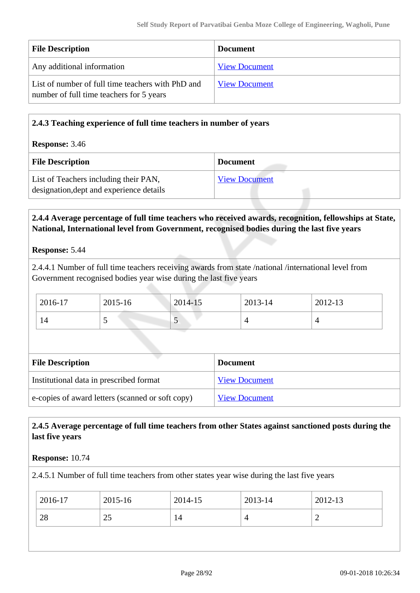| <b>File Description</b>                                                                       | <b>Document</b>      |
|-----------------------------------------------------------------------------------------------|----------------------|
| Any additional information                                                                    | <b>View Document</b> |
| List of number of full time teachers with PhD and<br>number of full time teachers for 5 years | <b>View Document</b> |

| 2.4.3 Teaching experience of full time teachers in number of years                |                      |
|-----------------------------------------------------------------------------------|----------------------|
| <b>Response: 3.46</b>                                                             |                      |
| <b>File Description</b>                                                           | <b>Document</b>      |
| List of Teachers including their PAN,<br>designation, dept and experience details | <b>View Document</b> |

#### **2.4.4 Average percentage of full time teachers who received awards, recognition, fellowships at State, National, International level from Government, recognised bodies during the last five years**

#### **Response:** 5.44

2.4.4.1 Number of full time teachers receiving awards from state /national /international level from Government recognised bodies year wise during the last five years

| 2016-17 | 2015-16 | $2014 - 15$ | 2013-14 | 2012-13 |
|---------|---------|-------------|---------|---------|
| 14      |         | ◡           |         |         |

| <b>File Description</b>                          | <b>Document</b>      |
|--------------------------------------------------|----------------------|
| Institutional data in prescribed format          | <b>View Document</b> |
| e-copies of award letters (scanned or soft copy) | <b>View Document</b> |

#### **2.4.5 Average percentage of full time teachers from other States against sanctioned posts during the last five years**

#### **Response:** 10.74

2.4.5.1 Number of full time teachers from other states year wise during the last five years

| 2016-17 | 2015-16  | 2014-15 | 2013-14 | 2012-13 |
|---------|----------|---------|---------|---------|
| 28      | າເ<br>رے | 14      | ↤       | -       |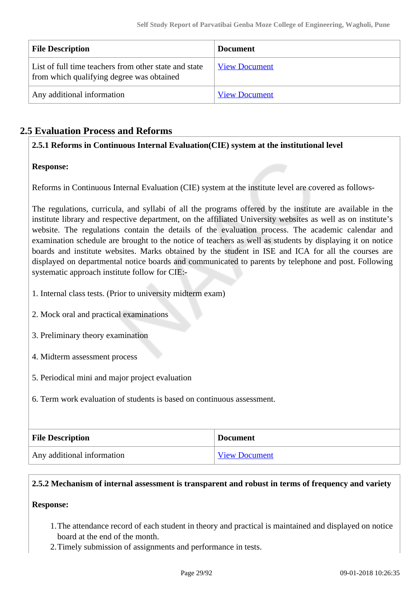| <b>File Description</b>                                                                            | <b>Document</b>      |
|----------------------------------------------------------------------------------------------------|----------------------|
| List of full time teachers from other state and state<br>from which qualifying degree was obtained | <b>View Document</b> |
| Any additional information                                                                         | <b>View Document</b> |

### **2.5 Evaluation Process and Reforms**

**2.5.1 Reforms in Continuous Internal Evaluation(CIE) system at the institutional level**

#### **Response:**

Reforms in Continuous Internal Evaluation (CIE) system at the institute level are covered as follows-

The regulations, curricula, and syllabi of all the programs offered by the institute are available in the institute library and respective department, on the affiliated University websites as well as on institute's website. The regulations contain the details of the evaluation process. The academic calendar and examination schedule are brought to the notice of teachers as well as students by displaying it on notice boards and institute websites. Marks obtained by the student in ISE and ICA for all the courses are displayed on departmental notice boards and communicated to parents by telephone and post. Following systematic approach institute follow for CIE:-

- 1. Internal class tests. (Prior to university midterm exam)
- 2. Mock oral and practical examinations
- 3. Preliminary theory examination
- 4. Midterm assessment process
- 5. Periodical mini and major project evaluation
- 6. Term work evaluation of students is based on continuous assessment.

| <b>File Description</b>    | <b>Document</b>      |
|----------------------------|----------------------|
| Any additional information | <b>View Document</b> |

#### **2.5.2 Mechanism of internal assessment is transparent and robust in terms of frequency and variety**

#### **Response:**

- 1.The attendance record of each student in theory and practical is maintained and displayed on notice board at the end of the month.
- 2.Timely submission of assignments and performance in tests.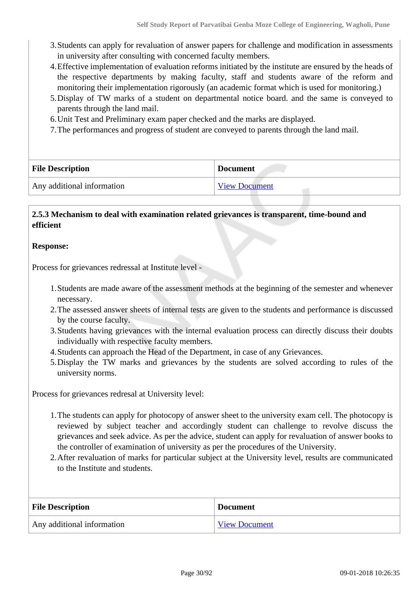- 3.Students can apply for revaluation of answer papers for challenge and modification in assessments in university after consulting with concerned faculty members.
- 4.Effective implementation of evaluation reforms initiated by the institute are ensured by the heads of the respective departments by making faculty, staff and students aware of the reform and monitoring their implementation rigorously (an academic format which is used for monitoring.)
- 5.Display of TW marks of a student on departmental notice board. and the same is conveyed to parents through the land mail.
- 6.Unit Test and Preliminary exam paper checked and the marks are displayed.
- 7.The performances and progress of student are conveyed to parents through the land mail.

| <b>File Description</b>    | <b>Document</b>      |
|----------------------------|----------------------|
| Any additional information | <b>View Document</b> |

#### **2.5.3 Mechanism to deal with examination related grievances is transparent, time-bound and efficient**

#### **Response:**

Process for grievances redressal at Institute level -

- 1.Students are made aware of the assessment methods at the beginning of the semester and whenever necessary.
- 2.The assessed answer sheets of internal tests are given to the students and performance is discussed by the course faculty.
- 3.Students having grievances with the internal evaluation process can directly discuss their doubts individually with respective faculty members.
- 4.Students can approach the Head of the Department, in case of any Grievances.
- 5.Display the TW marks and grievances by the students are solved according to rules of the university norms.

Process for grievances redresal at University level:

- 1.The students can apply for photocopy of answer sheet to the university exam cell. The photocopy is reviewed by subject teacher and accordingly student can challenge to revolve discuss the grievances and seek advice. As per the advice, student can apply for revaluation of answer books to the controller of examination of university as per the procedures of the University.
- 2.After revaluation of marks for particular subject at the University level, results are communicated to the Institute and students.

| <b>File Description</b>    | <b>Document</b>      |  |
|----------------------------|----------------------|--|
| Any additional information | <b>View Document</b> |  |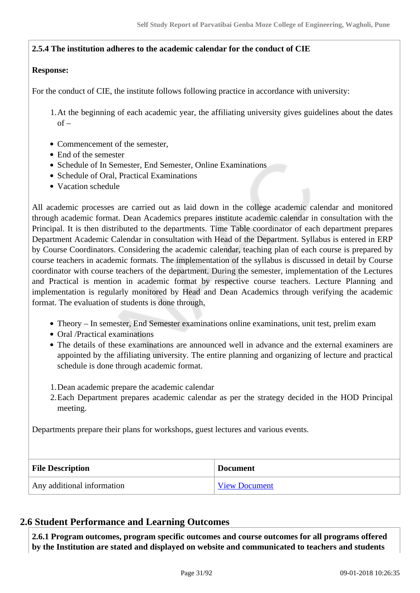#### **2.5.4 The institution adheres to the academic calendar for the conduct of CIE**

#### **Response:**

For the conduct of CIE, the institute follows following practice in accordance with university:

1.At the beginning of each academic year, the affiliating university gives guidelines about the dates  $of –$ 

- Commencement of the semester,
- End of the semester
- Schedule of In Semester, End Semester, Online Examinations
- Schedule of Oral, Practical Examinations
- Vacation schedule

All academic processes are carried out as laid down in the college academic calendar and monitored through academic format. Dean Academics prepares institute academic calendar in consultation with the Principal. It is then distributed to the departments. Time Table coordinator of each department prepares Department Academic Calendar in consultation with Head of the Department. Syllabus is entered in ERP by Course Coordinators. Considering the academic calendar, teaching plan of each course is prepared by course teachers in academic formats. The implementation of the syllabus is discussed in detail by Course coordinator with course teachers of the department. During the semester, implementation of the Lectures and Practical is mention in academic format by respective course teachers. Lecture Planning and implementation is regularly monitored by Head and Dean Academics through verifying the academic format. The evaluation of students is done through,

- Theory In semester, End Semester examinations online examinations, unit test, prelim exam
- Oral /Practical examinations
- The details of these examinations are announced well in advance and the external examiners are appointed by the affiliating university. The entire planning and organizing of lecture and practical schedule is done through academic format.
- 1.Dean academic prepare the academic calendar
- 2.Each Department prepares academic calendar as per the strategy decided in the HOD Principal meeting.

Departments prepare their plans for workshops, guest lectures and various events.

| <b>File Description</b>    | <b>Document</b>      |  |
|----------------------------|----------------------|--|
| Any additional information | <b>View Document</b> |  |

#### **2.6 Student Performance and Learning Outcomes**

 **2.6.1 Program outcomes, program specific outcomes and course outcomes for all programs offered by the Institution are stated and displayed on website and communicated to teachers and students**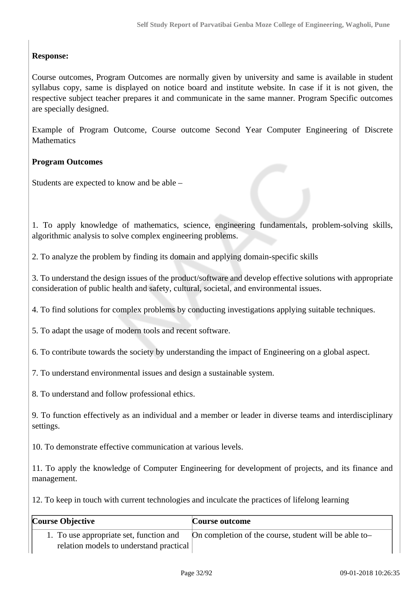#### **Response:**

Course outcomes, Program Outcomes are normally given by university and same is available in student syllabus copy, same is displayed on notice board and institute website. In case if it is not given, the respective subject teacher prepares it and communicate in the same manner. Program Specific outcomes are specially designed.

Example of Program Outcome, Course outcome Second Year Computer Engineering of Discrete **Mathematics** 

#### **Program Outcomes**

Students are expected to know and be able –

1. To apply knowledge of mathematics, science, engineering fundamentals, problem-solving skills, algorithmic analysis to solve complex engineering problems.

2. To analyze the problem by finding its domain and applying domain-specific skills

3. To understand the design issues of the product/software and develop effective solutions with appropriate consideration of public health and safety, cultural, societal, and environmental issues.

4. To find solutions for complex problems by conducting investigations applying suitable techniques.

5. To adapt the usage of modern tools and recent software.

6. To contribute towards the society by understanding the impact of Engineering on a global aspect.

7. To understand environmental issues and design a sustainable system.

8. To understand and follow professional ethics.

9. To function effectively as an individual and a member or leader in diverse teams and interdisciplinary settings.

10. To demonstrate effective communication at various levels.

11. To apply the knowledge of Computer Engineering for development of projects, and its finance and management.

12. To keep in touch with current technologies and inculcate the practices of lifelong learning

| Course Objective                        | <b>Course outcome</b>                                 |  |
|-----------------------------------------|-------------------------------------------------------|--|
| 1. To use appropriate set, function and | On completion of the course, student will be able to- |  |
| relation models to understand practical |                                                       |  |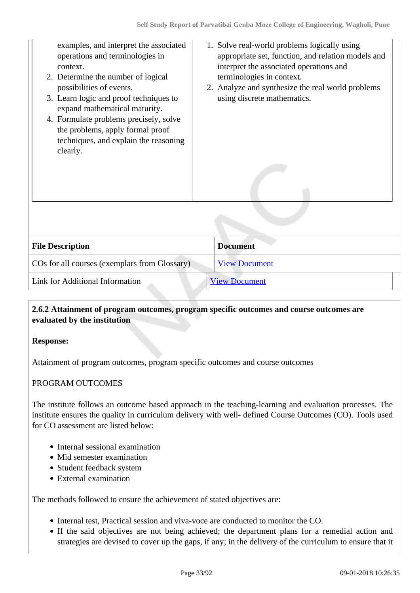| examples, and interpret the associated<br>operations and terminologies in<br>context.<br>2. Determine the number of logical<br>possibilities of events.<br>3. Learn logic and proof techniques to<br>expand mathematical maturity.<br>4. Formulate problems precisely, solve<br>the problems, apply formal proof<br>techniques, and explain the reasoning<br>clearly. | 1. Solve real-world problems logically using<br>appropriate set, function, and relation models and<br>interpret the associated operations and<br>terminologies in context.<br>2. Analyze and synthesize the real world problems<br>using discrete mathematics. |
|-----------------------------------------------------------------------------------------------------------------------------------------------------------------------------------------------------------------------------------------------------------------------------------------------------------------------------------------------------------------------|----------------------------------------------------------------------------------------------------------------------------------------------------------------------------------------------------------------------------------------------------------------|
| <b>File Description</b>                                                                                                                                                                                                                                                                                                                                               | <b>Document</b>                                                                                                                                                                                                                                                |
| COs for all courses (exemplars from Glossary)                                                                                                                                                                                                                                                                                                                         | <b>View Document</b>                                                                                                                                                                                                                                           |
| Link for Additional Information                                                                                                                                                                                                                                                                                                                                       | <b>View Document</b>                                                                                                                                                                                                                                           |

#### **2.6.2 Attainment of program outcomes, program specific outcomes and course outcomes are evaluated by the institution**

#### **Response:**

Attainment of program outcomes, program specific outcomes and course outcomes

#### PROGRAM OUTCOMES

The institute follows an outcome based approach in the teaching-learning and evaluation processes. The institute ensures the quality in curriculum delivery with well- defined Course Outcomes (CO). Tools used for CO assessment are listed below:

- Internal sessional examination
- Mid semester examination
- Student feedback system
- External examination

The methods followed to ensure the achievement of stated objectives are:

- Internal test, Practical session and viva-voce are conducted to monitor the CO.
- If the said objectives are not being achieved; the department plans for a remedial action and strategies are devised to cover up the gaps, if any; in the delivery of the curriculum to ensure that it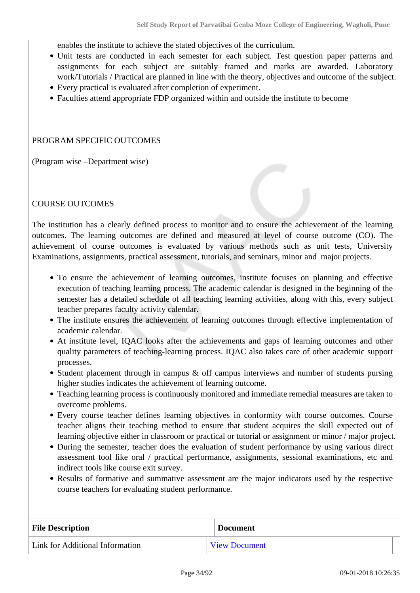enables the institute to achieve the stated objectives of the curriculum.

- Unit tests are conducted in each semester for each subject. Test question paper patterns and assignments for each subject are suitably framed and marks are awarded. Laboratory work/Tutorials / Practical are planned in line with the theory, objectives and outcome of the subject.
- Every practical is evaluated after completion of experiment.
- Faculties attend appropriate FDP organized within and outside the institute to become

#### PROGRAM SPECIFIC OUTCOMES

(Program wise –Department wise)

#### COURSE OUTCOMES

The institution has a clearly defined process to monitor and to ensure the achievement of the learning outcomes. The learning outcomes are defined and measured at level of course outcome (CO). The achievement of course outcomes is evaluated by various methods such as unit tests, University Examinations, assignments, practical assessment, tutorials, and seminars, minor and major projects.

- To ensure the achievement of learning outcomes, institute focuses on planning and effective execution of teaching learning process. The academic calendar is designed in the beginning of the semester has a detailed schedule of all teaching learning activities, along with this, every subject teacher prepares faculty activity calendar.
- The institute ensures the achievement of learning outcomes through effective implementation of academic calendar.
- At institute level, IQAC looks after the achievements and gaps of learning outcomes and other quality parameters of teaching-learning process. IQAC also takes care of other academic support processes.
- Student placement through in campus & off campus interviews and number of students pursing higher studies indicates the achievement of learning outcome.
- Teaching learning process is continuously monitored and immediate remedial measures are taken to overcome problems.
- Every course teacher defines learning objectives in conformity with course outcomes. Course teacher aligns their teaching method to ensure that student acquires the skill expected out of learning objective either in classroom or practical or tutorial or assignment or minor / major project.
- During the semester, teacher does the evaluation of student performance by using various direct assessment tool like oral / practical performance, assignments, sessional examinations, etc and indirect tools like course exit survey.
- Results of formative and summative assessment are the major indicators used by the respective course teachers for evaluating student performance.

| <b>File Description</b>         | <b>Document</b>      |
|---------------------------------|----------------------|
| Link for Additional Information | <b>View Document</b> |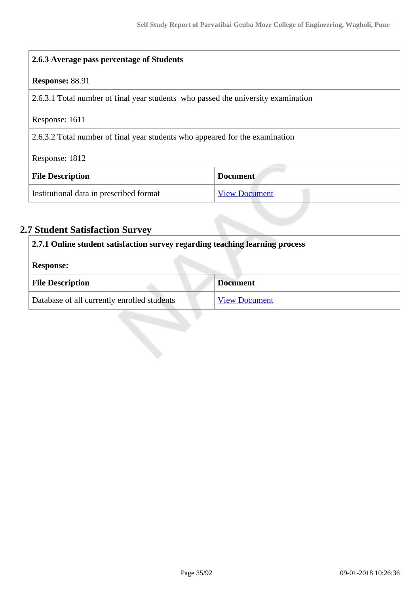| 2.6.3 Average pass percentage of Students                                         |                      |  |
|-----------------------------------------------------------------------------------|----------------------|--|
| Response: 88.91                                                                   |                      |  |
| 2.6.3.1 Total number of final year students who passed the university examination |                      |  |
| Response: 1611                                                                    |                      |  |
| 2.6.3.2 Total number of final year students who appeared for the examination      |                      |  |
| Response: 1812                                                                    |                      |  |
| <b>File Description</b>                                                           | <b>Document</b>      |  |
| Institutional data in prescribed format                                           | <b>View Document</b> |  |

# **2.7 Student Satisfaction Survey**

| 2.7.1 Online student satisfaction survey regarding teaching learning process |                      |  |  |
|------------------------------------------------------------------------------|----------------------|--|--|
| <b>Response:</b>                                                             |                      |  |  |
| <b>File Description</b>                                                      | <b>Document</b>      |  |  |
| Database of all currently enrolled students                                  | <b>View Document</b> |  |  |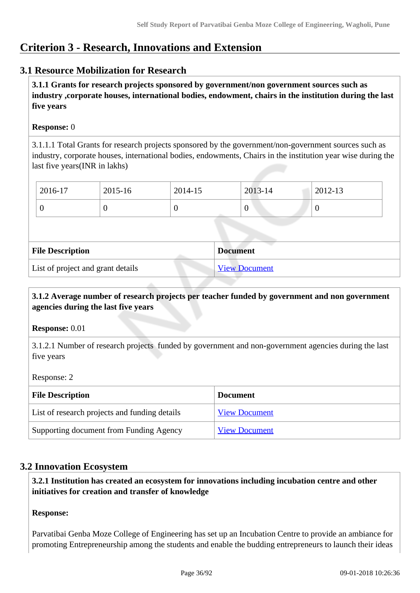# **Criterion 3 - Research, Innovations and Extension**

#### **3.1 Resource Mobilization for Research**

 **3.1.1 Grants for research projects sponsored by government/non government sources such as industry ,corporate houses, international bodies, endowment, chairs in the institution during the last five years**

#### **Response:** 0

3.1.1.1 Total Grants for research projects sponsored by the government/non-government sources such as industry, corporate houses, international bodies, endowments, Chairs in the institution year wise during the last five years(INR in lakhs)

| 2016-17 | 2015-16 | 2014-15 | 2013-14 | 2012-13        |
|---------|---------|---------|---------|----------------|
|         |         |         | 0       | $\overline{0}$ |

| <b>File Description</b>           | <b>Document</b>      |
|-----------------------------------|----------------------|
| List of project and grant details | <b>View Document</b> |

#### **3.1.2 Average number of research projects per teacher funded by government and non government agencies during the last five years**

**Response:** 0.01

3.1.2.1 Number of research projects funded by government and non-government agencies during the last five years

Response: 2

| <b>File Description</b>                       | <b>Document</b>      |
|-----------------------------------------------|----------------------|
| List of research projects and funding details | <b>View Document</b> |
| Supporting document from Funding Agency       | <b>View Document</b> |

#### **3.2 Innovation Ecosystem**

 **3.2.1 Institution has created an ecosystem for innovations including incubation centre and other initiatives for creation and transfer of knowledge**

#### **Response:**

Parvatibai Genba Moze College of Engineering has set up an Incubation Centre to provide an ambiance for promoting Entrepreneurship among the students and enable the budding entrepreneurs to launch their ideas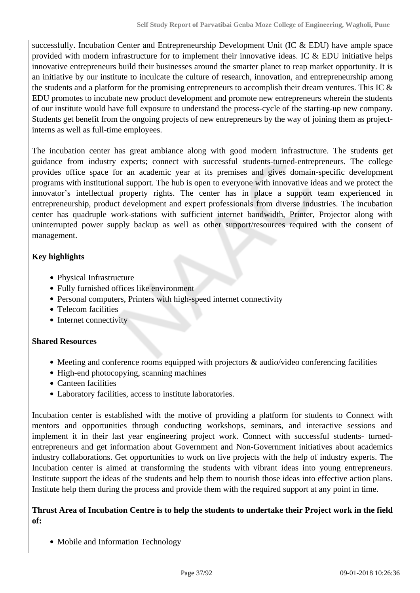successfully. Incubation Center and Entrepreneurship Development Unit (IC & EDU) have ample space provided with modern infrastructure for to implement their innovative ideas. IC  $\&$  EDU initiative helps innovative entrepreneurs build their businesses around the smarter planet to reap market opportunity. It is an initiative by our institute to inculcate the culture of research, innovation, and entrepreneurship among the students and a platform for the promising entrepreneurs to accomplish their dream ventures. This IC  $\&$ EDU promotes to incubate new product development and promote new entrepreneurs wherein the students of our institute would have full exposure to understand the process-cycle of the starting-up new company. Students get benefit from the ongoing projects of new entrepreneurs by the way of joining them as projectinterns as well as full-time employees.

The incubation center has great ambiance along with good modern infrastructure. The students get guidance from industry experts; connect with successful students-turned-entrepreneurs. The college provides office space for an academic year at its premises and gives domain-specific development programs with institutional support. The hub is open to everyone with innovative ideas and we protect the innovator's intellectual property rights. The center has in place a support team experienced in entrepreneurship, product development and expert professionals from diverse industries. The incubation center has quadruple work-stations with sufficient internet bandwidth, Printer, Projector along with uninterrupted power supply backup as well as other support/resources required with the consent of management.

# **Key highlights**

- Physical Infrastructure
- Fully furnished offices like environment
- Personal computers, Printers with high-speed internet connectivity
- Telecom facilities
- Internet connectivity

# **Shared Resources**

- $\bullet$  Meeting and conference rooms equipped with projectors  $\&$  audio/video conferencing facilities
- High-end photocopying, scanning machines
- Canteen facilities
- Laboratory facilities, access to institute laboratories.

Incubation center is established with the motive of providing a platform for students to Connect with mentors and opportunities through conducting workshops, seminars, and interactive sessions and implement it in their last year engineering project work. Connect with successful students- turnedentrepreneurs and get information about Government and Non-Government initiatives about academics industry collaborations. Get opportunities to work on live projects with the help of industry experts. The Incubation center is aimed at transforming the students with vibrant ideas into young entrepreneurs. Institute support the ideas of the students and help them to nourish those ideas into effective action plans. Institute help them during the process and provide them with the required support at any point in time.

## **Thrust Area of Incubation Centre is to help the students to undertake their Project work in the field of:**

• Mobile and Information Technology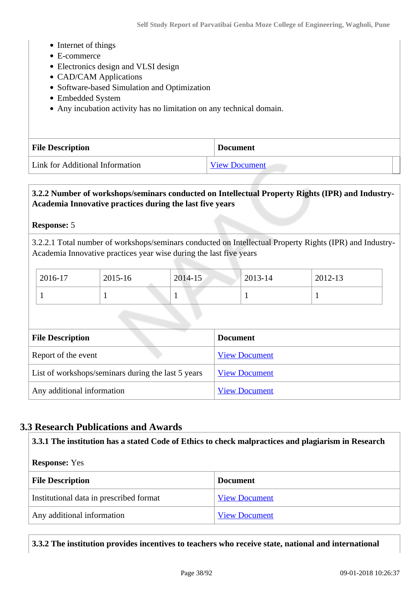- Internet of things
- E-commerce
- Electronics design and VLSI design
- CAD/CAM Applications
- Software-based Simulation and Optimization
- Embedded System
- Any incubation activity has no limitation on any technical domain.

| <b>File Description</b>         | <b>Document</b>      |
|---------------------------------|----------------------|
| Link for Additional Information | <b>View Document</b> |

# **3.2.2 Number of workshops/seminars conducted on Intellectual Property Rights (IPR) and Industry-Academia Innovative practices during the last five years**

#### **Response:** 5

3.2.2.1 Total number of workshops/seminars conducted on Intellectual Property Rights (IPR) and Industry-Academia Innovative practices year wise during the last five years

| 2016-17 | 2015-16 | 2014-15 | $12013 - 14$ | 2012-13 |
|---------|---------|---------|--------------|---------|
|         |         |         |              |         |

| <b>File Description</b>                            | <b>Document</b>      |
|----------------------------------------------------|----------------------|
| Report of the event                                | <b>View Document</b> |
| List of workshops/seminars during the last 5 years | <b>View Document</b> |
| Any additional information                         | <b>View Document</b> |

# **3.3 Research Publications and Awards**

#### **3.3.1 The institution has a stated Code of Ethics to check malpractices and plagiarism in Research**

#### **Response:** Yes

| <b>File Description</b>                 | <b>Document</b>      |
|-----------------------------------------|----------------------|
| Institutional data in prescribed format | <b>View Document</b> |
| Any additional information              | <b>View Document</b> |

### **3.3.2 The institution provides incentives to teachers who receive state, national and international**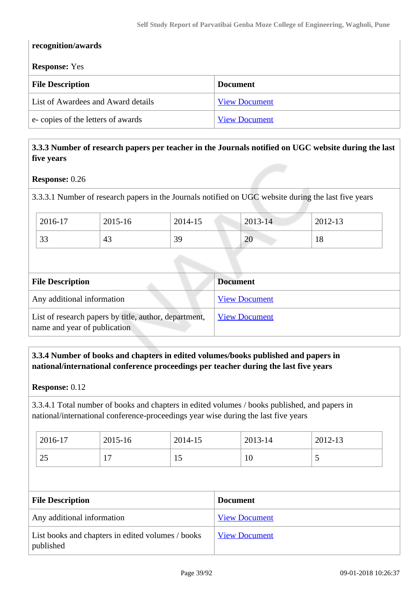| recognition/awards                 |                      |  |  |  |
|------------------------------------|----------------------|--|--|--|
| <b>Response:</b> Yes               |                      |  |  |  |
| <b>File Description</b>            | <b>Document</b>      |  |  |  |
| List of Awardees and Award details | <b>View Document</b> |  |  |  |
| e-copies of the letters of awards  | <b>View Document</b> |  |  |  |

# **3.3.3 Number of research papers per teacher in the Journals notified on UGC website during the last five years**

#### **Response:** 0.26

3.3.3.1 Number of research papers in the Journals notified on UGC website during the last five years

| 2016-17             | 2015-16 | 2014-15 | 2013-14                 | 2012-13 |
|---------------------|---------|---------|-------------------------|---------|
| $\mathcal{D}$<br>33 | 43      | 39      | $\bigcap$<br>$\angle U$ | 18      |

| <b>File Description</b>                                                               | <b>Document</b>      |
|---------------------------------------------------------------------------------------|----------------------|
| Any additional information                                                            | <b>View Document</b> |
| List of research papers by title, author, department,<br>name and year of publication | <b>View Document</b> |

#### **3.3.4 Number of books and chapters in edited volumes/books published and papers in national/international conference proceedings per teacher during the last five years**

#### **Response:** 0.12

3.3.4.1 Total number of books and chapters in edited volumes / books published, and papers in national/international conference-proceedings year wise during the last five years

| 2016-17   | 2015-16 | 2014-15 | 2013-14 | 2012-13 |
|-----------|---------|---------|---------|---------|
| つく<br>ر ے | . .     | ⊥J      | 10      | ັ       |

| <b>File Description</b>                                        | <b>Document</b>      |
|----------------------------------------------------------------|----------------------|
| Any additional information                                     | <b>View Document</b> |
| List books and chapters in edited volumes / books<br>published | <b>View Document</b> |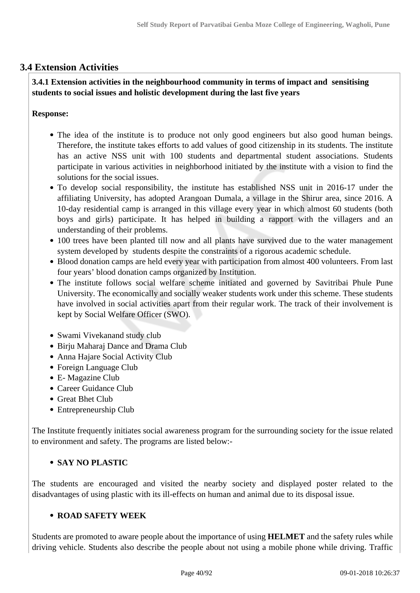# **3.4 Extension Activities**

# **3.4.1 Extension activities in the neighbourhood community in terms of impact and sensitising students to social issues and holistic development during the last five years**

## **Response:**

- The idea of the institute is to produce not only good engineers but also good human beings. Therefore, the institute takes efforts to add values of good citizenship in its students. The institute has an active NSS unit with 100 students and departmental student associations. Students participate in various activities in neighborhood initiated by the institute with a vision to find the solutions for the social issues.
- To develop social responsibility, the institute has established NSS unit in 2016-17 under the affiliating University, has adopted Arangoan Dumala, a village in the Shirur area, since 2016. A 10-day residential camp is arranged in this village every year in which almost 60 students (both boys and girls) participate. It has helped in building a rapport with the villagers and an understanding of their problems.
- 100 trees have been planted till now and all plants have survived due to the water management system developed by students despite the constraints of a rigorous academic schedule.
- Blood donation camps are held every year with participation from almost 400 volunteers. From last four years' blood donation camps organized by Institution.
- The institute follows social welfare scheme initiated and governed by Savitribai Phule Pune University. The economically and socially weaker students work under this scheme. These students have involved in social activities apart from their regular work. The track of their involvement is kept by Social Welfare Officer (SWO).
- Swami Vivekanand study club
- Birju Maharaj Dance and Drama Club
- Anna Hajare Social Activity Club
- Foreign Language Club
- E- Magazine Club
- Career Guidance Club
- Great Bhet Club
- Entrepreneurship Club

The Institute frequently initiates social awareness program for the surrounding society for the issue related to environment and safety. The programs are listed below:-

# **SAY NO PLASTIC**

The students are encouraged and visited the nearby society and displayed poster related to the disadvantages of using plastic with its ill-effects on human and animal due to its disposal issue.

#### **ROAD SAFETY WEEK**

Students are promoted to aware people about the importance of using **HELMET** and the safety rules while driving vehicle. Students also describe the people about not using a mobile phone while driving. Traffic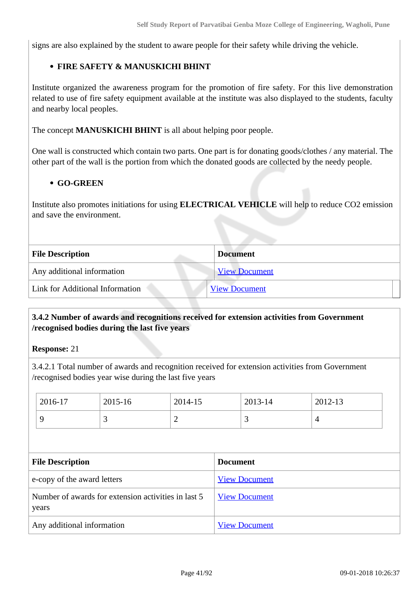signs are also explained by the student to aware people for their safety while driving the vehicle.

## **FIRE SAFETY & MANUSKICHI BHINT**

Institute organized the awareness program for the promotion of fire safety. For this live demonstration related to use of fire safety equipment available at the institute was also displayed to the students, faculty and nearby local peoples.

The concept **MANUSKICHI BHINT** is all about helping poor people.

One wall is constructed which contain two parts. One part is for donating goods/clothes / any material. The other part of the wall is the portion from which the donated goods are collected by the needy people.

#### **GO-GREEN**

Institute also promotes initiations for using **ELECTRICAL VEHICLE** will help to reduce CO2 emission and save the environment.

| <b>File Description</b><br><b>Document</b> |                      |
|--------------------------------------------|----------------------|
| Any additional information                 | <b>View Document</b> |
| Link for Additional Information            | <b>View Document</b> |

## **3.4.2 Number of awards and recognitions received for extension activities from Government /recognised bodies during the last five years**

#### **Response:** 21

3.4.2.1 Total number of awards and recognition received for extension activities from Government /recognised bodies year wise during the last five years

| 2016-17                                                      | 2015-16 | 2014-15              |                 | 2013-14 | 2012-13        |
|--------------------------------------------------------------|---------|----------------------|-----------------|---------|----------------|
| 9                                                            | 3       | $\overline{2}$       |                 | 3       | $\overline{4}$ |
|                                                              |         |                      |                 |         |                |
| <b>File Description</b>                                      |         |                      | <b>Document</b> |         |                |
| e-copy of the award letters                                  |         | <b>View Document</b> |                 |         |                |
| Number of awards for extension activities in last 5<br>years |         | <b>View Document</b> |                 |         |                |
| Any additional information                                   |         | <b>View Document</b> |                 |         |                |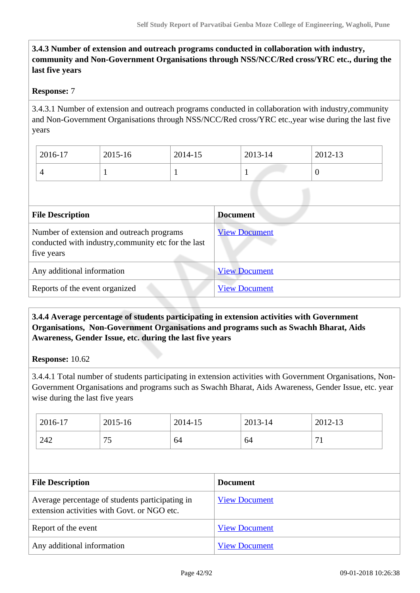# **3.4.3 Number of extension and outreach programs conducted in collaboration with industry, community and Non-Government Organisations through NSS/NCC/Red cross/YRC etc., during the last five years**

## **Response:** 7

3.4.3.1 Number of extension and outreach programs conducted in collaboration with industry,community and Non-Government Organisations through NSS/NCC/Red cross/YRC etc.,year wise during the last five years

| 2016-17 | 2015-16 | 2014-15 | 2013-14 | 2012-13  |
|---------|---------|---------|---------|----------|
|         |         |         |         | $\theta$ |

| <b>File Description</b>                                                                                        | <b>Document</b>      |
|----------------------------------------------------------------------------------------------------------------|----------------------|
| Number of extension and outreach programs<br>conducted with industry, community etc for the last<br>five years | <b>View Document</b> |
| Any additional information                                                                                     | <b>View Document</b> |
| Reports of the event organized                                                                                 | <b>View Document</b> |

## **3.4.4 Average percentage of students participating in extension activities with Government Organisations, Non-Government Organisations and programs such as Swachh Bharat, Aids Awareness, Gender Issue, etc. during the last five years**

#### **Response:** 10.62

3.4.4.1 Total number of students participating in extension activities with Government Organisations, Non-Government Organisations and programs such as Swachh Bharat, Aids Awareness, Gender Issue, etc. year wise during the last five years

| 2016-17 | 2015-16      | 2014-15 | 2013-14 | 2012-13              |
|---------|--------------|---------|---------|----------------------|
| 242     | 7c<br>$\sim$ | 64      | 64      | $\sim$<br>$\sqrt{1}$ |

| <b>File Description</b>                                                                        | <b>Document</b>      |
|------------------------------------------------------------------------------------------------|----------------------|
| Average percentage of students participating in<br>extension activities with Govt. or NGO etc. | <b>View Document</b> |
| Report of the event                                                                            | <b>View Document</b> |
| Any additional information                                                                     | <b>View Document</b> |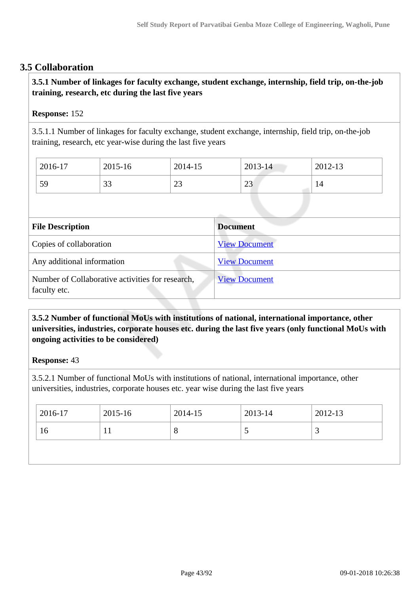# **3.5 Collaboration**

# **3.5.1 Number of linkages for faculty exchange, student exchange, internship, field trip, on-the-job training, research, etc during the last five years**

#### **Response:** 152

3.5.1.1 Number of linkages for faculty exchange, student exchange, internship, field trip, on-the-job training, research, etc year-wise during the last five years

| $2016-17$ | 2015-16     | 2014-15 | 2013-14       | 2012-13 |
|-----------|-------------|---------|---------------|---------|
| 59        | $\cap$<br>ີ | ാ<br>رے | $\cap$<br>ر ے | 14      |

| <b>File Description</b>                                          | <b>Document</b>      |
|------------------------------------------------------------------|----------------------|
| Copies of collaboration                                          | <b>View Document</b> |
| Any additional information                                       | <b>View Document</b> |
| Number of Collaborative activities for research,<br>faculty etc. | <b>View Document</b> |

## **3.5.2 Number of functional MoUs with institutions of national, international importance, other universities, industries, corporate houses etc. during the last five years (only functional MoUs with ongoing activities to be considered)**

#### **Response:** 43

3.5.2.1 Number of functional MoUs with institutions of national, international importance, other universities, industries, corporate houses etc. year wise during the last five years

| $2016-17$ | 2015-16 | 2014-15 | 2013-14 | 2012-13 |
|-----------|---------|---------|---------|---------|
| 16        |         | $\circ$ | ◡       |         |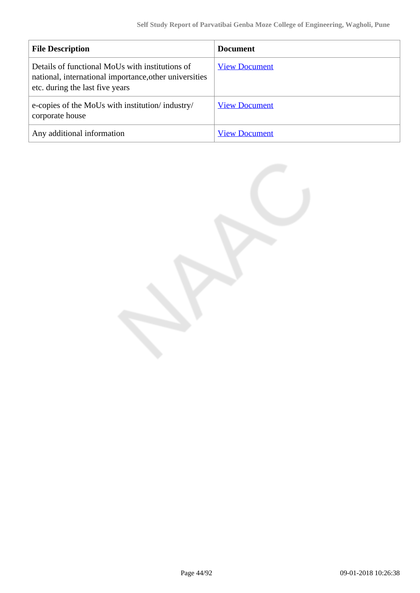| <b>File Description</b>                                                                                                                      | <b>Document</b>      |
|----------------------------------------------------------------------------------------------------------------------------------------------|----------------------|
| Details of functional MoUs with institutions of<br>national, international importance, other universities<br>etc. during the last five years | <b>View Document</b> |
| e-copies of the MoUs with institution/industry/<br>corporate house                                                                           | <b>View Document</b> |
| Any additional information                                                                                                                   | <b>View Document</b> |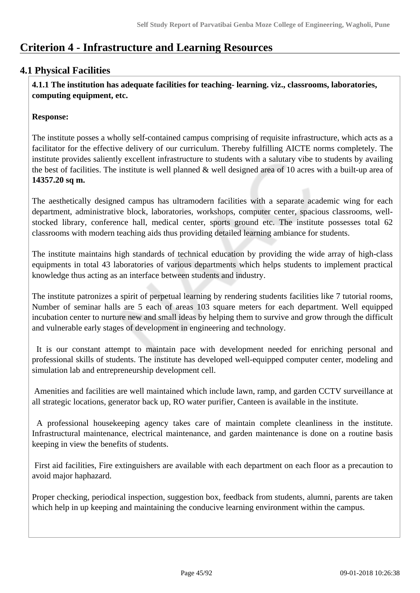# **Criterion 4 - Infrastructure and Learning Resources**

# **4.1 Physical Facilities**

 **4.1.1 The institution has adequate facilities for teaching- learning. viz., classrooms, laboratories, computing equipment, etc.**

# **Response:**

The institute posses a wholly self-contained campus comprising of requisite infrastructure, which acts as a facilitator for the effective delivery of our curriculum. Thereby fulfilling AICTE norms completely. The institute provides saliently excellent infrastructure to students with a salutary vibe to students by availing the best of facilities. The institute is well planned & well designed area of 10 acres with a built-up area of **14357.20 sq m.**

The aesthetically designed campus has ultramodern facilities with a separate academic wing for each department, administrative block, laboratories, workshops, computer center, spacious classrooms, wellstocked library, conference hall, medical center, sports ground etc. The institute possesses total 62 classrooms with modern teaching aids thus providing detailed learning ambiance for students.

The institute maintains high standards of technical education by providing the wide array of high-class equipments in total 43 laboratories of various departments which helps students to implement practical knowledge thus acting as an interface between students and industry.

The institute patronizes a spirit of perpetual learning by rendering students facilities like 7 tutorial rooms, Number of seminar halls are 5 each of areas 103 square meters for each department. Well equipped incubation center to nurture new and small ideas by helping them to survive and grow through the difficult and vulnerable early stages of development in engineering and technology.

 It is our constant attempt to maintain pace with development needed for enriching personal and professional skills of students. The institute has developed well-equipped computer center, modeling and simulation lab and entrepreneurship development cell.

 Amenities and facilities are well maintained which include lawn, ramp, and garden CCTV surveillance at all strategic locations, generator back up, RO water purifier, Canteen is available in the institute.

 A professional housekeeping agency takes care of maintain complete cleanliness in the institute. Infrastructural maintenance, electrical maintenance, and garden maintenance is done on a routine basis keeping in view the benefits of students.

 First aid facilities, Fire extinguishers are available with each department on each floor as a precaution to avoid major haphazard.

Proper checking, periodical inspection, suggestion box, feedback from students, alumni, parents are taken which help in up keeping and maintaining the conducive learning environment within the campus.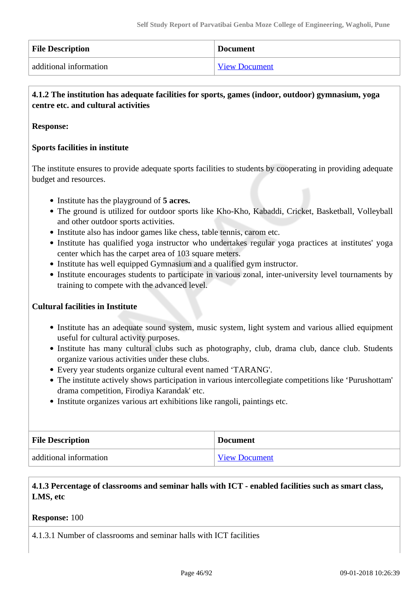| <b>File Description</b> | <b>Document</b>      |
|-------------------------|----------------------|
| additional information  | <b>View Document</b> |

# **4.1.2 The institution has adequate facilities for sports, games (indoor, outdoor) gymnasium, yoga centre etc. and cultural activities**

#### **Response:**

#### **Sports facilities in institute**

The institute ensures to provide adequate sports facilities to students by cooperating in providing adequate budget and resources.

- Institute has the playground of **5 acres.**
- The ground is utilized for outdoor sports like Kho-Kho, Kabaddi, Cricket, Basketball, Volleyball and other outdoor sports activities.
- Institute also has indoor games like chess, table tennis, carom etc.
- Institute has qualified yoga instructor who undertakes regular yoga practices at institutes' yoga center which has the carpet area of 103 square meters.
- Institute has well equipped Gymnasium and a qualified gym instructor.
- Institute encourages students to participate in various zonal, inter-university level tournaments by training to compete with the advanced level.

#### **Cultural facilities in Institute**

- Institute has an adequate sound system, music system, light system and various allied equipment useful for cultural activity purposes.
- Institute has many cultural clubs such as photography, club, drama club, dance club. Students organize various activities under these clubs.
- Every year students organize cultural event named 'TARANG'.
- The institute actively shows participation in various intercollegiate competitions like 'Purushottam' drama competition, Firodiya Karandak' etc.
- Institute organizes various art exhibitions like rangoli, paintings etc.

| <b>File Description</b> | <b>Document</b>      |
|-------------------------|----------------------|
| additional information  | <b>View Document</b> |

#### **4.1.3 Percentage of classrooms and seminar halls with ICT - enabled facilities such as smart class, LMS, etc**

#### **Response:** 100

4.1.3.1 Number of classrooms and seminar halls with ICT facilities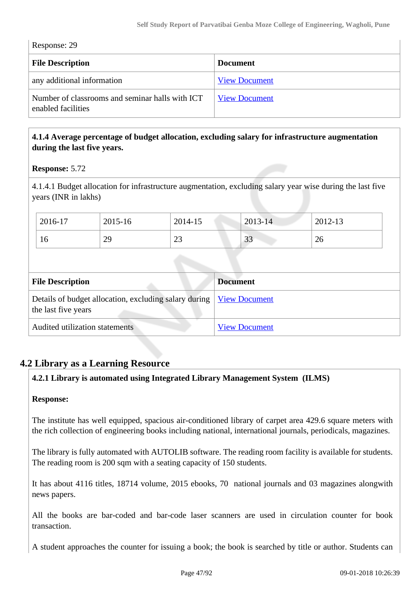| Response: 29 |  |
|--------------|--|
|--------------|--|

| <b>File Description</b>                                               | <b>Document</b>      |
|-----------------------------------------------------------------------|----------------------|
| any additional information                                            | <b>View Document</b> |
| Number of classrooms and seminar halls with ICT<br>enabled facilities | <b>View Document</b> |

## **4.1.4 Average percentage of budget allocation, excluding salary for infrastructure augmentation during the last five years.**

#### **Response:** 5.72

4.1.4.1 Budget allocation for infrastructure augmentation, excluding salary year wise during the last five years (INR in lakhs)

| 2016-17 | 2015-16 | 2014-15   | $2013 - 14$     | 2012-13 |
|---------|---------|-----------|-----------------|---------|
| 10      | 29      | റാ<br>ر∠∠ | $\bigcap$<br>JJ | 26      |

| <b>File Description</b>                                                                      | <b>Document</b>      |
|----------------------------------------------------------------------------------------------|----------------------|
| Details of budget allocation, excluding salary during   View Document<br>the last five years |                      |
| Audited utilization statements                                                               | <b>View Document</b> |

# **4.2 Library as a Learning Resource**

#### **4.2.1 Library is automated using Integrated Library Management System (ILMS)**

#### **Response:**

The institute has well equipped, spacious air-conditioned library of carpet area 429.6 square meters with the rich collection of engineering books including national, international journals, periodicals, magazines.

The library is fully automated with AUTOLIB software. The reading room facility is available for students. The reading room is 200 sqm with a seating capacity of 150 students.

It has about 4116 titles, 18714 volume, 2015 ebooks, 70 national journals and 03 magazines alongwith news papers.

All the books are bar-coded and bar-code laser scanners are used in circulation counter for book transaction.

A student approaches the counter for issuing a book; the book is searched by title or author. Students can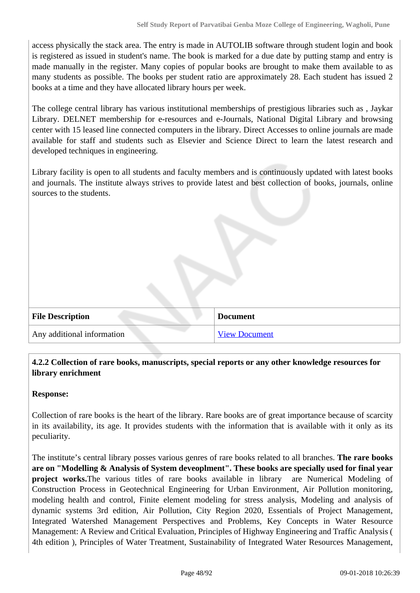access physically the stack area. The entry is made in AUTOLIB software through student login and book is registered as issued in student's name. The book is marked for a due date by putting stamp and entry is made manually in the register. Many copies of popular books are brought to make them available to as many students as possible. The books per student ratio are approximately 28. Each student has issued 2 books at a time and they have allocated library hours per week.

The college central library has various institutional memberships of prestigious libraries such as , Jaykar Library. DELNET membership for e-resources and e-Journals, National Digital Library and browsing center with 15 leased line connected computers in the library. Direct Accesses to online journals are made available for staff and students such as Elsevier and Science Direct to learn the latest research and developed techniques in engineering.

Library facility is open to all students and faculty members and is continuously updated with latest books and journals. The institute always strives to provide latest and best collection of books, journals, online sources to the students.

| <b>File Description</b>    | <b>Document</b>      |
|----------------------------|----------------------|
| Any additional information | <b>View Document</b> |

## **4.2.2 Collection of rare books, manuscripts, special reports or any other knowledge resources for library enrichment**

#### **Response:**

Collection of rare books is the heart of the library. Rare books are of great importance because of scarcity in its availability, its age. It provides students with the information that is available with it only as its peculiarity.

The institute's central library posses various genres of rare books related to all branches. **The rare books are on "Modelling & Analysis of System deveoplment". These books are specially used for final year project works.**The various titles of rare books available in library are Numerical Modeling of Construction Process in Geotechnical Engineering for Urban Environment, Air Pollution monitoring, modeling health and control, Finite element modeling for stress analysis, Modeling and analysis of dynamic systems 3rd edition, Air Pollution, City Region 2020, Essentials of Project Management, Integrated Watershed Management Perspectives and Problems, Key Concepts in Water Resource Management: A Review and Critical Evaluation, Principles of Highway Engineering and Traffic Analysis ( 4th edition ), Principles of Water Treatment, Sustainability of Integrated Water Resources Management,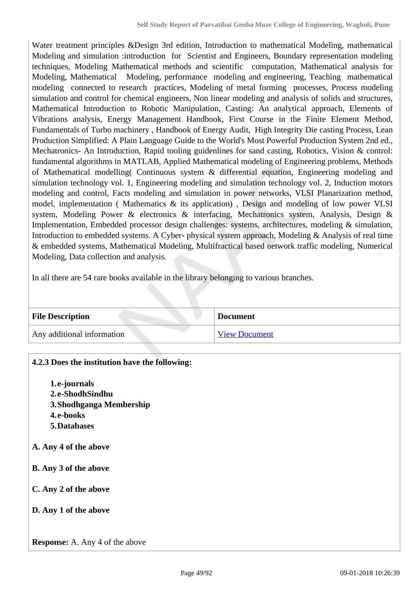Water treatment principles &Design 3rd edition, Introduction to mathematical Modeling, mathematical Modeling and simulation :introduction for Scientist and Engineers, Boundary representation modeling techniques, Modeling Mathematical methods and scientific computation, Mathematical analysis for Modeling, Mathematical Modeling, performance modeling and engineering, Teaching mathematical modeling connected to research practices, Modeling of metal forming processes, Process modeling simulation and control for chemical engineers, Non linear modeling and analysis of solids and structures, Mathematical Introduction to Robotic Manipulation, Casting: An analytical approach, Elements of Vibrations analysis, Energy Management Handbook, First Course in the Finite Element Method, Fundamentals of Turbo machinery , Handbook of Energy Audit, High Integrity Die casting Process, Lean Production Simplified: A Plain Language Guide to the World's Most Powerful Production System 2nd ed., Mechatronics- An Introduction, Rapid tooling guidenlines for sand casting, Robotics, Vision & control: fundamental algorithms in MATLAB, Applied Mathematical modeling of Engineering problems, Methods of Mathematical modelling( Continuous system & differential equation, Engineering modeling and simulation technology vol. 1, Engineering modeling and simulation technology vol. 2, Induction motors modeling and control, Facts modeling and simulation in power networks, VLSI Planarization method, model, implementation ( Mathematics & its application) , Design and modeling of low power VLSI system, Modeling Power & electronics & interfacing, Mechatronics system, Analysis, Design & Implementation, Embedded processor design challenges: systems, architectures, modeling & simulation, Introduction to embedded systems. A Cyber- physical system approach, Modeling & Analysis of real time & embedded systems, Mathematical Modeling, Multifractical based network traffic modeling, Numerical Modeling, Data collection and analysis.

In all there are 54 rare books available in the library belonging to various branches.

| <b>File Description</b>    | <b>Document</b>      |
|----------------------------|----------------------|
| Any additional information | <b>View Document</b> |

| 4.2.3 Does the institution have the following: |
|------------------------------------------------|
| 1.e-journals                                   |
| 2.e-ShodhSindhu                                |
| 3. Shodhganga Membership                       |
| 4.e-books                                      |
| 5. Databases                                   |
| A. Any 4 of the above                          |
| <b>B.</b> Any 3 of the above                   |
| C. Any 2 of the above                          |
| D. Any 1 of the above                          |
| <b>Response:</b> A. Any 4 of the above         |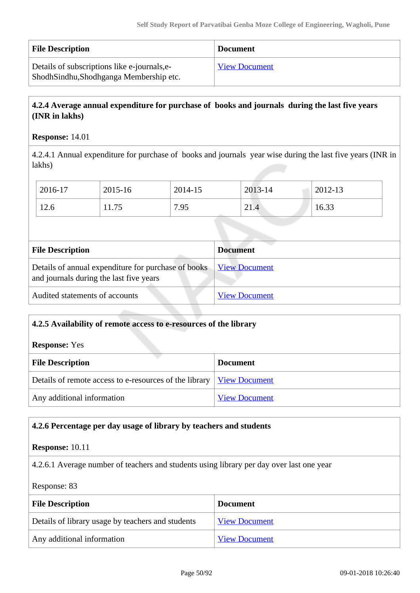| <b>File Description</b>                                                                | <b>Document</b>      |
|----------------------------------------------------------------------------------------|----------------------|
| Details of subscriptions like e-journals, e-<br>ShodhSindhu,Shodhganga Membership etc. | <b>View Document</b> |

# **4.2.4 Average annual expenditure for purchase of books and journals during the last five years (INR in lakhs)**

#### **Response:** 14.01

4.2.4.1 Annual expenditure for purchase of books and journals year wise during the last five years (INR in lakhs)

| 2016-17 | 2015-16 | 2014-15 | 2013-14 | 2012-13 |
|---------|---------|---------|---------|---------|
| 12.6    | 11.75   | 7.95    | 21.4    | 16.33   |

| <b>File Description</b>                                                                        | <b>Document</b>      |
|------------------------------------------------------------------------------------------------|----------------------|
| Details of annual expenditure for purchase of books<br>and journals during the last five years | <b>View Document</b> |
| Audited statements of accounts                                                                 | <b>View Document</b> |

| 4.2.5 Availability of remote access to e-resources of the library |                      |  |
|-------------------------------------------------------------------|----------------------|--|
| <b>Response:</b> Yes                                              |                      |  |
| <b>File Description</b><br><b>Document</b>                        |                      |  |
| Details of remote access to e-resources of the library            | <b>View Document</b> |  |
| Any additional information                                        | <b>View Document</b> |  |

# **4.2.6 Percentage per day usage of library by teachers and students**

#### **Response:** 10.11

4.2.6.1 Average number of teachers and students using library per day over last one year

Response: 83

| <b>File Description</b>                           | <b>Document</b>      |
|---------------------------------------------------|----------------------|
| Details of library usage by teachers and students | <b>View Document</b> |
| Any additional information                        | <b>View Document</b> |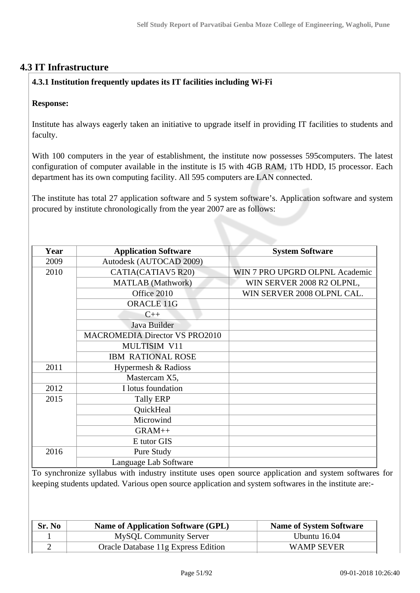# **4.3 IT Infrastructure**

# **4.3.1 Institution frequently updates its IT facilities including Wi-Fi**

#### **Response:**

Institute has always eagerly taken an initiative to upgrade itself in providing IT facilities to students and faculty.

With 100 computers in the year of establishment, the institute now possesses 595computers. The latest configuration of computer available in the institute is I5 with 4GB RAM, 1Tb HDD, I5 processor. Each department has its own computing facility. All 595 computers are LAN connected.

The institute has total 27 application software and 5 system software's. Application software and system procured by institute chronologically from the year 2007 are as follows:

| Year | <b>Application Software</b>           | <b>System Software</b>         |
|------|---------------------------------------|--------------------------------|
| 2009 | Autodesk (AUTOCAD 2009)               |                                |
| 2010 | CATIA(CATIAV5 R20)                    | WIN 7 PRO UPGRD OLPNL Academic |
|      | <b>MATLAB</b> (Mathwork)              | WIN SERVER 2008 R2 OLPNL,      |
|      | Office 2010                           | WIN SERVER 2008 OLPNL CAL.     |
|      | <b>ORACLE 11G</b>                     |                                |
|      | $C++$                                 |                                |
|      | Java Builder                          |                                |
|      | <b>MACROMEDIA Director VS PRO2010</b> |                                |
|      | MULTISIM V11                          |                                |
|      | <b>IBM RATIONAL ROSE</b>              |                                |
| 2011 | Hypermesh & Radioss                   |                                |
|      | Mastercam X5,                         |                                |
| 2012 | I lotus foundation                    |                                |
| 2015 | <b>Tally ERP</b>                      |                                |
|      | QuickHeal                             |                                |
|      | Microwind                             |                                |
|      | GRAM++                                |                                |
|      | E tutor GIS                           |                                |
| 2016 | Pure Study                            |                                |
|      | Language Lab Software                 |                                |

To synchronize syllabus with industry institute uses open source application and system softwares for keeping students updated. Various open source application and system softwares in the institute are:-

| Sr. No | <b>Name of Application Software (GPL)</b> | <b>Name of System Software</b> |
|--------|-------------------------------------------|--------------------------------|
|        | MySQL Community Server                    | Ubuntu $16.04$                 |
|        | Oracle Database 11g Express Edition       | WAMP SEVER                     |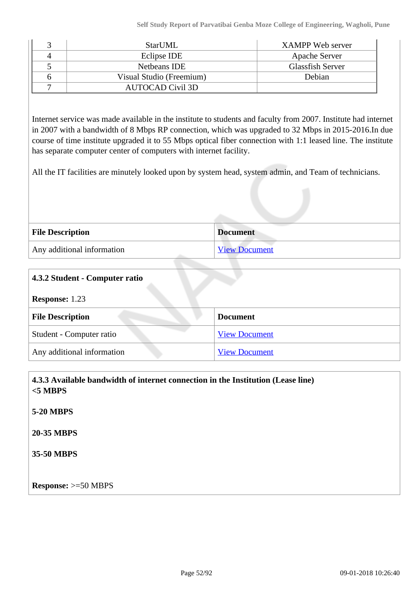|    | StarUML                  | XAMPP Web server        |
|----|--------------------------|-------------------------|
| 4  | Eclipse IDE              | Apache Server           |
|    | Netheans IDE             | <b>Glassfish Server</b> |
| h. | Visual Studio (Freemium) | Debian                  |
|    | <b>AUTOCAD Civil 3D</b>  |                         |

Internet service was made available in the institute to students and faculty from 2007. Institute had internet in 2007 with a bandwidth of 8 Mbps RP connection, which was upgraded to 32 Mbps in 2015-2016.In due course of time institute upgraded it to 55 Mbps optical fiber connection with 1:1 leased line. The institute has separate computer center of computers with internet facility.

All the IT facilities are minutely looked upon by system head, system admin, and Team of technicians.

| <b>File Description</b>    | <b>Document</b>      |
|----------------------------|----------------------|
| Any additional information | <b>View Document</b> |

| 4.3.2 Student - Computer ratio |                      |  |
|--------------------------------|----------------------|--|
| <b>Response: 1.23</b>          |                      |  |
| <b>File Description</b>        | <b>Document</b>      |  |
| Student - Computer ratio       | <b>View Document</b> |  |
| Any additional information     | <b>View Document</b> |  |

 **4.3.3 Available bandwidth of internet connection in the Institution (Lease line) <5 MBPS 5-20 MBPS 20-35 MBPS 35-50 MBPS Response:** >=50 MBPS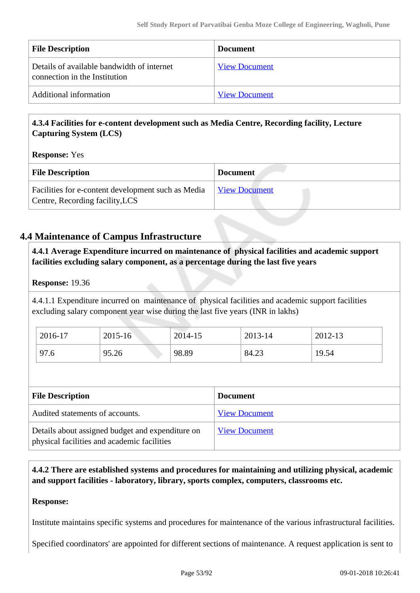| <b>File Description</b>                                                     | <b>Document</b>      |
|-----------------------------------------------------------------------------|----------------------|
| Details of available bandwidth of internet<br>connection in the Institution | <b>View Document</b> |
| Additional information                                                      | <b>View Document</b> |

# **4.3.4 Facilities for e-content development such as Media Centre, Recording facility, Lecture Capturing System (LCS)**

## **Response:** Yes

| <b>File Description</b>                                                               | <b>Document</b>      |
|---------------------------------------------------------------------------------------|----------------------|
| Facilities for e-content development such as Media<br>Centre, Recording facility, LCS | <b>View Document</b> |

# **4.4 Maintenance of Campus Infrastructure**

 **4.4.1 Average Expenditure incurred on maintenance of physical facilities and academic support facilities excluding salary component, as a percentage during the last five years**

## **Response:** 19.36

4.4.1.1 Expenditure incurred on maintenance of physical facilities and academic support facilities excluding salary component year wise during the last five years (INR in lakhs)

| 2016-17 | $2015 - 16$ | $2014 - 15$ | 2013-14 | 2012-13 |
|---------|-------------|-------------|---------|---------|
| 97.6    | 95.26       | 98.89       | 84.23   | 19.54   |

| <b>File Description</b>                                                                         | <b>Document</b>      |
|-------------------------------------------------------------------------------------------------|----------------------|
| Audited statements of accounts.                                                                 | <b>View Document</b> |
| Details about assigned budget and expenditure on<br>physical facilities and academic facilities | <b>View Document</b> |

 **4.4.2 There are established systems and procedures for maintaining and utilizing physical, academic and support facilities - laboratory, library, sports complex, computers, classrooms etc.**

#### **Response:**

Institute maintains specific systems and procedures for maintenance of the various infrastructural facilities.

Specified coordinators' are appointed for different sections of maintenance. A request application is sent to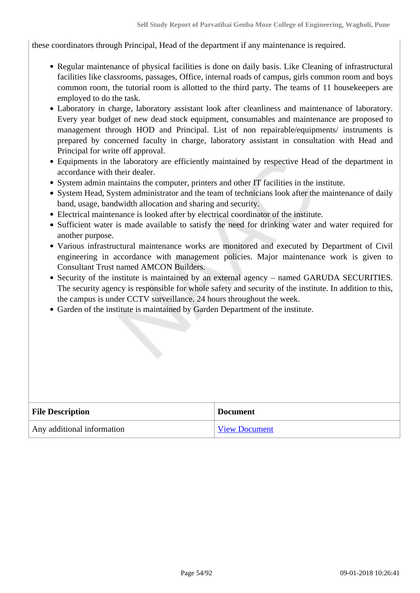these coordinators through Principal, Head of the department if any maintenance is required.

- Regular maintenance of physical facilities is done on daily basis. Like Cleaning of infrastructural facilities like classrooms, passages, Office, internal roads of campus, girls common room and boys common room, the tutorial room is allotted to the third party. The teams of 11 housekeepers are employed to do the task.
- Laboratory in charge, laboratory assistant look after cleanliness and maintenance of laboratory. Every year budget of new dead stock equipment, consumables and maintenance are proposed to management through HOD and Principal. List of non repairable/equipments/ instruments is prepared by concerned faculty in charge, laboratory assistant in consultation with Head and Principal for write off approval.
- Equipments in the laboratory are efficiently maintained by respective Head of the department in accordance with their dealer.
- System admin maintains the computer, printers and other IT facilities in the institute.
- System Head, System administrator and the team of technicians look after the maintenance of daily band, usage, bandwidth allocation and sharing and security.
- Electrical maintenance is looked after by electrical coordinator of the institute.
- Sufficient water is made available to satisfy the need for drinking water and water required for another purpose.
- Various infrastructural maintenance works are monitored and executed by Department of Civil engineering in accordance with management policies. Major maintenance work is given to Consultant Trust named AMCON Builders.
- Security of the institute is maintained by an external agency named GARUDA SECURITIES. The security agency is responsible for whole safety and security of the institute. In addition to this, the campus is under CCTV surveillance. 24 hours throughout the week.
- Garden of the institute is maintained by Garden Department of the institute.

| <b>File Description</b>    | <b>Document</b>      |
|----------------------------|----------------------|
| Any additional information | <b>View Document</b> |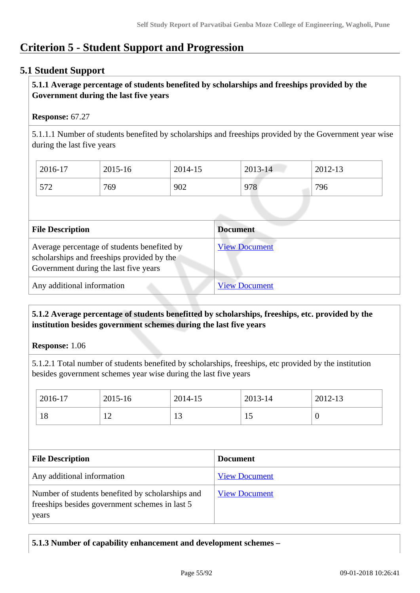# **Criterion 5 - Student Support and Progression**

# **5.1 Student Support**

## **5.1.1 Average percentage of students benefited by scholarships and freeships provided by the Government during the last five years**

#### **Response:** 67.27

5.1.1.1 Number of students benefited by scholarships and freeships provided by the Government year wise during the last five years

| 2016-17 | 2015-16 | 2014-15 | $2013 - 14$ | 2012-13 |
|---------|---------|---------|-------------|---------|
| 572     | 769     | 902     | 978         | 796     |

| <b>File Description</b>                                                                                                            | <b>Document</b>      |
|------------------------------------------------------------------------------------------------------------------------------------|----------------------|
| Average percentage of students benefited by<br>scholarships and freeships provided by the<br>Government during the last five years | <b>View Document</b> |
| Any additional information                                                                                                         | <b>View Document</b> |

## **5.1.2 Average percentage of students benefitted by scholarships, freeships, etc. provided by the institution besides government schemes during the last five years**

**Response:** 1.06

5.1.2.1 Total number of students benefited by scholarships, freeships, etc provided by the institution besides government schemes year wise during the last five years

|                                                                                                             | 2016-17 | 2015-16              | 2014-15              |  | 2013-14 | 2012-13          |  |
|-------------------------------------------------------------------------------------------------------------|---------|----------------------|----------------------|--|---------|------------------|--|
|                                                                                                             | 18      | 12                   | 13                   |  | 15      | $\boldsymbol{0}$ |  |
|                                                                                                             |         |                      |                      |  |         |                  |  |
| <b>File Description</b>                                                                                     |         | <b>Document</b>      |                      |  |         |                  |  |
| Any additional information                                                                                  |         | <b>View Document</b> |                      |  |         |                  |  |
| Number of students benefited by scholarships and<br>freeships besides government schemes in last 5<br>years |         |                      | <b>View Document</b> |  |         |                  |  |

# **5.1.3 Number of capability enhancement and development schemes –**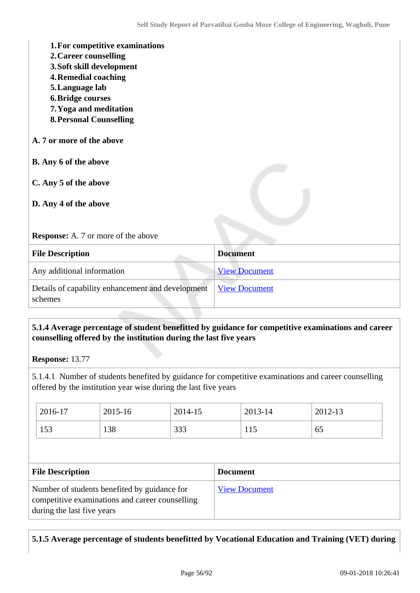| 1. For competitive examinations<br>2. Career counselling<br>3. Soft skill development<br><b>4. Remedial coaching</b><br>5. Language lab<br><b>6. Bridge courses</b><br>7. Yoga and meditation<br><b>8. Personal Counselling</b> |                      |
|---------------------------------------------------------------------------------------------------------------------------------------------------------------------------------------------------------------------------------|----------------------|
| A. 7 or more of the above                                                                                                                                                                                                       |                      |
| B. Any 6 of the above                                                                                                                                                                                                           |                      |
| C. Any 5 of the above<br>D. Any 4 of the above                                                                                                                                                                                  |                      |
| <b>Response:</b> A. 7 or more of the above                                                                                                                                                                                      |                      |
| <b>File Description</b>                                                                                                                                                                                                         | <b>Document</b>      |
| Any additional information                                                                                                                                                                                                      | <b>View Document</b> |
| Details of capability enhancement and development<br>schemes                                                                                                                                                                    | <b>View Document</b> |

## **5.1.4 Average percentage of student benefitted by guidance for competitive examinations and career counselling offered by the institution during the last five years**

**Response:** 13.77

5.1.4.1 Number of students benefited by guidance for competitive examinations and career counselling offered by the institution year wise during the last five years

| 2016-17 | 2015-16 | 2014-15 | 2013-14 | 2012-13 |
|---------|---------|---------|---------|---------|
| 153     | 138     | 333     | 1 I J   | 65      |

| <b>File Description</b>                                                                                                       | <b>Document</b>      |
|-------------------------------------------------------------------------------------------------------------------------------|----------------------|
| Number of students benefited by guidance for<br>competitive examinations and career counselling<br>during the last five years | <b>View Document</b> |

# **5.1.5 Average percentage of students benefitted by Vocational Education and Training (VET) during**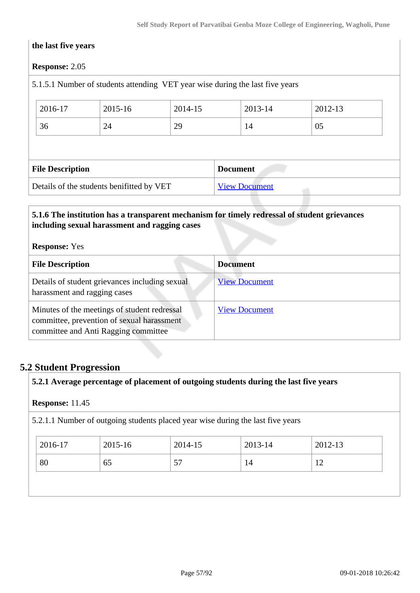#### **the last five years**

#### **Response:** 2.05

## 5.1.5.1 Number of students attending VET year wise during the last five years

| 2016-17 |                         | 2015-16 | 2014-15 |                 | 2013-14 | 2012-13 |
|---------|-------------------------|---------|---------|-----------------|---------|---------|
| 36      |                         | 24      | 29      |                 | 14      | 05      |
|         |                         |         |         |                 |         |         |
|         |                         |         |         |                 |         |         |
|         | <b>File Description</b> |         |         | <b>Document</b> |         |         |

#### **5.1.6 The institution has a transparent mechanism for timely redressal of student grievances including sexual harassment and ragging cases**

#### **Response:** Yes

| <b>File Description</b>                                                                                                            | <b>Document</b>      |
|------------------------------------------------------------------------------------------------------------------------------------|----------------------|
| Details of student grievances including sexual<br>harassment and ragging cases                                                     | <b>View Document</b> |
| Minutes of the meetings of student redressal<br>committee, prevention of sexual harassment<br>committee and Anti Ragging committee | <b>View Document</b> |

# **5.2 Student Progression**

**5.2.1 Average percentage of placement of outgoing students during the last five years**

#### **Response:** 11.45

5.2.1.1 Number of outgoing students placed year wise during the last five years

| 2016-17 | 2015-16 | 2014-15 | 2013-14 | 2012-13           |
|---------|---------|---------|---------|-------------------|
| 80      | 65      | 57      | 14      | ר ו<br>$\sqrt{2}$ |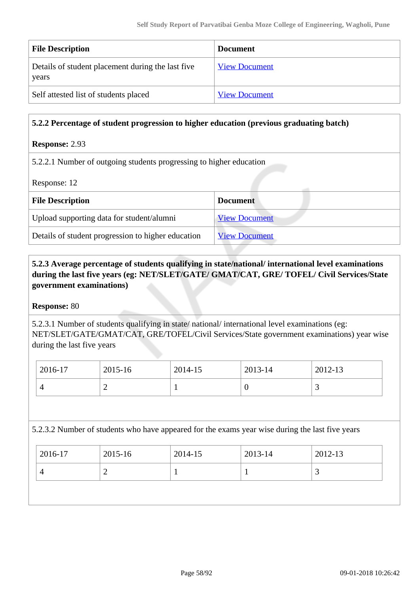| <b>File Description</b>                                    | <b>Document</b>      |
|------------------------------------------------------------|----------------------|
| Details of student placement during the last five<br>years | <b>View Document</b> |
| Self attested list of students placed                      | <b>View Document</b> |

#### **5.2.2 Percentage of student progression to higher education (previous graduating batch)**

#### **Response:** 2.93

5.2.2.1 Number of outgoing students progressing to higher education

Response: 12

| <b>File Description</b>                            | <b>Document</b>      |
|----------------------------------------------------|----------------------|
| Upload supporting data for student/alumni          | <b>View Document</b> |
| Details of student progression to higher education | <b>View Document</b> |

 **5.2.3 Average percentage of students qualifying in state/national/ international level examinations during the last five years (eg: NET/SLET/GATE/ GMAT/CAT, GRE/ TOFEL/ Civil Services/State government examinations)**

#### **Response:** 80

5.2.3.1 Number of students qualifying in state/ national/ international level examinations (eg: NET/SLET/GATE/GMAT/CAT, GRE/TOFEL/Civil Services/State government examinations) year wise during the last five years

| 2016-17 | 2015-16 | 2014-15 | 2013-14 | $2012 - 13$ |
|---------|---------|---------|---------|-------------|
|         | ∸       |         |         | <u>ب</u>    |

5.2.3.2 Number of students who have appeared for the exams year wise during the last five years

| 2016-17 | 2015-16   | 2014-15  | 2013-14 | 2012-13                  |
|---------|-----------|----------|---------|--------------------------|
|         | <b>__</b> | <b>.</b> |         | $\overline{\phantom{0}}$ |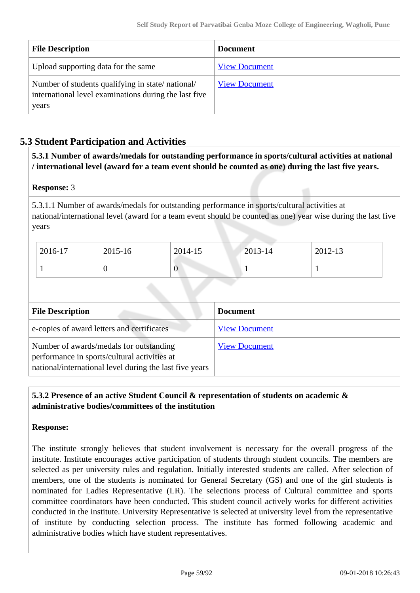| <b>File Description</b>                                                                                            | <b>Document</b>      |
|--------------------------------------------------------------------------------------------------------------------|----------------------|
| Upload supporting data for the same                                                                                | <b>View Document</b> |
| Number of students qualifying in state/national/<br>international level examinations during the last five<br>years | <b>View Document</b> |

# **5.3 Student Participation and Activities**

 **5.3.1 Number of awards/medals for outstanding performance in sports/cultural activities at national / international level (award for a team event should be counted as one) during the last five years.**

#### **Response:** 3

5.3.1.1 Number of awards/medals for outstanding performance in sports/cultural activities at national/international level (award for a team event should be counted as one) year wise during the last five years

| 2016-17 | 2015-16 | 2014-15 | 2013-14 | $2012 - 13$ |
|---------|---------|---------|---------|-------------|
|         |         | 0       |         |             |

| <b>File Description</b>                                                                                                                            | <b>Document</b>      |
|----------------------------------------------------------------------------------------------------------------------------------------------------|----------------------|
| e-copies of award letters and certificates                                                                                                         | <b>View Document</b> |
| Number of awards/medals for outstanding<br>performance in sports/cultural activities at<br>national/international level during the last five years | <b>View Document</b> |

## **5.3.2 Presence of an active Student Council & representation of students on academic & administrative bodies/committees of the institution**

#### **Response:**

The institute strongly believes that student involvement is necessary for the overall progress of the institute. Institute encourages active participation of students through student councils. The members are selected as per university rules and regulation. Initially interested students are called. After selection of members, one of the students is nominated for General Secretary (GS) and one of the girl students is nominated for Ladies Representative (LR). The selections process of Cultural committee and sports committee coordinators have been conducted. This student council actively works for different activities conducted in the institute. University Representative is selected at university level from the representative of institute by conducting selection process. The institute has formed following academic and administrative bodies which have student representatives.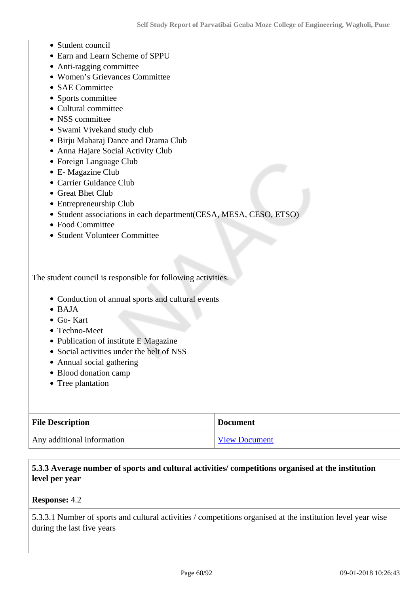- Student council
- Earn and Learn Scheme of SPPU
- Anti-ragging committee
- Women's Grievances Committee
- SAE Committee
- Sports committee
- Cultural committee
- NSS committee
- Swami Vivekand study club
- Birju Maharaj Dance and Drama Club
- Anna Hajare Social Activity Club
- Foreign Language Club
- E- Magazine Club
- Carrier Guidance Club
- Great Bhet Club
- Entrepreneurship Club
- Student associations in each department(CESA, MESA, CESO, ETSO)
- Food Committee
- Student Volunteer Committee

The student council is responsible for following activities.

- Conduction of annual sports and cultural events
- $\bullet$  BAJA
- Go- Kart
- Techno-Meet
- Publication of institute E Magazine
- Social activities under the belt of NSS
- Annual social gathering
- Blood donation camp
- Tree plantation

| <b>File Description</b>    | <b>Document</b>      |
|----------------------------|----------------------|
| Any additional information | <b>View Document</b> |

## **5.3.3 Average number of sports and cultural activities/ competitions organised at the institution level per year**

#### **Response:** 4.2

5.3.3.1 Number of sports and cultural activities / competitions organised at the institution level year wise during the last five years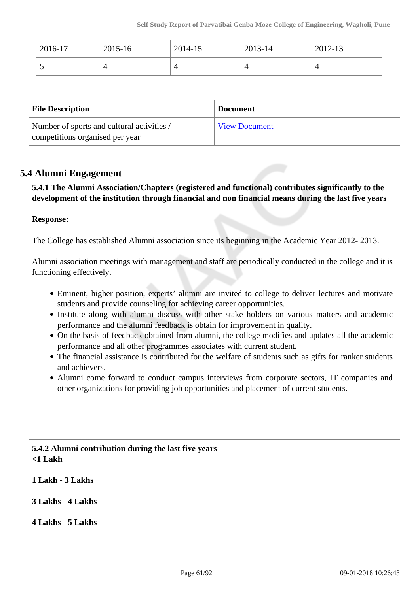|                                                                               | 2016-17 | 2015-16 | 2014-15              |  | 2013-14        | 2012-13 |
|-------------------------------------------------------------------------------|---------|---------|----------------------|--|----------------|---------|
|                                                                               | 5       | 4       | $\overline{4}$       |  | $\overline{4}$ | 4       |
|                                                                               |         |         |                      |  |                |         |
| <b>File Description</b>                                                       |         |         | <b>Document</b>      |  |                |         |
| Number of sports and cultural activities /<br>competitions organised per year |         |         | <b>View Document</b> |  |                |         |

# **5.4 Alumni Engagement**

 **5.4.1 The Alumni Association/Chapters (registered and functional) contributes significantly to the development of the institution through financial and non financial means during the last five years**

#### **Response:**

The College has established Alumni association since its beginning in the Academic Year 2012- 2013.

Alumni association meetings with management and staff are periodically conducted in the college and it is functioning effectively.

- Eminent, higher position, experts' alumni are invited to college to deliver lectures and motivate students and provide counseling for achieving career opportunities.
- Institute along with alumni discuss with other stake holders on various matters and academic performance and the alumni feedback is obtain for improvement in quality.
- On the basis of feedback obtained from alumni, the college modifies and updates all the academic performance and all other programmes associates with current student.
- The financial assistance is contributed for the welfare of students such as gifts for ranker students and achievers.
- Alumni come forward to conduct campus interviews from corporate sectors, IT companies and other organizations for providing job opportunities and placement of current students.

## **5.4.2 Alumni contribution during the last five years <1 Lakh**

**1 Lakh - 3 Lakhs**

- **3 Lakhs 4 Lakhs**
- **4 Lakhs 5 Lakhs**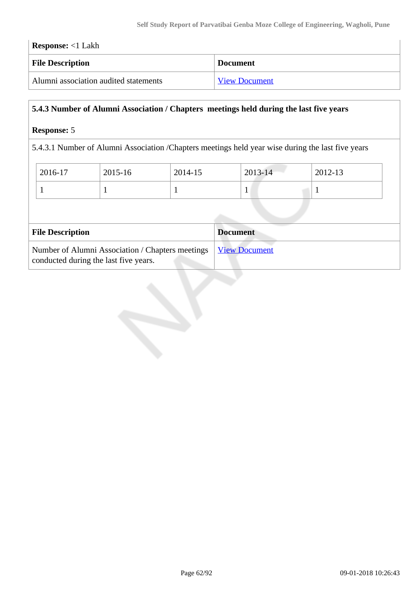| <b>Response:</b> <1 Lakh              |                      |  |
|---------------------------------------|----------------------|--|
| <b>File Description</b>               | <b>Document</b>      |  |
| Alumni association audited statements | <b>View Document</b> |  |

# **5.4.3 Number of Alumni Association / Chapters meetings held during the last five years**

### **Response:** 5

5.4.3.1 Number of Alumni Association /Chapters meetings held year wise during the last five years

| 2016-17 | 2015-16 | 2014-15 | $2013 - 14$ | 2012-13 |
|---------|---------|---------|-------------|---------|
|         |         |         | л.          |         |

| <b>File Description</b>                                                                   | <b>Document</b>      |
|-------------------------------------------------------------------------------------------|----------------------|
| Number of Alumni Association / Chapters meetings<br>conducted during the last five years. | <b>View Document</b> |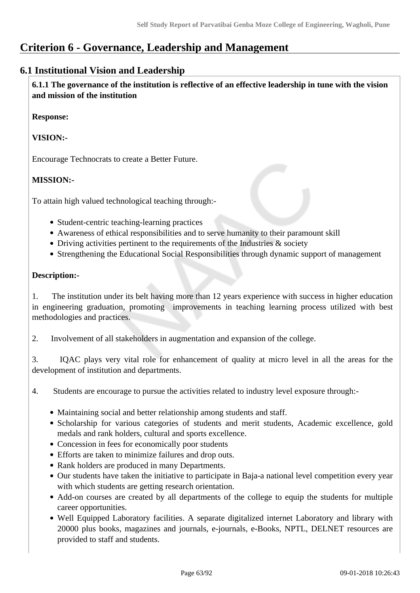# **Criterion 6 - Governance, Leadership and Management**

# **6.1 Institutional Vision and Leadership**

 **6.1.1 The governance of the institution is reflective of an effective leadership in tune with the vision and mission of the institution**

**Response:** 

**VISION:-**

Encourage Technocrats to create a Better Future.

# **MISSION:-**

To attain high valued technological teaching through:-

- Student-centric teaching-learning practices
- Awareness of ethical responsibilities and to serve humanity to their paramount skill
- Driving activities pertinent to the requirements of the Industries & society
- Strengthening the Educational Social Responsibilities through dynamic support of management

## **Description:-**

1. The institution under its belt having more than 12 years experience with success in higher education in engineering graduation, promoting improvements in teaching learning process utilized with best methodologies and practices.

2. Involvement of all stakeholders in augmentation and expansion of the college.

3. IQAC plays very vital role for enhancement of quality at micro level in all the areas for the development of institution and departments.

4. Students are encourage to pursue the activities related to industry level exposure through:-

- Maintaining social and better relationship among students and staff.
- Scholarship for various categories of students and merit students, Academic excellence, gold medals and rank holders, cultural and sports excellence.
- Concession in fees for economically poor students
- Efforts are taken to minimize failures and drop outs.
- Rank holders are produced in many Departments.
- Our students have taken the initiative to participate in Baja-a national level competition every year with which students are getting research orientation.
- Add-on courses are created by all departments of the college to equip the students for multiple career opportunities.
- Well Equipped Laboratory facilities. A separate digitalized internet Laboratory and library with 20000 plus books, magazines and journals, e-journals, e-Books, NPTL, DELNET resources are provided to staff and students.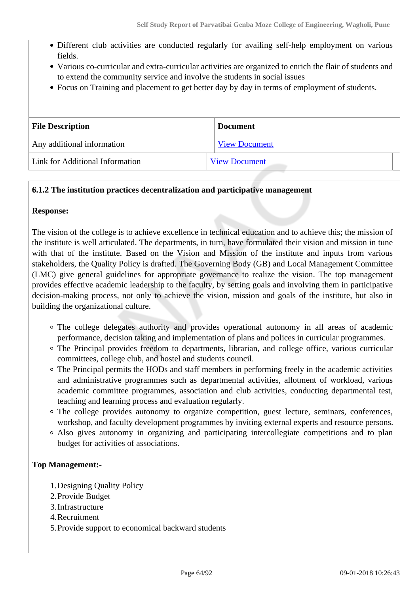- Different club activities are conducted regularly for availing self-help employment on various fields.
- Various co-curricular and extra-curricular activities are organized to enrich the flair of students and to extend the community service and involve the students in social issues
- Focus on Training and placement to get better day by day in terms of employment of students.

| <b>File Description</b>         | <b>Document</b>      |
|---------------------------------|----------------------|
| Any additional information      | <b>View Document</b> |
| Link for Additional Information | <b>View Document</b> |

## **6.1.2 The institution practices decentralization and participative management**

#### **Response:**

The vision of the college is to achieve excellence in technical education and to achieve this; the mission of the institute is well articulated. The departments, in turn, have formulated their vision and mission in tune with that of the institute. Based on the Vision and Mission of the institute and inputs from various stakeholders, the Quality Policy is drafted. The Governing Body (GB) and Local Management Committee (LMC) give general guidelines for appropriate governance to realize the vision. The top management provides effective academic leadership to the faculty, by setting goals and involving them in participative decision-making process, not only to achieve the vision, mission and goals of the institute, but also in building the organizational culture.

- The college delegates authority and provides operational autonomy in all areas of academic performance, decision taking and implementation of plans and polices in curricular programmes.
- The Principal provides freedom to departments, librarian, and college office, various curricular committees, college club, and hostel and students council.
- The Principal permits the HODs and staff members in performing freely in the academic activities and administrative programmes such as departmental activities, allotment of workload, various academic committee programmes, association and club activities, conducting departmental test, teaching and learning process and evaluation regularly.
- The college provides autonomy to organize competition, guest lecture, seminars, conferences, workshop, and faculty development programmes by inviting external experts and resource persons.
- Also gives autonomy in organizing and participating intercollegiate competitions and to plan budget for activities of associations.

#### **Top Management:-**

- 1.Designing Quality Policy
- 2.Provide Budget
- 3.Infrastructure
- 4.Recruitment
- 5.Provide support to economical backward students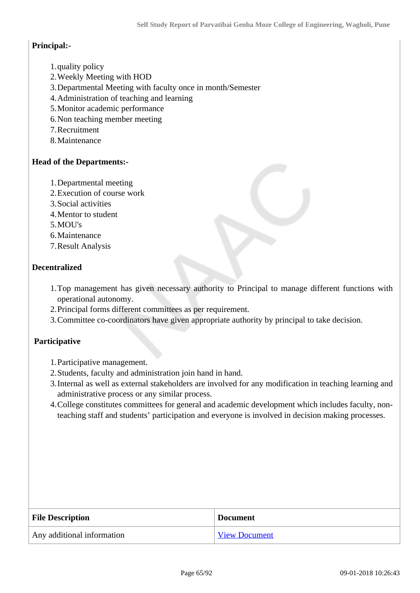#### **Principal:-**

- 1.quality policy
- 2.Weekly Meeting with HOD
- 3.Departmental Meeting with faculty once in month/Semester
- 4.Administration of teaching and learning
- 5.Monitor academic performance
- 6.Non teaching member meeting
- 7.Recruitment
- 8.Maintenance

#### **Head of the Departments:-**

- 1.Departmental meeting
- 2.Execution of course work
- 3.Social activities
- 4.Mentor to student
- 5.MOU's
- 6.Maintenance
- 7.Result Analysis

#### **Decentralized**

- 1.Top management has given necessary authority to Principal to manage different functions with operational autonomy.
- 2.Principal forms different committees as per requirement.
- 3.Committee co-coordinators have given appropriate authority by principal to take decision.

#### **Participative**

- 1.Participative management.
- 2.Students, faculty and administration join hand in hand.
- 3.Internal as well as external stakeholders are involved for any modification in teaching learning and administrative process or any similar process.
- 4.College constitutes committees for general and academic development which includes faculty, nonteaching staff and students' participation and everyone is involved in decision making processes.

| <b>File Description</b>    | <b>Document</b>      |  |
|----------------------------|----------------------|--|
| Any additional information | <b>View Document</b> |  |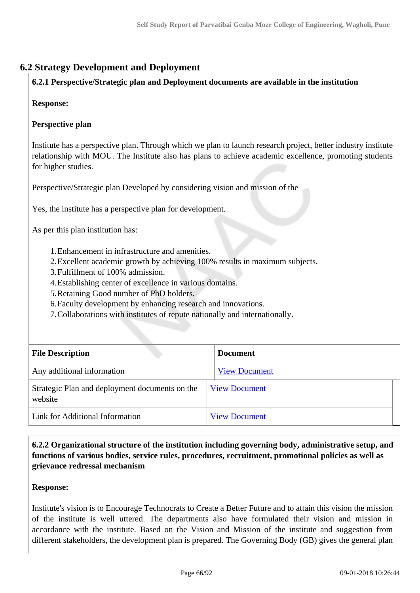# **6.2 Strategy Development and Deployment**

#### **6.2.1 Perspective/Strategic plan and Deployment documents are available in the institution**

#### **Response:**

#### **Perspective plan**

Institute has a perspective plan. Through which we plan to launch research project, better industry institute relationship with MOU. The Institute also has plans to achieve academic excellence, promoting students for higher studies.

Perspective/Strategic plan Developed by considering vision and mission of the

Yes, the institute has a perspective plan for development.

As per this plan institution has:

- 1.Enhancement in infrastructure and amenities.
- 2.Excellent academic growth by achieving 100% results in maximum subjects.
- 3.Fulfillment of 100% admission.
- 4.Establishing center of excellence in various domains.
- 5.Retaining Good number of PhD holders.
- 6.Faculty development by enhancing research and innovations.
- 7.Collaborations with institutes of repute nationally and internationally.

| <b>File Description</b>                                   | <b>Document</b>      |
|-----------------------------------------------------------|----------------------|
| Any additional information                                | <b>View Document</b> |
| Strategic Plan and deployment documents on the<br>website | <b>View Document</b> |
| Link for Additional Information                           | <b>View Document</b> |

 **6.2.2 Organizational structure of the institution including governing body, administrative setup, and functions of various bodies, service rules, procedures, recruitment, promotional policies as well as grievance redressal mechanism**

#### **Response:**

Institute's vision is to Encourage Technocrats to Create a Better Future and to attain this vision the mission of the institute is well uttered. The departments also have formulated their vision and mission in accordance with the institute. Based on the Vision and Mission of the institute and suggestion from different stakeholders, the development plan is prepared. The Governing Body (GB) gives the general plan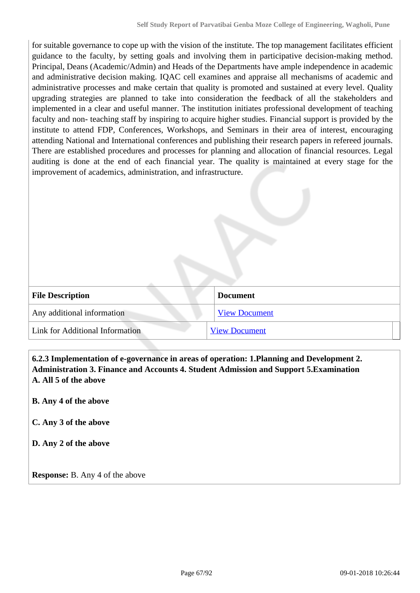for suitable governance to cope up with the vision of the institute. The top management facilitates efficient guidance to the faculty, by setting goals and involving them in participative decision-making method. Principal, Deans (Academic/Admin) and Heads of the Departments have ample independence in academic and administrative decision making. IQAC cell examines and appraise all mechanisms of academic and administrative processes and make certain that quality is promoted and sustained at every level. Quality upgrading strategies are planned to take into consideration the feedback of all the stakeholders and implemented in a clear and useful manner. The institution initiates professional development of teaching faculty and non- teaching staff by inspiring to acquire higher studies. Financial support is provided by the institute to attend FDP, Conferences, Workshops, and Seminars in their area of interest, encouraging attending National and International conferences and publishing their research papers in refereed journals. There are established procedures and processes for planning and allocation of financial resources. Legal auditing is done at the end of each financial year. The quality is maintained at every stage for the improvement of academics, administration, and infrastructure.

| <b>File Description</b>         | <b>Document</b>      |
|---------------------------------|----------------------|
| Any additional information      | <b>View Document</b> |
| Link for Additional Information | <b>View Document</b> |

 **6.2.3 Implementation of e-governance in areas of operation: 1.Planning and Development 2. Administration 3. Finance and Accounts 4. Student Admission and Support 5.Examination A. All 5 of the above**

#### **B. Any 4 of the above**

**C. Any 3 of the above**

**D. Any 2 of the above**

**Response:** B. Any 4 of the above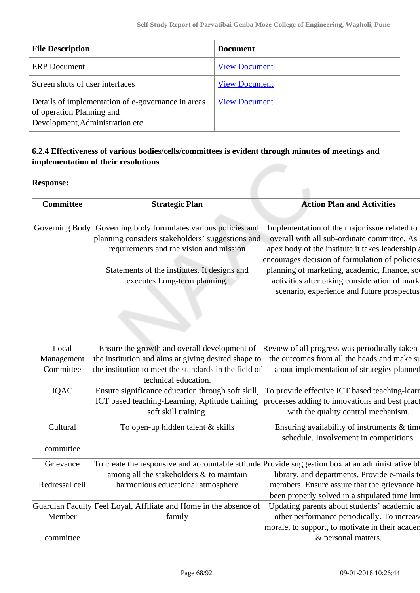| <b>File Description</b>                                                                                            | <b>Document</b>      |
|--------------------------------------------------------------------------------------------------------------------|----------------------|
| <b>ERP</b> Document                                                                                                | <b>View Document</b> |
| Screen shots of user interfaces                                                                                    | <b>View Document</b> |
| Details of implementation of e-governance in areas<br>of operation Planning and<br>Development, Administration etc | <b>View Document</b> |

# **6.2.4 Effectiveness of various bodies/cells/committees is evident through minutes of meetings and implementation of their resolutions**

### **Response:**

| <b>Committee</b> | <b>Strategic Plan</b>                                                                            | <b>Action Plan and Activities</b>               |  |
|------------------|--------------------------------------------------------------------------------------------------|-------------------------------------------------|--|
|                  |                                                                                                  |                                                 |  |
| Governing Body   | Governing body formulates various policies and                                                   | Implementation of the major issue related to    |  |
|                  | planning considers stakeholders' suggestions and                                                 | overall with all sub-ordinate committee. As     |  |
|                  | requirements and the vision and mission                                                          | apex body of the institute it takes leadership  |  |
|                  |                                                                                                  | encourages decision of formulation of policies  |  |
|                  | Statements of the institutes. It designs and                                                     | planning of marketing, academic, finance, so    |  |
|                  | executes Long-term planning.                                                                     | activities after taking consideration of mark   |  |
|                  |                                                                                                  | scenario, experience and future prospectus      |  |
|                  |                                                                                                  |                                                 |  |
|                  |                                                                                                  |                                                 |  |
|                  |                                                                                                  |                                                 |  |
|                  |                                                                                                  |                                                 |  |
| Local            | Ensure the growth and overall development of                                                     | Review of all progress was periodically taken   |  |
| Management       | the institution and aims at giving desired shape to                                              | the outcomes from all the heads and make su     |  |
| Committee        | the institution to meet the standards in the field of                                            | about implementation of strategies planned      |  |
|                  | technical education.                                                                             |                                                 |  |
| IQAC             | Ensure significance education through soft skill,                                                | To provide effective ICT based teaching-learn   |  |
|                  | ICT based teaching-Learning, Aptitude training,                                                  | processes adding to innovations and best pract  |  |
|                  | soft skill training.                                                                             | with the quality control mechanism.             |  |
| Cultural         | To open-up hidden talent & skills                                                                | Ensuring availability of instruments $\&$ time  |  |
|                  |                                                                                                  | schedule. Involvement in competitions.          |  |
| committee        |                                                                                                  |                                                 |  |
| Grievance        | To create the responsive and accountable attitude Provide suggestion box at an administrative bl |                                                 |  |
|                  | among all the stakeholders & to maintain                                                         | library, and departments. Provide e-mails to    |  |
| Redressal cell   | harmonious educational atmosphere                                                                | members. Ensure assure that the grievance h     |  |
|                  |                                                                                                  | been properly solved in a stipulated time lim   |  |
|                  | Guardian Faculty Feel Loyal, Affiliate and Home in the absence of                                | Updating parents about students' academic a     |  |
| Member           | family                                                                                           | other performance periodically. To increas      |  |
|                  |                                                                                                  | morale, to support, to motivate in their acader |  |
| committee        |                                                                                                  | & personal matters.                             |  |
|                  |                                                                                                  |                                                 |  |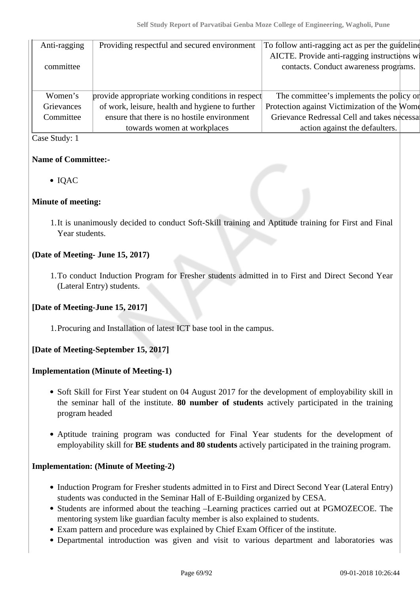| Anti-ragging | Providing respectful and secured environment      | To follow anti-ragging act as per the guideline |
|--------------|---------------------------------------------------|-------------------------------------------------|
|              |                                                   | AICTE. Provide anti-ragging instructions wi     |
| committee    |                                                   | contacts. Conduct awareness programs.           |
|              |                                                   |                                                 |
|              |                                                   |                                                 |
| Women's      | provide appropriate working conditions in respect | The committee's implements the policy or        |
| Grievances   | of work, leisure, health and hygiene to further   | Protection against Victimization of the Wome    |
| Committee    | ensure that there is no hostile environment       | Grievance Redressal Cell and takes necessal     |
|              | towards women at workplaces                       | action against the defaulters.                  |

#### Case Study: 1

## **Name of Committee:-**

• IQAC

#### **Minute of meeting:**

1.It is unanimously decided to conduct Soft-Skill training and Aptitude training for First and Final Year students.

## **(Date of Meeting- June 15, 2017)**

1.To conduct Induction Program for Fresher students admitted in to First and Direct Second Year (Lateral Entry) students.

#### **[Date of Meeting-June 15, 2017]**

1.Procuring and Installation of latest ICT base tool in the campus.

# **[Date of Meeting-September 15, 2017]**

#### **Implementation (Minute of Meeting-1)**

- Soft Skill for First Year student on 04 August 2017 for the development of employability skill in the seminar hall of the institute. **80 number of students** actively participated in the training program headed
- Aptitude training program was conducted for Final Year students for the development of employability skill for **BE students and 80 students** actively participated in the training program.

#### **Implementation: (Minute of Meeting-2)**

- Induction Program for Fresher students admitted in to First and Direct Second Year (Lateral Entry) students was conducted in the Seminar Hall of E-Building organized by CESA.
- Students are informed about the teaching –Learning practices carried out at PGMOZECOE. The mentoring system like guardian faculty member is also explained to students.
- Exam pattern and procedure was explained by Chief Exam Officer of the institute.
- Departmental introduction was given and visit to various department and laboratories was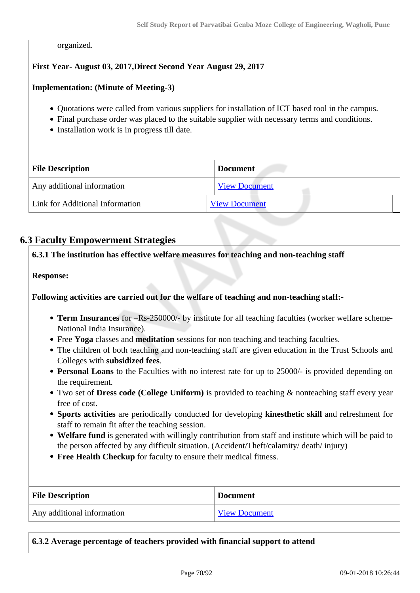organized.

### **First Year- August 03, 2017,Direct Second Year August 29, 2017**

#### **Implementation: (Minute of Meeting-3)**

- Quotations were called from various suppliers for installation of ICT based tool in the campus.
- Final purchase order was placed to the suitable supplier with necessary terms and conditions.
- Installation work is in progress till date.

| <b>File Description</b>         | <b>Document</b>      |
|---------------------------------|----------------------|
| Any additional information      | <b>View Document</b> |
| Link for Additional Information | <b>View Document</b> |

# **6.3 Faculty Empowerment Strategies**

**6.3.1 The institution has effective welfare measures for teaching and non-teaching staff**

#### **Response:**

**Following activities are carried out for the welfare of teaching and non-teaching staff:-**

- **Term Insurances** for –Rs-250000/- by institute for all teaching faculties (worker welfare scheme-National India Insurance).
- Free **Yoga** classes and **meditation** sessions for non teaching and teaching faculties.
- The children of both teaching and non-teaching staff are given education in the Trust Schools and Colleges with **subsidized fees**.
- **Personal Loans** to the Faculties with no interest rate for up to 25000/- is provided depending on the requirement.
- Two set of **Dress code (College Uniform)** is provided to teaching & nonteaching staff every year free of cost.
- **Sports activities** are periodically conducted for developing **kinesthetic skill** and refreshment for staff to remain fit after the teaching session.
- **Welfare fund** is generated with willingly contribution from staff and institute which will be paid to the person affected by any difficult situation. (Accident/Theft/calamity/ death/ injury)
- **Free Health Checkup** for faculty to ensure their medical fitness.

| <b>File Description</b>    | <b>Document</b>      |  |  |
|----------------------------|----------------------|--|--|
| Any additional information | <b>View Document</b> |  |  |

**6.3.2 Average percentage of teachers provided with financial support to attend**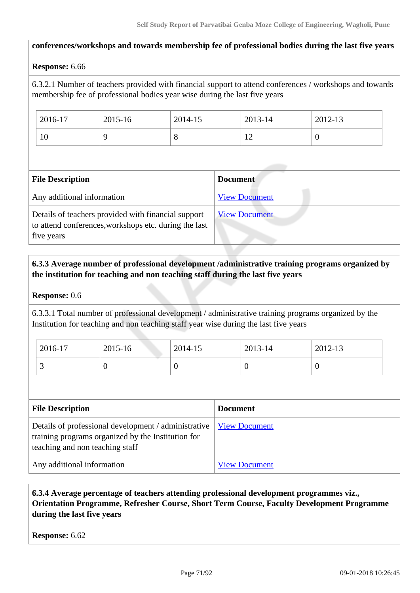#### **conferences/workshops and towards membership fee of professional bodies during the last five years**

#### **Response:** 6.66

6.3.2.1 Number of teachers provided with financial support to attend conferences / workshops and towards membership fee of professional bodies year wise during the last five years

| 2016-17               | 2015-16 | 2014-15 | 2013-14        | 2012-13 |
|-----------------------|---------|---------|----------------|---------|
| $\overline{ }$<br>1 U |         | $\circ$ | $\overline{1}$ | ◡       |

| <b>File Description</b>                                                                                                    | <b>Document</b>      |
|----------------------------------------------------------------------------------------------------------------------------|----------------------|
| Any additional information                                                                                                 | <b>View Document</b> |
| Details of teachers provided with financial support<br>to attend conferences, workshops etc. during the last<br>five years | <b>View Document</b> |

# **6.3.3 Average number of professional development /administrative training programs organized by the institution for teaching and non teaching staff during the last five years**

#### **Response:** 0.6

6.3.3.1 Total number of professional development / administrative training programs organized by the Institution for teaching and non teaching staff year wise during the last five years

| 2016-17  | 2015-16 | 2014-15 | 2013-14  | 2012-13 |
|----------|---------|---------|----------|---------|
| <u>ب</u> |         |         | $\theta$ | ν       |

| <b>File Description</b>                                                                                                                       | <b>Document</b>      |
|-----------------------------------------------------------------------------------------------------------------------------------------------|----------------------|
| Details of professional development / administrative<br>training programs organized by the Institution for<br>teaching and non teaching staff | <b>View Document</b> |
| Any additional information                                                                                                                    | <b>View Document</b> |

## **6.3.4 Average percentage of teachers attending professional development programmes viz., Orientation Programme, Refresher Course, Short Term Course, Faculty Development Programme during the last five years**

**Response:** 6.62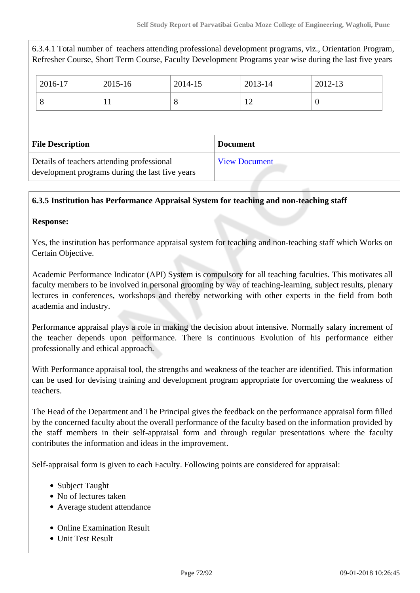| 2016-17                                                                                       | $2015 - 16$ | 2014-15         |  | 2013-14 | 2012-13              |                                                                                                                                                                                                                    |
|-----------------------------------------------------------------------------------------------|-------------|-----------------|--|---------|----------------------|--------------------------------------------------------------------------------------------------------------------------------------------------------------------------------------------------------------------|
|                                                                                               | 11          | 8               |  | 12      | $\theta$             |                                                                                                                                                                                                                    |
|                                                                                               |             |                 |  |         |                      |                                                                                                                                                                                                                    |
| <b>File Description</b>                                                                       |             | <b>Document</b> |  |         |                      |                                                                                                                                                                                                                    |
| Details of teachers attending professional<br>development programs during the last five years |             |                 |  |         |                      |                                                                                                                                                                                                                    |
|                                                                                               |             |                 |  |         | <b>View Document</b> | 6.3.4.1 Total number of teachers attending professional development programs, viz., Orientation Program,<br>Refresher Course, Short Term Course, Faculty Development Programs year wise during the last five years |

## **6.3.5 Institution has Performance Appraisal System for teaching and non-teaching staff**

#### **Response:**

Yes, the institution has performance appraisal system for teaching and non-teaching staff which Works on Certain Objective.

Academic Performance Indicator (API) System is compulsory for all teaching faculties. This motivates all faculty members to be involved in personal grooming by way of teaching-learning, subject results, plenary lectures in conferences, workshops and thereby networking with other experts in the field from both academia and industry.

Performance appraisal plays a role in making the decision about intensive. Normally salary increment of the teacher depends upon performance. There is continuous Evolution of his performance either professionally and ethical approach.

With Performance appraisal tool, the strengths and weakness of the teacher are identified. This information can be used for devising training and development program appropriate for overcoming the weakness of teachers.

The Head of the Department and The Principal gives the feedback on the performance appraisal form filled by the concerned faculty about the overall performance of the faculty based on the information provided by the staff members in their self-appraisal form and through regular presentations where the faculty contributes the information and ideas in the improvement.

Self-appraisal form is given to each Faculty. Following points are considered for appraisal:

- Subject Taught
- No of lectures taken
- Average student attendance
- Online Examination Result
- Unit Test Result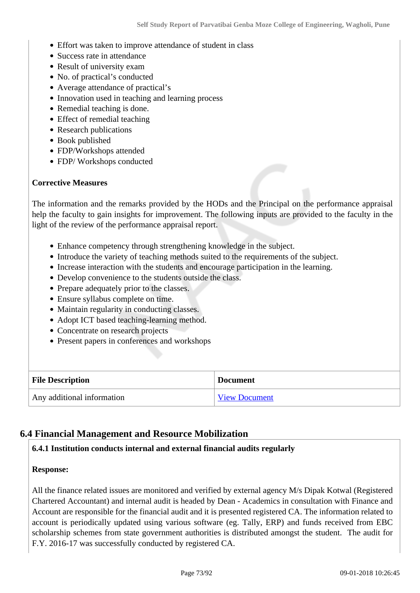- Effort was taken to improve attendance of student in class
- Success rate in attendance
- Result of university exam
- No. of practical's conducted
- Average attendance of practical's
- Innovation used in teaching and learning process
- Remedial teaching is done.
- Effect of remedial teaching
- Research publications
- Book published
- FDP/Workshops attended
- FDP/ Workshops conducted

#### **Corrective Measures**

The information and the remarks provided by the HODs and the Principal on the performance appraisal help the faculty to gain insights for improvement. The following inputs are provided to the faculty in the light of the review of the performance appraisal report.

- Enhance competency through strengthening knowledge in the subject.
- Introduce the variety of teaching methods suited to the requirements of the subject.
- Increase interaction with the students and encourage participation in the learning.
- Develop convenience to the students outside the class.
- Prepare adequately prior to the classes.
- Ensure syllabus complete on time.
- Maintain regularity in conducting classes.
- Adopt ICT based teaching-learning method.
- Concentrate on research projects
- Present papers in conferences and workshops

| <b>File Description</b>           | <b>Document</b>      |
|-----------------------------------|----------------------|
| $\mid$ Any additional information | <b>View Document</b> |

## **6.4 Financial Management and Resource Mobilization**

## **6.4.1 Institution conducts internal and external financial audits regularly**

#### **Response:**

All the finance related issues are monitored and verified by external agency M/s Dipak Kotwal (Registered Chartered Accountant) and internal audit is headed by Dean - Academics in consultation with Finance and Account are responsible for the financial audit and it is presented registered CA. The information related to account is periodically updated using various software (eg. Tally, ERP) and funds received from EBC scholarship schemes from state government authorities is distributed amongst the student. The audit for F.Y. 2016-17 was successfully conducted by registered CA.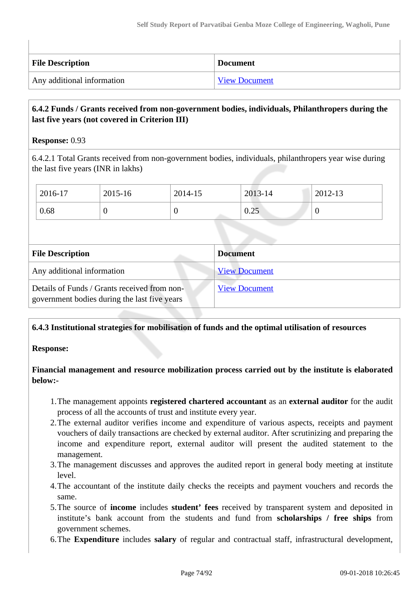| <b>File Description</b>    | <b>Document</b>      |
|----------------------------|----------------------|
| Any additional information | <b>View Document</b> |

## **6.4.2 Funds / Grants received from non-government bodies, individuals, Philanthropers during the last five years (not covered in Criterion III)**

#### **Response:** 0.93

6.4.2.1 Total Grants received from non-government bodies, individuals, philanthropers year wise during the last five years (INR in lakhs)

| 2016-17 | 2015-16 | 2014-15 | 2013-14                     | 2012-13 |
|---------|---------|---------|-----------------------------|---------|
| 0.68    |         |         | $\Delta$ $\epsilon$<br>0.25 |         |

| <b>File Description</b>                                                                      | <b>Document</b>      |
|----------------------------------------------------------------------------------------------|----------------------|
| Any additional information                                                                   | <b>View Document</b> |
| Details of Funds / Grants received from non-<br>government bodies during the last five years | <b>View Document</b> |

## **6.4.3 Institutional strategies for mobilisation of funds and the optimal utilisation of resources**

#### **Response:**

**Financial management and resource mobilization process carried out by the institute is elaborated below:-**

- 1.The management appoints **registered chartered accountant** as an **external auditor** for the audit process of all the accounts of trust and institute every year.
- 2.The external auditor verifies income and expenditure of various aspects, receipts and payment vouchers of daily transactions are checked by external auditor. After scrutinizing and preparing the income and expenditure report, external auditor will present the audited statement to the management.
- 3.The management discusses and approves the audited report in general body meeting at institute level.
- 4.The accountant of the institute daily checks the receipts and payment vouchers and records the same.
- 5.The source of **income** includes **student' fees** received by transparent system and deposited in institute's bank account from the students and fund from **scholarships / free ships** from government schemes.
- 6.The **Expenditure** includes **salary** of regular and contractual staff, infrastructural development,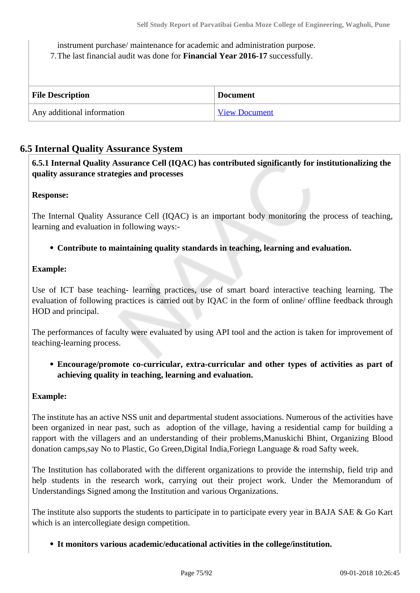instrument purchase/ maintenance for academic and administration purpose.

7.The last financial audit was done for **Financial Year 2016-17** successfully.

| <b>File Description</b>    | <b>Document</b>      |
|----------------------------|----------------------|
| Any additional information | <b>View Document</b> |

## **6.5 Internal Quality Assurance System**

 **6.5.1 Internal Quality Assurance Cell (IQAC) has contributed significantly for institutionalizing the quality assurance strategies and processes**

#### **Response:**

The Internal Quality Assurance Cell (IQAC) is an important body monitoring the process of teaching, learning and evaluation in following ways:-

## **Contribute to maintaining quality standards in teaching, learning and evaluation.**

#### **Example:**

Use of ICT base teaching- learning practices, use of smart board interactive teaching learning. The evaluation of following practices is carried out by IQAC in the form of online/ offline feedback through HOD and principal.

The performances of faculty were evaluated by using API tool and the action is taken for improvement of teaching-learning process.

**Encourage/promote co-curricular, extra-curricular and other types of activities as part of achieving quality in teaching, learning and evaluation.**

## **Example:**

The institute has an active NSS unit and departmental student associations. Numerous of the activities have been organized in near past, such as adoption of the village, having a residential camp for building a rapport with the villagers and an understanding of their problems,Manuskichi Bhint, Organizing Blood donation camps,say No to Plastic, Go Green,Digital India,Foriegn Language & road Safty week.

The Institution has collaborated with the different organizations to provide the internship, field trip and help students in the research work, carrying out their project work. Under the Memorandum of Understandings Signed among the Institution and various Organizations.

The institute also supports the students to participate in to participate every year in BAJA SAE & Go Kart which is an intercollegiate design competition.

**It monitors various academic/educational activities in the college/institution.**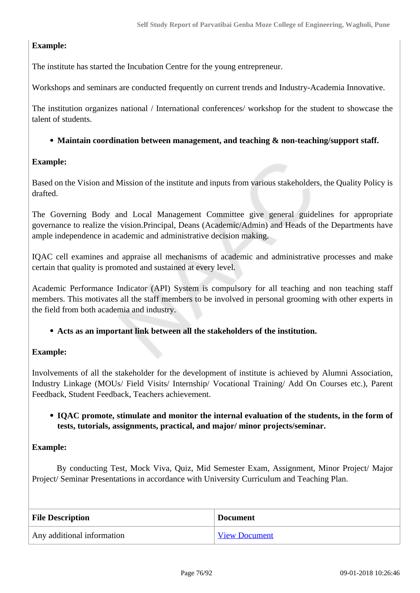## **Example:**

The institute has started the Incubation Centre for the young entrepreneur.

Workshops and seminars are conducted frequently on current trends and Industry-Academia Innovative.

The institution organizes national / International conferences/ workshop for the student to showcase the talent of students.

## **Maintain coordination between management, and teaching & non-teaching/support staff.**

## **Example:**

Based on the Vision and Mission of the institute and inputs from various stakeholders, the Quality Policy is drafted.

The Governing Body and Local Management Committee give general guidelines for appropriate governance to realize the vision.Principal, Deans (Academic/Admin) and Heads of the Departments have ample independence in academic and administrative decision making.

IQAC cell examines and appraise all mechanisms of academic and administrative processes and make certain that quality is promoted and sustained at every level.

Academic Performance Indicator (API) System is compulsory for all teaching and non teaching staff members. This motivates all the staff members to be involved in personal grooming with other experts in the field from both academia and industry.

**Acts as an important link between all the stakeholders of the institution.**

## **Example:**

Involvements of all the stakeholder for the development of institute is achieved by Alumni Association, Industry Linkage (MOUs/ Field Visits/ Internship/ Vocational Training/ Add On Courses etc.), Parent Feedback, Student Feedback, Teachers achievement.

## **IQAC promote, stimulate and monitor the internal evaluation of the students, in the form of tests, tutorials, assignments, practical, and major/ minor projects/seminar.**

## **Example:**

 By conducting Test, Mock Viva, Quiz, Mid Semester Exam, Assignment, Minor Project/ Major Project/ Seminar Presentations in accordance with University Curriculum and Teaching Plan.

| <b>File Description</b>    | <b>Document</b>      |
|----------------------------|----------------------|
| Any additional information | <b>View Document</b> |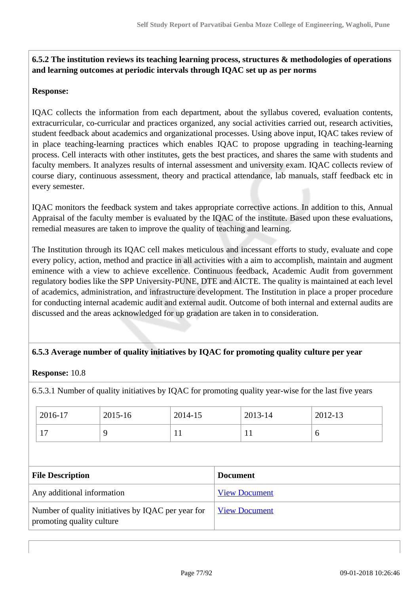## **6.5.2 The institution reviews its teaching learning process, structures & methodologies of operations and learning outcomes at periodic intervals through IQAC set up as per norms**

#### **Response:**

IQAC collects the information from each department, about the syllabus covered, evaluation contents, extracurricular, co-curricular and practices organized, any social activities carried out, research activities, student feedback about academics and organizational processes. Using above input, IQAC takes review of in place teaching-learning practices which enables IQAC to propose upgrading in teaching-learning process. Cell interacts with other institutes, gets the best practices, and shares the same with students and faculty members. It analyzes results of internal assessment and university exam. IQAC collects review of course diary, continuous assessment, theory and practical attendance, lab manuals, staff feedback etc in every semester.

IQAC monitors the feedback system and takes appropriate corrective actions. In addition to this, Annual Appraisal of the faculty member is evaluated by the IQAC of the institute. Based upon these evaluations, remedial measures are taken to improve the quality of teaching and learning.

The Institution through its IQAC cell makes meticulous and incessant efforts to study, evaluate and cope every policy, action, method and practice in all activities with a aim to accomplish, maintain and augment eminence with a view to achieve excellence. Continuous feedback, Academic Audit from government regulatory bodies like the SPP University-PUNE, DTE and AICTE. The quality is maintained at each level of academics, administration, and infrastructure development. The Institution in place a proper procedure for conducting internal academic audit and external audit. Outcome of both internal and external audits are discussed and the areas acknowledged for up gradation are taken in to consideration.

## **6.5.3 Average number of quality initiatives by IQAC for promoting quality culture per year**

#### **Response:** 10.8

6.5.3.1 Number of quality initiatives by IQAC for promoting quality year-wise for the last five years

| 2016-17        | 2015-16 | 2014-15 | 2013-14 | $2012 - 13$ |
|----------------|---------|---------|---------|-------------|
| $\overline{ }$ |         | ' Li    |         | O           |

| <b>File Description</b>                                                         | <b>Document</b>      |
|---------------------------------------------------------------------------------|----------------------|
| Any additional information                                                      | <b>View Document</b> |
| Number of quality initiatives by IQAC per year for<br>promoting quality culture | <b>View Document</b> |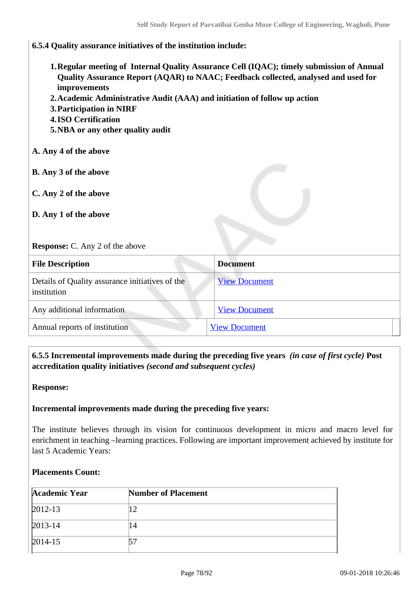#### **6.5.4 Quality assurance initiatives of the institution include:**

- **1.Regular meeting of Internal Quality Assurance Cell (IQAC); timely submission of Annual Quality Assurance Report (AQAR) to NAAC; Feedback collected, analysed and used for improvements**
- **2.Academic Administrative Audit (AAA) and initiation of follow up action**
- **3.Participation in NIRF**
- **4.ISO Certification**
- **5.NBA or any other quality audit**

#### **A. Any 4 of the above**

- **B. Any 3 of the above**
- **C. Any 2 of the above**
- **D. Any 1 of the above**

#### **Response:** C. Any 2 of the above

| <b>File Description</b>                                        | <b>Document</b>      |
|----------------------------------------------------------------|----------------------|
| Details of Quality assurance initiatives of the<br>institution | <b>View Document</b> |
| Any additional information                                     | <b>View Document</b> |
| Annual reports of institution                                  | <b>View Document</b> |

## **6.5.5 Incremental improvements made during the preceding five years** *(in case of first cycle)* **Post accreditation quality initiatives** *(second and subsequent cycles)*

**Response:** 

#### **Incremental improvements made during the preceding five years:**

The institute believes through its vision for continuous development in micro and macro level for enrichment in teaching –learning practices. Following are important improvement achieved by institute for last 5 Academic Years:

#### **Placements Count:**

| Academic Year | <b>Number of Placement</b> |
|---------------|----------------------------|
| $2012 - 13$   |                            |
| $2013 - 14$   | $\overline{4}$             |
| $2014 - 15$   |                            |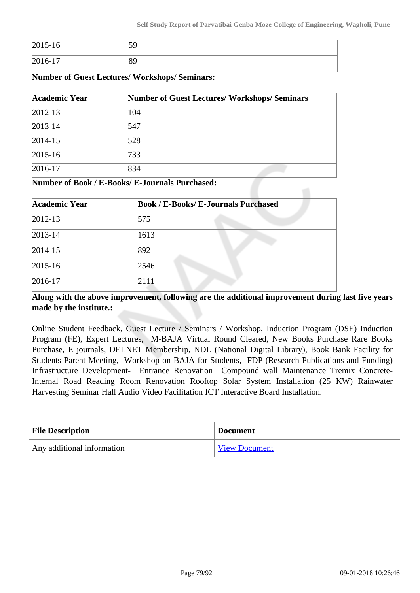| $2015 - 16$ |    |
|-------------|----|
| $2016-17$   | OJ |

**Number of Guest Lectures/ Workshops/ Seminars:**

| Academic Year | <b>Number of Guest Lectures/ Workshops/ Seminars</b> |
|---------------|------------------------------------------------------|
| $2012 - 13$   | 104                                                  |
| $2013 - 14$   | 547                                                  |
| $2014 - 15$   | 528                                                  |
| $2015 - 16$   | 733                                                  |
| $2016-17$     | 834                                                  |

#### **Number of Book / E-Books/ E-Journals Purchased:**

| <b>Academic Year</b> | <b>Book / E-Books/ E-Journals Purchased</b> |
|----------------------|---------------------------------------------|
| $2012 - 13$          | 575                                         |
| $2013 - 14$          | 1613                                        |
| $2014 - 15$          | 892                                         |
| $2015 - 16$          | 2546                                        |
| $2016-17$            | 2111                                        |

**Along with the above improvement, following are the additional improvement during last five years made by the institute.:**

Online Student Feedback, Guest Lecture / Seminars / Workshop, Induction Program (DSE) Induction Program (FE), Expert Lectures, M-BAJA Virtual Round Cleared, New Books Purchase Rare Books Purchase, E journals, DELNET Membership, NDL (National Digital Library), Book Bank Facility for Students Parent Meeting, Workshop on BAJA for Students, FDP (Research Publications and Funding) Infrastructure Development- Entrance Renovation Compound wall Maintenance Tremix Concrete-Internal Road Reading Room Renovation Rooftop Solar System Installation (25 KW) Rainwater Harvesting Seminar Hall Audio Video Facilitation ICT Interactive Board Installation.

| <b>File Description</b>    | <b>Document</b>      |
|----------------------------|----------------------|
| Any additional information | <b>View Document</b> |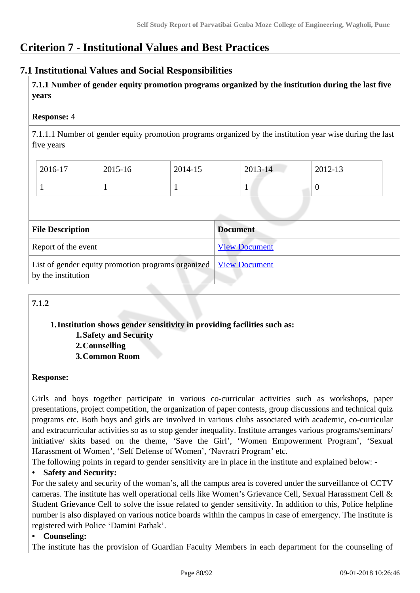# **Criterion 7 - Institutional Values and Best Practices**

## **7.1 Institutional Values and Social Responsibilities**

 **7.1.1 Number of gender equity promotion programs organized by the institution during the last five years** 

## **Response:** 4

7.1.1.1 Number of gender equity promotion programs organized by the institution year wise during the last five years

| 2016-17 | 2015-16 | 2014-15 | $2013 - 14$ | 2012-13 |
|---------|---------|---------|-------------|---------|
|         |         |         |             | U       |

| <b>File Description</b>                                                                       | <b>Document</b>      |
|-----------------------------------------------------------------------------------------------|----------------------|
| Report of the event                                                                           | <b>View Document</b> |
| List of gender equity promotion programs organized <u>View Document</u><br>by the institution |                      |

## **7.1.2**

## **1.Institution shows gender sensitivity in providing facilities such as: 1.Safety and Security**

**2.Counselling**

**3.Common Room**

## **Response:**

Girls and boys together participate in various co-curricular activities such as workshops, paper presentations, project competition, the organization of paper contests, group discussions and technical quiz programs etc. Both boys and girls are involved in various clubs associated with academic, co-curricular and extracurricular activities so as to stop gender inequality. Institute arranges various programs/seminars/ initiative/ skits based on the theme, 'Save the Girl', 'Women Empowerment Program', 'Sexual Harassment of Women', 'Self Defense of Women', 'Navratri Program' etc.

The following points in regard to gender sensitivity are in place in the institute and explained below: -

## **• Safety and Security:**

For the safety and security of the woman's, all the campus area is covered under the surveillance of CCTV cameras. The institute has well operational cells like Women's Grievance Cell, Sexual Harassment Cell & Student Grievance Cell to solve the issue related to gender sensitivity. In addition to this, Police helpline number is also displayed on various notice boards within the campus in case of emergency. The institute is registered with Police 'Damini Pathak'.

## **• Counseling:**

The institute has the provision of Guardian Faculty Members in each department for the counseling of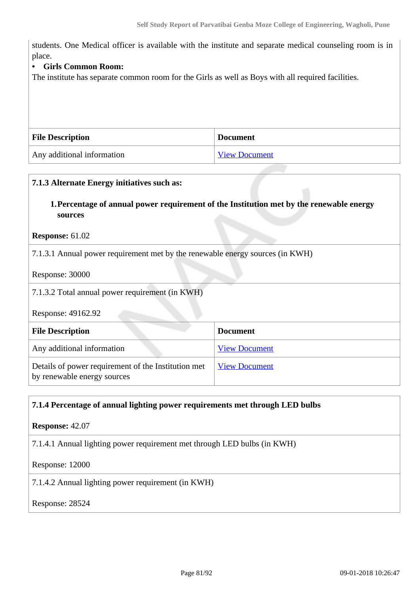students. One Medical officer is available with the institute and separate medical counseling room is in place.

#### **• Girls Common Room:**

The institute has separate common room for the Girls as well as Boys with all required facilities.

| <b>File Description</b>    | <b>Document</b>      |
|----------------------------|----------------------|
| Any additional information | <b>View Document</b> |

| 7.1.3 Alternate Energy initiatives such as:                                        |                                                                                          |  |
|------------------------------------------------------------------------------------|------------------------------------------------------------------------------------------|--|
| sources                                                                            | 1. Percentage of annual power requirement of the Institution met by the renewable energy |  |
| <b>Response: 61.02</b>                                                             |                                                                                          |  |
| 7.1.3.1 Annual power requirement met by the renewable energy sources (in KWH)      |                                                                                          |  |
| Response: 30000                                                                    |                                                                                          |  |
| 7.1.3.2 Total annual power requirement (in KWH)                                    |                                                                                          |  |
| Response: 49162.92                                                                 |                                                                                          |  |
| <b>Document</b><br><b>File Description</b>                                         |                                                                                          |  |
| Any additional information                                                         | <b>View Document</b>                                                                     |  |
| Details of power requirement of the Institution met<br>by renewable energy sources | <b>View Document</b>                                                                     |  |

## **7.1.4 Percentage of annual lighting power requirements met through LED bulbs**

**Response:** 42.07

7.1.4.1 Annual lighting power requirement met through LED bulbs (in KWH)

Response: 12000

7.1.4.2 Annual lighting power requirement (in KWH)

Response: 28524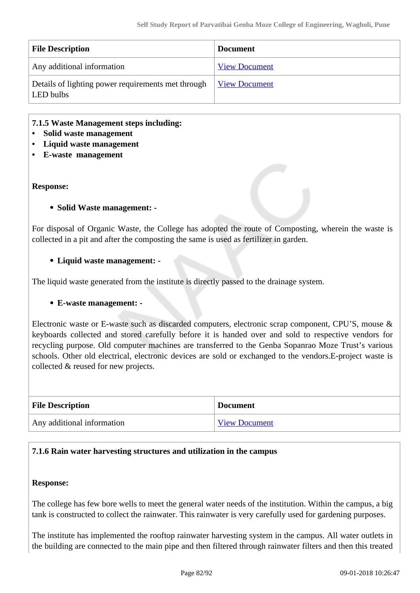| <b>File Description</b>                                         | <b>Document</b>      |
|-----------------------------------------------------------------|----------------------|
| Any additional information                                      | <b>View Document</b> |
| Details of lighting power requirements met through<br>LED bulbs | <b>View Document</b> |

#### **7.1.5 Waste Management steps including:**

- **Solid waste management**
- **Liquid waste management**
- **E-waste management**

#### **Response:**

#### **Solid Waste management: -**

For disposal of Organic Waste, the College has adopted the route of Composting, wherein the waste is collected in a pit and after the composting the same is used as fertilizer in garden.

#### **Liquid waste management: -**

The liquid waste generated from the institute is directly passed to the drainage system.

## **E-waste management: -**

Electronic waste or E-waste such as discarded computers, electronic scrap component, CPU'S, mouse & keyboards collected and stored carefully before it is handed over and sold to respective vendors for recycling purpose. Old computer machines are transferred to the Genba Sopanrao Moze Trust's various schools. Other old electrical, electronic devices are sold or exchanged to the vendors.E-project waste is collected & reused for new projects.

| <b>File Description</b>    | <b>Document</b>      |
|----------------------------|----------------------|
| Any additional information | <b>View Document</b> |

#### **7.1.6 Rain water harvesting structures and utilization in the campus**

#### **Response:**

The college has few bore wells to meet the general water needs of the institution. Within the campus, a big tank is constructed to collect the rainwater. This rainwater is very carefully used for gardening purposes.

The institute has implemented the rooftop rainwater harvesting system in the campus. All water outlets in the building are connected to the main pipe and then filtered through rainwater filters and then this treated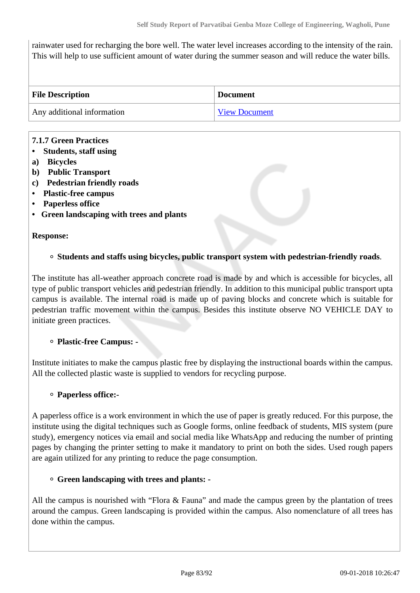rainwater used for recharging the bore well. The water level increases according to the intensity of the rain. This will help to use sufficient amount of water during the summer season and will reduce the water bills.

| <b>File Description</b>    | <b>Document</b>      |
|----------------------------|----------------------|
| Any additional information | <b>View Document</b> |

## **7.1.7 Green Practices**

- **Students, staff using**
- **a) Bicycles**
- **b) Public Transport**
- **c) Pedestrian friendly roads**
- **Plastic-free campus**
- **Paperless office**
- **Green landscaping with trees and plants**

#### **Response:**

## **Students and staffs using bicycles, public transport system with pedestrian-friendly roads**.

The institute has all-weather approach concrete road is made by and which is accessible for bicycles, all type of public transport vehicles and pedestrian friendly. In addition to this municipal public transport upta campus is available. The internal road is made up of paving blocks and concrete which is suitable for pedestrian traffic movement within the campus. Besides this institute observe NO VEHICLE DAY to initiate green practices.

## **Plastic-free Campus: -**

Institute initiates to make the campus plastic free by displaying the instructional boards within the campus. All the collected plastic waste is supplied to vendors for recycling purpose.

## **Paperless office:-**

A paperless office is a work environment in which the use of paper is greatly reduced. For this purpose, the institute using the digital techniques such as Google forms, online feedback of students, MIS system (pure study), emergency notices via email and social media like WhatsApp and reducing the number of printing pages by changing the printer setting to make it mandatory to print on both the sides. Used rough papers are again utilized for any printing to reduce the page consumption.

## **Green landscaping with trees and plants: -**

All the campus is nourished with "Flora & Fauna" and made the campus green by the plantation of trees around the campus. Green landscaping is provided within the campus. Also nomenclature of all trees has done within the campus.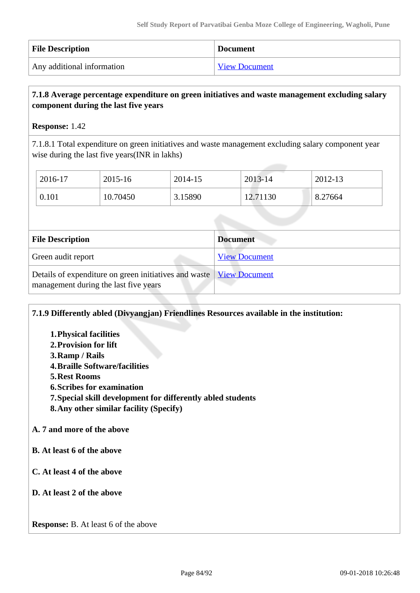| <b>File Description</b>    | <b>Document</b>      |
|----------------------------|----------------------|
| Any additional information | <b>View Document</b> |

## **7.1.8 Average percentage expenditure on green initiatives and waste management excluding salary component during the last five years**

**Response:** 1.42

7.1.8.1 Total expenditure on green initiatives and waste management excluding salary component year wise during the last five years(INR in lakhs)

| 2016-17 | 2015-16  | 2014-15 | 2013-14  | 2012-13 |
|---------|----------|---------|----------|---------|
| 0.101   | 10.70450 | 3.15890 | 12.71130 | 8.27664 |

| <b>File Description</b>                                                                                        | <b>Document</b>      |
|----------------------------------------------------------------------------------------------------------------|----------------------|
| Green audit report                                                                                             | <b>View Document</b> |
| Details of expenditure on green initiatives and waste   View Document<br>management during the last five years |                      |

## **7.1.9 Differently abled (Divyangjan) Friendlines Resources available in the institution:**

- **1.Physical facilities**
- **2.Provision for lift**
- **3.Ramp / Rails**
- **4.Braille Software/facilities**
- **5.Rest Rooms**
- **6.Scribes for examination**
- **7.Special skill development for differently abled students**
- **8.Any other similar facility (Specify)**

## **A. 7 and more of the above**

- **B. At least 6 of the above**
- **C. At least 4 of the above**
- **D. At least 2 of the above**

**Response:** B. At least 6 of the above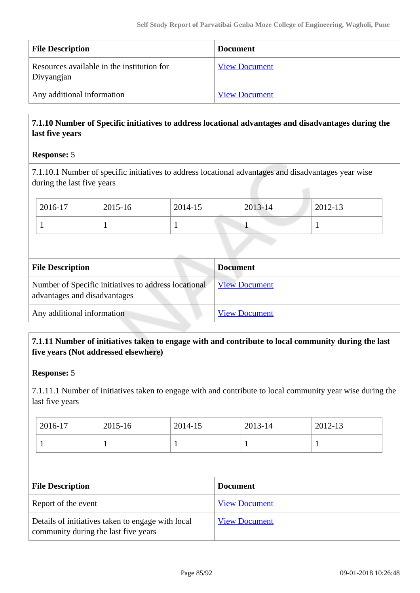| <b>File Description</b>                                  | <b>Document</b>      |
|----------------------------------------------------------|----------------------|
| Resources available in the institution for<br>Divyangjan | <b>View Document</b> |
| Any additional information                               | <b>View Document</b> |

## **7.1.10 Number of Specific initiatives to address locational advantages and disadvantages during the last five years**

## **Response:** 5

7.1.10.1 Number of specific initiatives to address locational advantages and disadvantages year wise during the last five years

| 2016-17 | 2015-16 | 2014-15 | 2013-14 | 2012-13 |
|---------|---------|---------|---------|---------|
|         |         |         |         |         |

| <b>File Description</b>                                                              | <b>Document</b>      |  |
|--------------------------------------------------------------------------------------|----------------------|--|
| Number of Specific initiatives to address locational<br>advantages and disadvantages | <b>View Document</b> |  |
| Any additional information                                                           | <b>View Document</b> |  |

## **7.1.11 Number of initiatives taken to engage with and contribute to local community during the last five years (Not addressed elsewhere)**

## **Response:** 5

7.1.11.1 Number of initiatives taken to engage with and contribute to local community year wise during the last five years

| 2016-17 | 2015-16 | 2014-15 | 2013-14 | 2012-13 |
|---------|---------|---------|---------|---------|
|         |         | ÷       |         |         |

| <b>File Description</b>                                                                   | <b>Document</b>      |
|-------------------------------------------------------------------------------------------|----------------------|
| Report of the event                                                                       | <b>View Document</b> |
| Details of initiatives taken to engage with local<br>community during the last five years | <b>View Document</b> |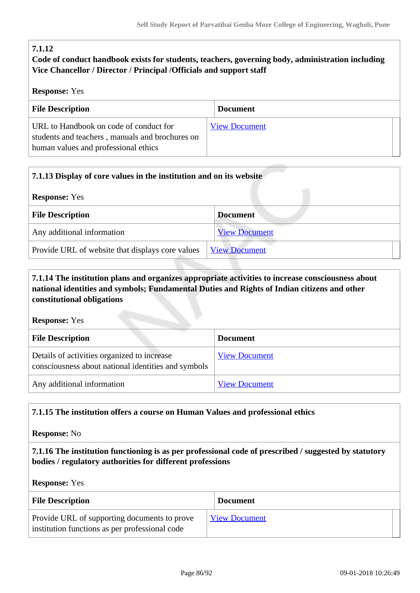## **7.1.12**

## **Code of conduct handbook exists for students, teachers, governing body, administration including Vice Chancellor / Director / Principal /Officials and support staff**

## **Response:** Yes

| <b>File Description</b>                         | <b>Document</b>      |
|-------------------------------------------------|----------------------|
|                                                 |                      |
| URL to Handbook on code of conduct for          | <b>View Document</b> |
| students and teachers, manuals and brochures on |                      |
| human values and professional ethics            |                      |
|                                                 |                      |

| 7.1.13 Display of core values in the institution and on its website |                      |  |
|---------------------------------------------------------------------|----------------------|--|
| <b>Response:</b> Yes                                                |                      |  |
| <b>File Description</b>                                             | <b>Document</b>      |  |
| Any additional information                                          | <b>View Document</b> |  |
| Provide URL of website that displays core values                    | <b>View Document</b> |  |

## **7.1.14 The institution plans and organizes appropriate activities to increase consciousness about national identities and symbols; Fundamental Duties and Rights of Indian citizens and other constitutional obligations**

**Response:** Yes

| <b>File Description</b>                                                                            | <b>Document</b>      |
|----------------------------------------------------------------------------------------------------|----------------------|
| Details of activities organized to increase<br>consciousness about national identities and symbols | <b>View Document</b> |
| Any additional information                                                                         | <b>View Document</b> |

## **7.1.15 The institution offers a course on Human Values and professional ethics**

**Response:** No

 **7.1.16 The institution functioning is as per professional code of prescribed / suggested by statutory bodies / regulatory authorities for different professions**

**Response:** Yes

| <b>File Description</b>                                                                        | <b>Document</b>      |  |
|------------------------------------------------------------------------------------------------|----------------------|--|
| Provide URL of supporting documents to prove<br>institution functions as per professional code | <b>View Document</b> |  |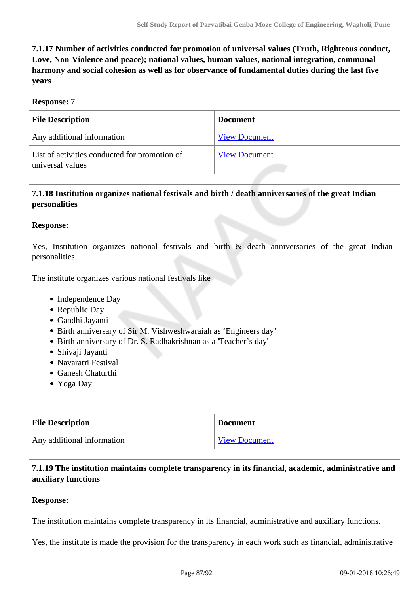**7.1.17 Number of activities conducted for promotion of universal values (Truth, Righteous conduct, Love, Non-Violence and peace); national values, human values, national integration, communal harmony and social cohesion as well as for observance of fundamental duties during the last five years**

#### **Response:** 7

| <b>File Description</b>                                           | <b>Document</b>      |
|-------------------------------------------------------------------|----------------------|
| Any additional information                                        | <b>View Document</b> |
| List of activities conducted for promotion of<br>universal values | <b>View Document</b> |

## **7.1.18 Institution organizes national festivals and birth / death anniversaries of the great Indian personalities**

#### **Response:**

Yes, Institution organizes national festivals and birth & death anniversaries of the great Indian personalities.

The institute organizes various national festivals like

- Independence Day
- Republic Day
- Gandhi Jayanti
- Birth anniversary of Sir M. Vishweshwaraiah as 'Engineers day'
- Birth anniversary of Dr. S. Radhakrishnan as a 'Teacher's day'
- Shivaji Jayanti
- Navaratri Festival
- Ganesh Chaturthi
- Yoga Day

| <b>File Description</b>    | <b>Document</b>      |
|----------------------------|----------------------|
| Any additional information | <b>View Document</b> |

 **7.1.19 The institution maintains complete transparency in its financial, academic, administrative and auxiliary functions**

#### **Response:**

The institution maintains complete transparency in its financial, administrative and auxiliary functions.

Yes, the institute is made the provision for the transparency in each work such as financial, administrative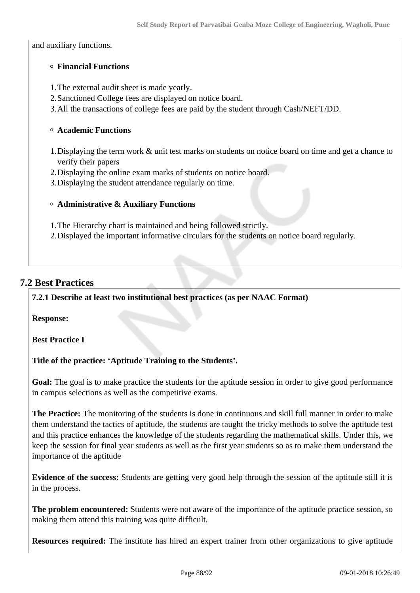and auxiliary functions.

## **Financial Functions**

1.The external audit sheet is made yearly.

- 2.Sanctioned College fees are displayed on notice board.
- 3.All the transactions of college fees are paid by the student through Cash/NEFT/DD.

#### **Academic Functions**

- 1.Displaying the term work & unit test marks on students on notice board on time and get a chance to verify their papers
- 2.Displaying the online exam marks of students on notice board.
- 3.Displaying the student attendance regularly on time.

#### **Administrative & Auxiliary Functions**

- 1.The Hierarchy chart is maintained and being followed strictly.
- 2.Displayed the important informative circulars for the students on notice board regularly.

## **7.2 Best Practices**

**7.2.1 Describe at least two institutional best practices (as per NAAC Format)**

**Response:** 

**Best Practice I**

## **Title of the practice: 'Aptitude Training to the Students'.**

Goal: The goal is to make practice the students for the aptitude session in order to give good performance in campus selections as well as the competitive exams.

**The Practice:** The monitoring of the students is done in continuous and skill full manner in order to make them understand the tactics of aptitude, the students are taught the tricky methods to solve the aptitude test and this practice enhances the knowledge of the students regarding the mathematical skills. Under this, we keep the session for final year students as well as the first year students so as to make them understand the importance of the aptitude

**Evidence of the success:** Students are getting very good help through the session of the aptitude still it is in the process.

**The problem encountered:** Students were not aware of the importance of the aptitude practice session, so making them attend this training was quite difficult.

**Resources required:** The institute has hired an expert trainer from other organizations to give aptitude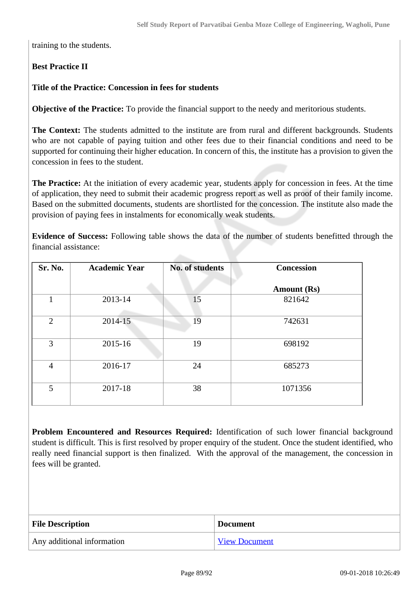training to the students.

## **Best Practice II**

## **Title of the Practice: Concession in fees for students**

**Objective of the Practice:** To provide the financial support to the needy and meritorious students.

**The Context:** The students admitted to the institute are from rural and different backgrounds. Students who are not capable of paying tuition and other fees due to their financial conditions and need to be supported for continuing their higher education. In concern of this, the institute has a provision to given the concession in fees to the student.

**The Practice:** At the initiation of every academic year, students apply for concession in fees. At the time of application, they need to submit their academic progress report as well as proof of their family income. Based on the submitted documents, students are shortlisted for the concession. The institute also made the provision of paying fees in instalments for economically weak students.

**Evidence of Success:** Following table shows the data of the number of students benefitted through the financial assistance:

| Sr. No.        | <b>Academic Year</b> | No. of students | <b>Concession</b>  |
|----------------|----------------------|-----------------|--------------------|
|                |                      |                 | <b>Amount (Rs)</b> |
| 1              | 2013-14              | 15              | 821642             |
| $\overline{2}$ | 2014-15              | 19              | 742631             |
| 3              | 2015-16              | 19              | 698192             |
| $\overline{4}$ | 2016-17              | 24              | 685273             |
| 5              | 2017-18              | 38              | 1071356            |

**Problem Encountered and Resources Required:** Identification of such lower financial background student is difficult. This is first resolved by proper enquiry of the student. Once the student identified, who really need financial support is then finalized. With the approval of the management, the concession in fees will be granted.

| <b>File Description</b>    | <b>Document</b>      |
|----------------------------|----------------------|
| Any additional information | <b>View Document</b> |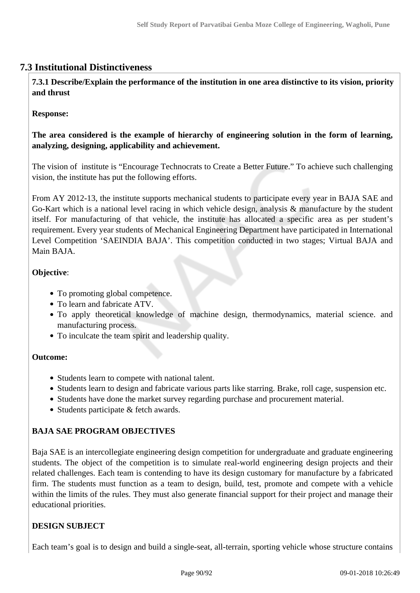## **7.3 Institutional Distinctiveness**

 **7.3.1 Describe/Explain the performance of the institution in one area distinctive to its vision, priority and thrust**

## **Response:**

**The area considered is the example of hierarchy of engineering solution in the form of learning, analyzing, designing, applicability and achievement.**

The vision of institute is "Encourage Technocrats to Create a Better Future." To achieve such challenging vision, the institute has put the following efforts.

From AY 2012-13, the institute supports mechanical students to participate every year in BAJA SAE and Go-Kart which is a national level racing in which vehicle design, analysis & manufacture by the student itself. For manufacturing of that vehicle, the institute has allocated a specific area as per student's requirement. Every year students of Mechanical Engineering Department have participated in International Level Competition 'SAEINDIA BAJA'. This competition conducted in two stages; Virtual BAJA and Main BAJA.

## **Objective**:

- To promoting global competence.
- To learn and fabricate ATV.
- To apply theoretical knowledge of machine design, thermodynamics, material science. and manufacturing process.
- To inculcate the team spirit and leadership quality.

## **Outcome:**

- Students learn to compete with national talent.
- Students learn to design and fabricate various parts like starring. Brake, roll cage, suspension etc.
- Students have done the market survey regarding purchase and procurement material.
- Students participate & fetch awards.

## **BAJA SAE PROGRAM OBJECTIVES**

Baja SAE is an intercollegiate engineering design competition for undergraduate and graduate engineering students. The object of the competition is to simulate real-world engineering design projects and their related challenges. Each team is contending to have its design customary for manufacture by a fabricated firm. The students must function as a team to design, build, test, promote and compete with a vehicle within the limits of the rules. They must also generate financial support for their project and manage their educational priorities.

## **DESIGN SUBJECT**

Each team's goal is to design and build a single-seat, all-terrain, sporting vehicle whose structure contains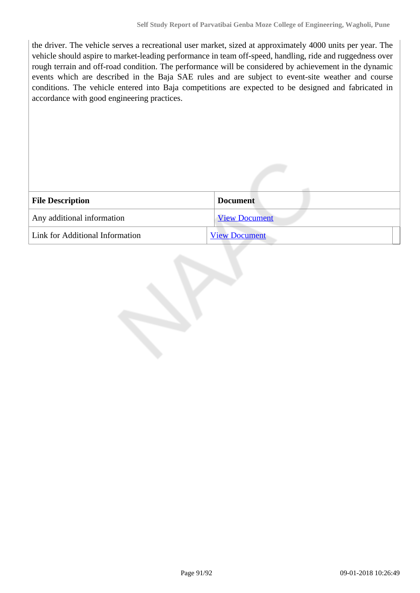the driver. The vehicle serves a recreational user market, sized at approximately 4000 units per year. The vehicle should aspire to market-leading performance in team off-speed, handling, ride and ruggedness over rough terrain and off-road condition. The performance will be considered by achievement in the dynamic events which are described in the Baja SAE rules and are subject to event-site weather and course conditions. The vehicle entered into Baja competitions are expected to be designed and fabricated in accordance with good engineering practices.

| <b>File Description</b>         | <b>Document</b>      |
|---------------------------------|----------------------|
| Any additional information      | <b>View Document</b> |
| Link for Additional Information | <b>View Document</b> |